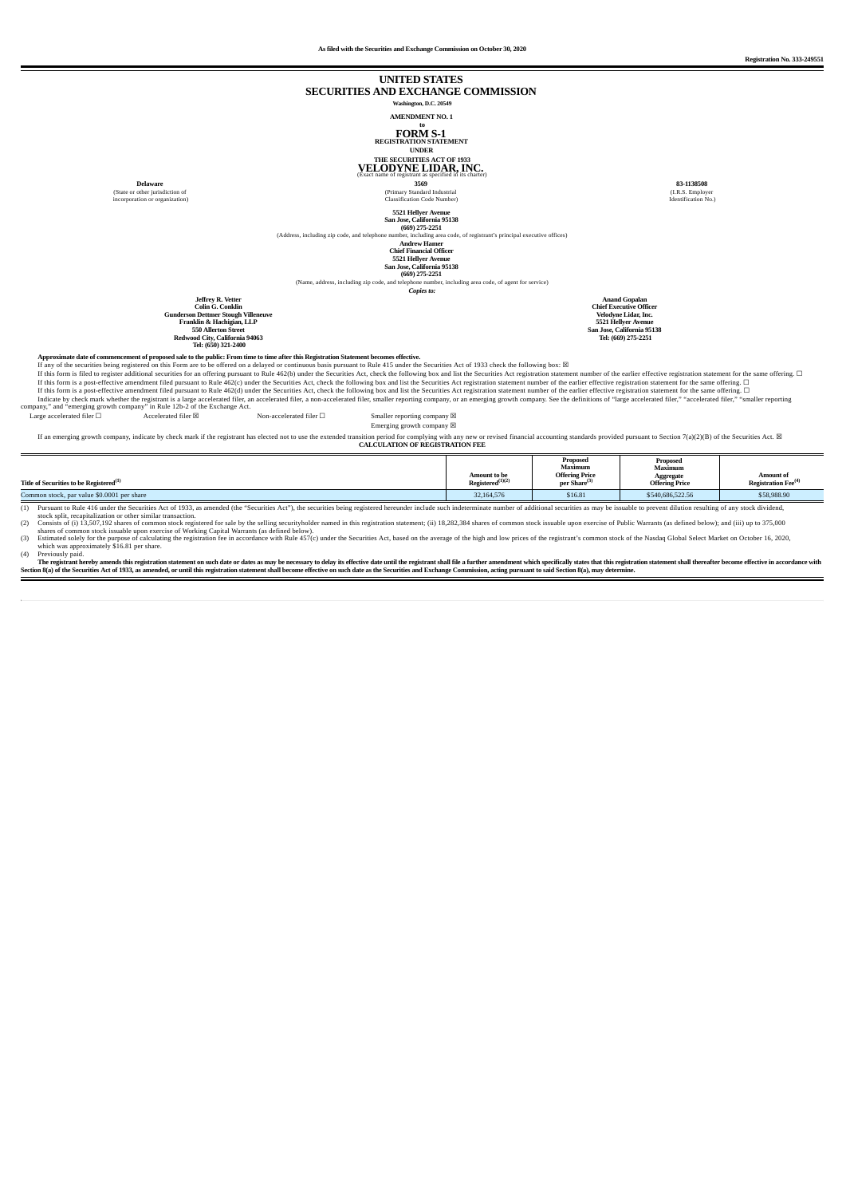#### **UNITED STATES SECURITIES AND EXCHANGE COMMISSION Washington, D.C. 20549**

**AMENDMENT NO. 1 to FORM S-1 REGISTRATION STATEMENT UNDER**

# **THE SECURITIES ACT OF <sup>1933</sup> VELODYNE LIDAR, INC.** (Exact name of registrant as specified in its charter)

**Delaware** (State or other jurisdiction of incorporation or organization)

**3569** (Primary Standard Industrial Classification Code Number)

 $[3521]\n \textbf{Hellyer Avenue} \textbf{Xe} \textbf{e} \textbf{e} \textbf{e} \textbf{e} \textbf{e} \textbf{e} \textbf{e} \textbf{e} \textbf{e} \textbf{e} \textbf{e} \textbf{e} \textbf{e} \textbf{e} \textbf{e} \textbf{e} \textbf{e} \textbf{e} \textbf{e} \textbf{e} \textbf{e} \textbf{e} \textbf{e} \textbf{e} \textbf{e} \textbf{e} \textbf{e} \textbf{e} \textbf{e} \textbf{e} \textbf{e} \textbf{e} \textbf$ 

*Copies to:*

Anand Gopalan<br>Chief Executive Officer<br>Velodyne Lidar, Inc.<br>5521 Hellyer Avenue<br>San Jose, California 95138<br>Tel: (669) 275-2251

**83-1138508** (I.R.S. Employer Identification No.)

Jeffrey R. Vetter<br>Colin Co.<br>Conkin<br>Gunderson Dettner Stough Villeneuve<br>Franklin & Hachigian, LLP<br>550 Allerton Street<br>Redwood City, California 94063<br>Tel: (650) 321-2400

Approximate date of commencement of proposed sale to the public: From time to time after this Registration Statement becomes effective

If any of the securities being registered on this Form are to be offered on a elayed or continuous basis pursuant to Rule 415 under the Securities Act, check the following box and list the Securities Act registration stat

Emerging growth company  $\boxtimes$ 

If an emerging growth company, indicate by check mark if the registrant has elected not to use the extended transition period for complying with any new or revised financial accounting standards provided pursuant to Secti **CALCULATION OF REGISTRATION FEE**

| Title of Securities to be Registered $^{\rm (1)}$                                                                                                                                                                                                                                                                   | <b>Amount to be</b><br>Registered $(1)(2)$ | Proposed<br>Maximum<br><b>Offering Price</b><br>per Share <sup>(3)</sup> | Proposed<br>Maximum<br>Aggregate<br><b>Offering Price</b> | <b>Amount of</b><br><b>Registration Fee</b> <sup>(4)</sup> |
|---------------------------------------------------------------------------------------------------------------------------------------------------------------------------------------------------------------------------------------------------------------------------------------------------------------------|--------------------------------------------|--------------------------------------------------------------------------|-----------------------------------------------------------|------------------------------------------------------------|
| Common stock, par value \$0.0001 per share                                                                                                                                                                                                                                                                          | 32.164.576                                 | \$16.81                                                                  | \$540,686,522.56                                          | \$58,988.90                                                |
| Pursuant to Rule 416 under the Securities Act of 1933, as amended (the "Securities Act"), the securities being registered hereunder include such indeterminate number of additional securities as may be issuable to prevent d<br>- and also and the constant that the contract of a stand business and and a stand |                                            |                                                                          |                                                           |                                                            |

% (1) Pursuan to Rue 416 under the Securition According the match and the match and the mindele such indeterminate number of additional securities as may be issuable to prevent dilution resulting of any stock dividend,<br>(2)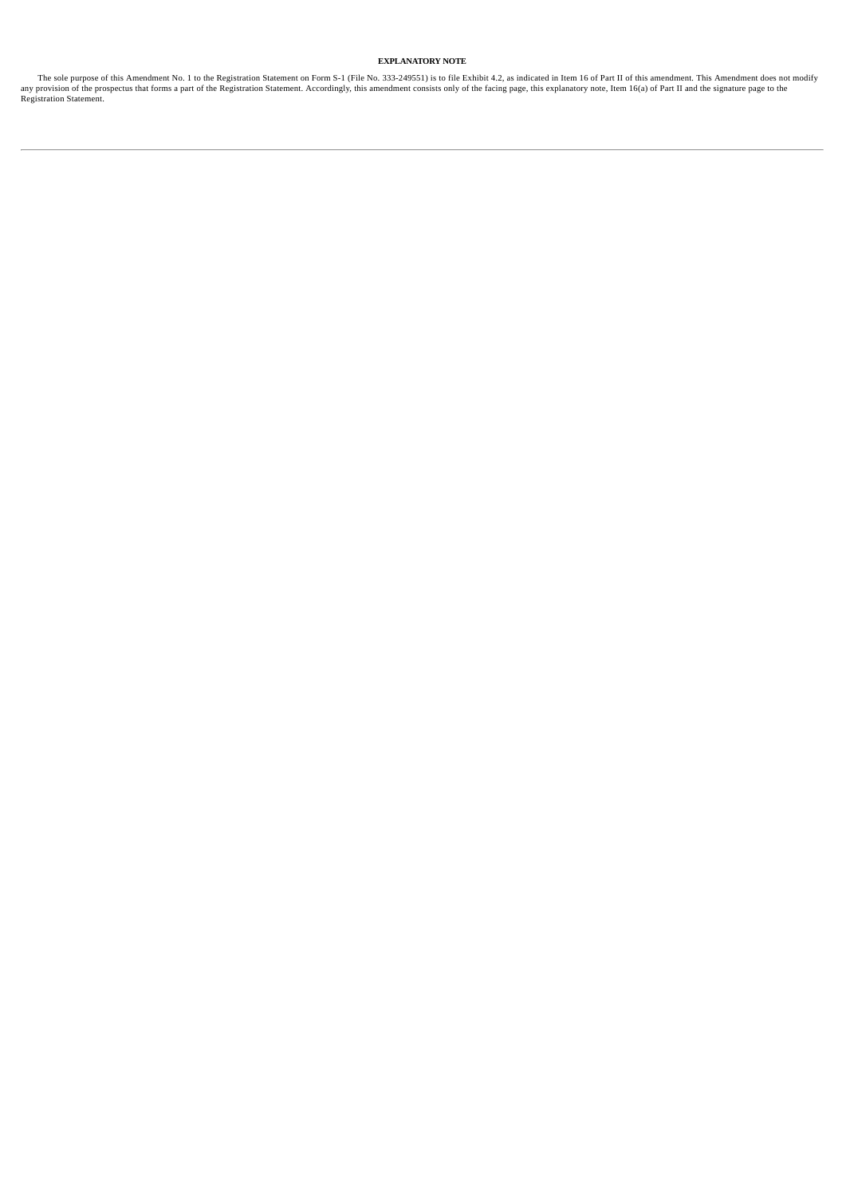### **EXPLANATORY NOTE**

The sole purpose of this Amendment No. 1 to the Registration Statement on Form S-1 (File No. 333-249551) is to file Exhibit 4.2, as indicated in Item 16 of Part II of this amendment. This Amendment does not modify provisio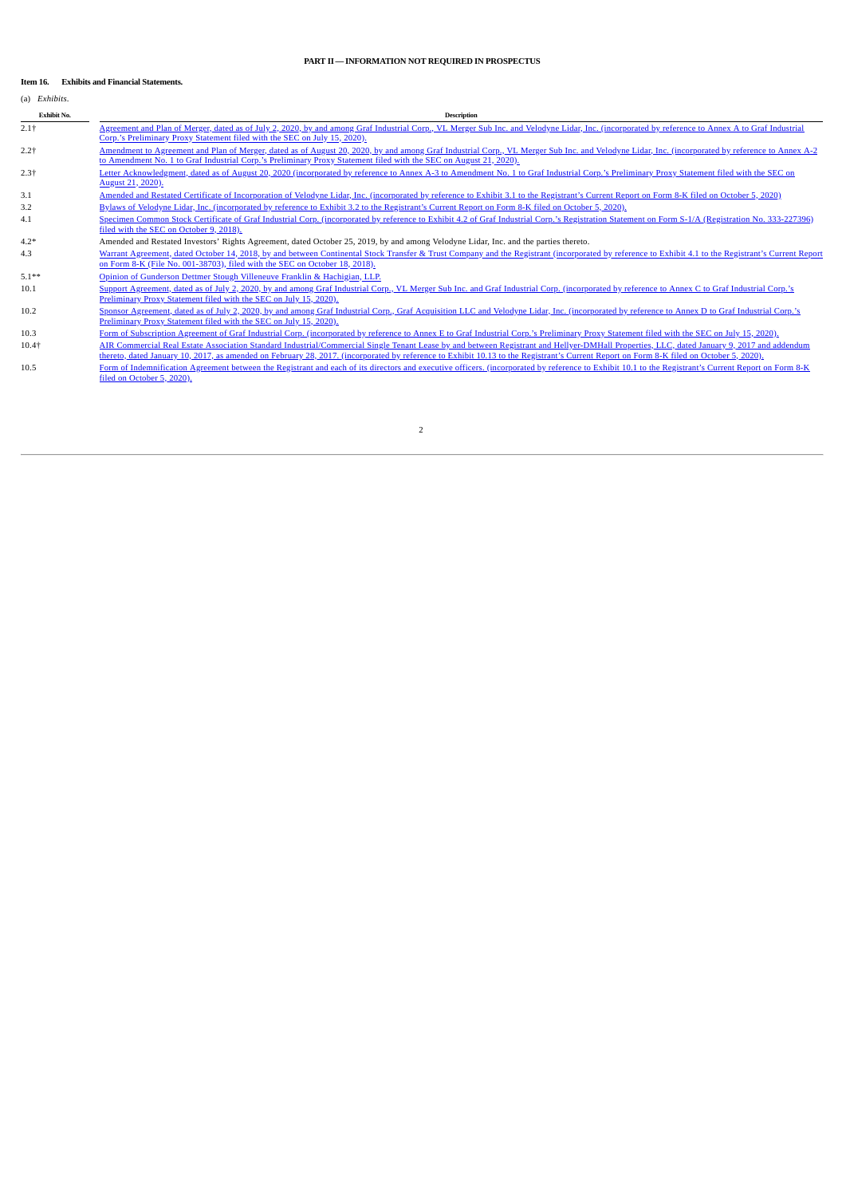#### **PART II—INFORMATION NOT REQUIRED IN PROSPECTUS**

#### **Item 16. Exhibits and Financial Statements.**

# (a) *Exhibits*.

**Exhibit No. Description**

- 2.1† Agreement and Plan of Merger, dated as of July 2, 2020, by and among Graf Industrial Corp., VL Merger Sub Inc. and Velodyne Lidar, Inc. [\(incorporated](http://www.sec.gov/Archives/edgar/data/1745317/000110465920083736/tm2024252-1_prem14a.htm#tANA) by reference to Annex A to Graf Industrial Corp.'s Preliminary Proxy Statement filed with the SEC on July 15, 2020).
- 2.2† Amendment to Agreement and Plan of Merger, dated as of August 20, 2020, by and among Graf Industrial Corp., VL Merger Sub Inc. and Velodyne Lidar, Inc. [\(incorporated](http://www.sec.gov/Archives/edgar/data/1745317/000110465920097363/tm2024252-2_prer14a.htm#tAAAP) by reference to Annex A-2 to Amendment No. 1 to Graf Industrial Corp.'s Preliminary Proxy Statement filed with the SEC on August 21, 2020).
- 2.3† Letter [Acknowledgment,](http://www.sec.gov/Archives/edgar/data/1745317/000110465920097363/tm2024252-2_prer14a.htm#tANNA3) dated as of August 20, 2020 (incorporated by reference to Annex A-3 to Amendment No. 1 to Graf Industrial Corp.'s Preliminary Proxy Statement filed with the SEC on August 21, 2020).
- 3.1 Amended and Restated Certificate of [Incorporation](http://www.sec.gov/Archives/edgar/data/1745317/000110465920112259/tm2032425d1_ex3-1.htm) of Velodyne Lidar, Inc. (incorporated by reference to Exhibit 3.1 to the Registrant's Current Report on Form 8-K filed on October 5, 2020) 3.2 Bylaws of Velodyne Lidar, Inc. [\(incorporated](http://www.sec.gov/Archives/edgar/data/1745317/000110465920112259/tm2032425d1_ex3-2.htm) by reference to Exhibit 3.2 to the Registrant's Current Report on Form 8-K filed on October 5, 2020).
- 4.1 Specimen Common Stock Certificate of Graf Industrial Corp. [\(incorporated](http://www.sec.gov/Archives/edgar/data/1745317/000114420418052843/tv503099_ex4-2.htm) by reference to Exhibit 4.2 of Graf Industrial Corp.'s Registration Statement on Form S-1/A (Registration No. 333-227396) filed with the SEC on October 9, 2018).

4.2\* Amended and Restated Investors' Rights Agreement, dated October 25, 2019, by and among Velodyne Lidar, Inc. and the parties thereto.

- 4.3 Warrant Agreement, dated October 14, 2018, by and between Continental Stock Transfer & Trust Company and the Registrant [\(incorporated](http://www.sec.gov/Archives/edgar/data/1745317/000114420418054354/tv505017_ex4-1.htm) by reference to Exhibit 4.1 to the Registrant's Current Report on Form 8-K (File No. 001-38703), filed with the SEC on October 18, 2018).
- 5.1\*\* Opinion of [Gunderson](http://www.sec.gov/Archives/edgar/data/1745317/000110465920116135/vldr-20201019xex5d1.htm) Dettmer Stough Villeneuve Franklin & Hachigian, LLP.
- 10.1 Support Agreement, dated as of July 2, 2020, by and among Graf Industrial Corp., VL Merger Sub Inc. and Graf Industrial Corp. [\(incorporated](http://www.sec.gov/Archives/edgar/data/1745317/000110465920083736/tm2024252-1_prem14a.htm) by reference to Annex C to Graf Industrial Corp.'s Preliminary Proxy Statement filed with the SEC on July 15, 2020).
- 10.2 Sponsor Agreement, dated as of July 2, 2020, by and among Graf Industrial Corp., Graf Acquisition LLC and Velodyne Lidar, Inc. [\(incorporated](http://www.sec.gov/Archives/edgar/data/1745317/000110465920083736/tm2024252-1_prem14a.htm#tAND) by reference to Annex D to Graf Industrial Corp.'s Preliminary Proxy Statement filed with the SEC on July 15, 2020).
- 10.3 Form of Subscription Agreement of Graf Industrial Corp. [\(incorporated](http://www.sec.gov/Archives/edgar/data/1745317/000110465920083736/tm2024252-1_prem14a.htm#tANE) by reference to Annex E to Graf Industrial Corp.'s Preliminary Proxy Statement filed with the SEC on July 15, 2020). 10.4† AIR Commercial Real Estate Association Standard [Industrial/Commercial](http://www.sec.gov/Archives/edgar/data/1745317/000110465920112259/tm2032425d1_ex10-13.htm) Single Tenant Lease by and between Registrant and Hellyer-DMHall Properties, LLC, dated January 9, 2017 and addendum<br>thereto, dated January 10, 20
- 10.5 Form of [Indemnification](http://www.sec.gov/Archives/edgar/data/1745317/000110465920112259/tm2032425d1_ex10-1.htm) Agreement between the Registrant and each of its directors and executive officers. (incorporated by reference to Exhibit 10.1 to the Registrant's Current Report on Form 8-K filed on October 5, 2020).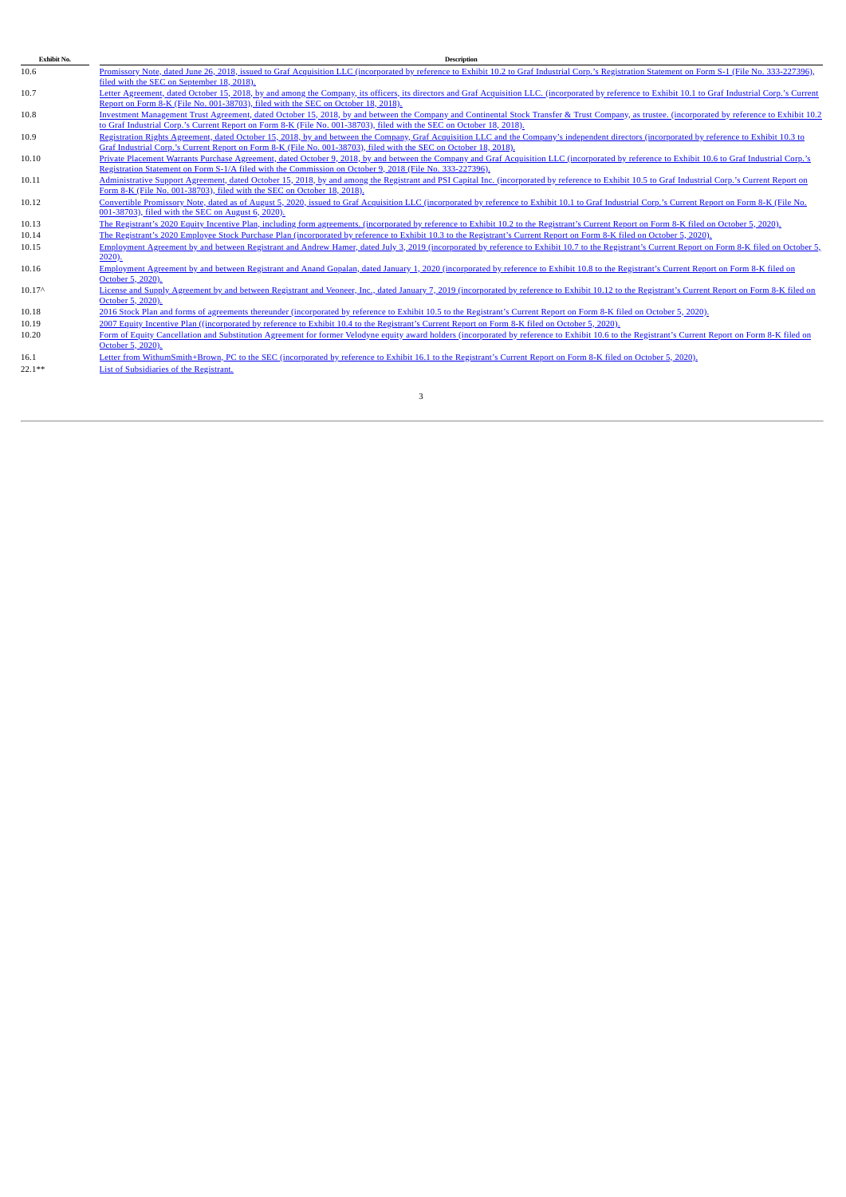| Exhibit No. | <b>Description</b>                                                                                                                                                                                      |
|-------------|---------------------------------------------------------------------------------------------------------------------------------------------------------------------------------------------------------|
| 10.6        | Promissory Note, dated June 26, 2018, issued to Graf Acquisition LLC (incorporated by reference to Exhibit 10.2 to Graf Industrial Corp.'s Registration Statement on Form S-1 (File No. 333-227396),    |
|             | filed with the SEC on September 18, 2018).                                                                                                                                                              |
| 10.7        | Letter Agreement, dated October 15, 2018, by and among the Company, its officers, its directors and Graf Acquisition LLC. (incorporated by reference to Exhibit 10.1 to Graf Industrial Corp.'s Current |
|             | Report on Form 8-K (File No. 001-38703), filed with the SEC on October 18, 2018).                                                                                                                       |
| 10.8        | Investment Management Trust Agreement, dated October 15, 2018, by and between the Company and Continental Stock Transfer & Trust Company, as trustee, (incorporated by reference to Exhibit 10.2        |
|             | to Graf Industrial Corp.'s Current Report on Form 8-K (File No. 001-38703), filed with the SEC on October 18, 2018).                                                                                    |
| 10.9        | Registration Rights Agreement, dated October 15, 2018, by and between the Company, Graf Acquisition LLC and the Company's independent directors (incorporated by reference to Exhibit 10.3 to           |
|             | Graf Industrial Corp.'s Current Report on Form 8-K (File No. 001-38703), filed with the SEC on October 18, 2018).                                                                                       |
| 10.10       | Private Placement Warrants Purchase Agreement, dated October 9, 2018, by and between the Company and Graf Acquisition LLC (incorporated by reference to Exhibit 10.6 to Graf Industrial Corp.'s         |
|             | Registration Statement on Form S-1/A filed with the Commission on October 9, 2018 (File No. 333-227396).                                                                                                |
| 10.11       | Administrative Support Agreement, dated October 15, 2018, by and among the Registrant and PSI Capital Inc. (incorporated by reference to Exhibit 10.5 to Graf Industrial Corp.'s Current Report on      |
|             | Form 8-K (File No. 001-38703), filed with the SEC on October 18, 2018).                                                                                                                                 |
| 10.12       | Convertible Promissory Note, dated as of August 5, 2020, issued to Graf Acquisition LLC (incorporated by reference to Exhibit 10.1 to Graf Industrial Corp.'s Current Report on Form 8-K (File No.      |
|             | 001-38703), filed with the SEC on August 6, 2020).                                                                                                                                                      |
| 10.13       | The Registrant's 2020 Equity Incentive Plan, including form agreements, (incorporated by reference to Exhibit 10.2 to the Registrant's Current Report on Form 8-K filed on October 5, 2020).            |
| 10.14       | The Registrant's 2020 Employee Stock Purchase Plan (incorporated by reference to Exhibit 10.3 to the Registrant's Current Report on Form 8-K filed on October 5, 2020).                                 |
| 10.15       | Employment Agreement by and between Registrant and Andrew Hamer, dated July 3, 2019 (incorporated by reference to Exhibit 10.7 to the Registrant's Current Report on Form 8-K filed on October 5,       |
|             | $2020$ ).                                                                                                                                                                                               |
| 10.16       | Employment Agreement by and between Registrant and Anand Gopalan, dated January 1, 2020 (incorporated by reference to Exhibit 10.8 to the Registrant's Current Report on Form 8-K filed on              |
|             | October 5, 2020).                                                                                                                                                                                       |
| $10.17^$    | License and Supply Agreement by and between Registrant and Veoneer, Inc., dated January 7, 2019 (incorporated by reference to Exhibit 10.12 to the Registrant's Current Report on Form 8-K filed on     |
|             | October 5, 2020).                                                                                                                                                                                       |
| 10.18       | 2016 Stock Plan and forms of agreements thereunder (incorporated by reference to Exhibit 10.5 to the Registrant's Current Report on Form 8-K filed on October 5, 2020).                                 |
| 10.19       | 2007 Equity Incentive Plan ((incorporated by reference to Exhibit 10.4 to the Registrant's Current Report on Form 8-K filed on October 5, 2020).                                                        |
| 10.20       | Form of Equity Cancellation and Substitution Agreement for former Velodyne equity award holders (incorporated by reference to Exhibit 10.6 to the Registrant's Current Report on Form 8-K filed on      |
|             | October 5, 2020).                                                                                                                                                                                       |
| 16.1        | Letter from WithumSmith+Brown, PC to the SEC (incorporated by reference to Exhibit 16.1 to the Registrant's Current Report on Form 8-K filed on October 5, 2020).                                       |
| $22.1***$   | List of Subsidiaries of the Registrant.                                                                                                                                                                 |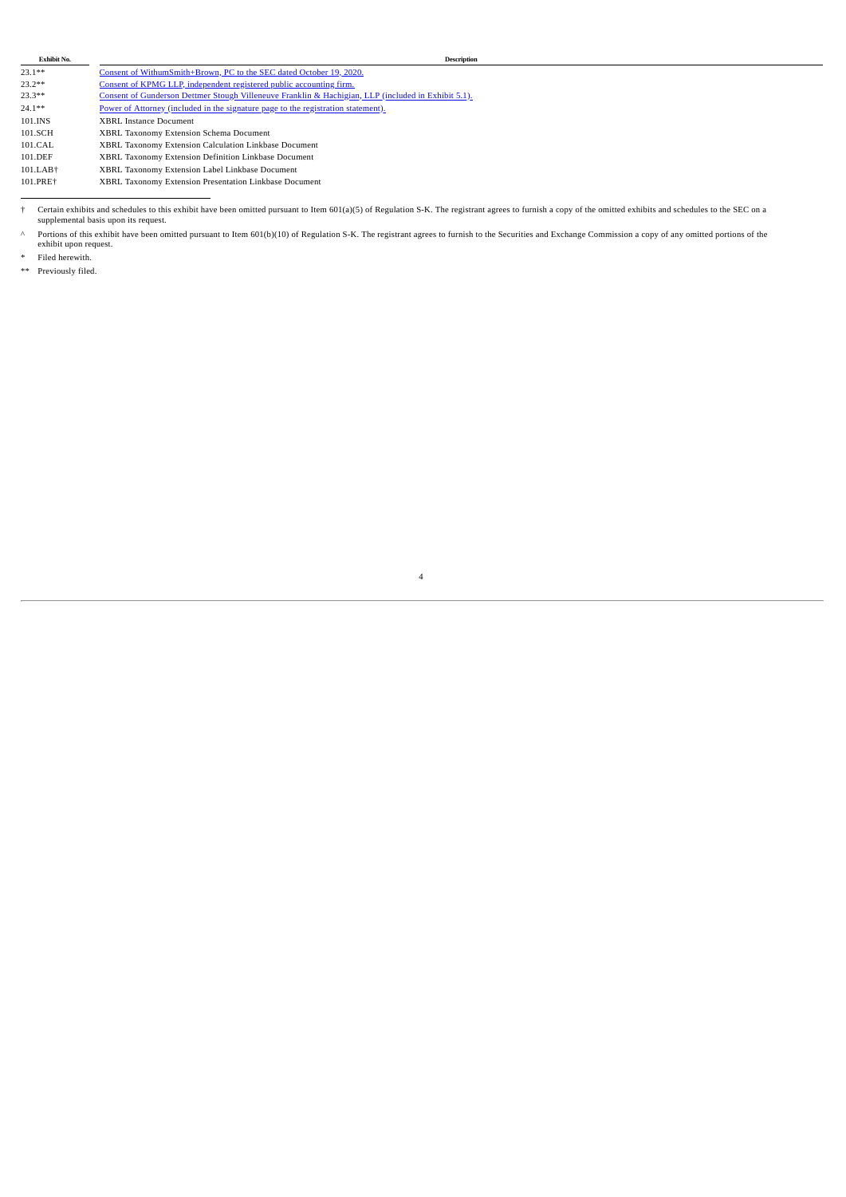| $23.1**$ | Consent of WithumSmith+Brown, PC to the SEC dated October 19, 2020.                                 |
|----------|-----------------------------------------------------------------------------------------------------|
| $23.2**$ | Consent of KPMG LLP, independent registered public accounting firm.                                 |
| $23.3**$ | Consent of Gunderson Dettmer Stough Villeneuve Franklin & Hachigian, LLP (included in Exhibit 5.1). |
| $24.1**$ | Power of Attorney (included in the signature page to the registration statement).                   |
| 101.INS  | <b>XBRL Instance Document</b>                                                                       |
| 101.SCH  | XBRL Taxonomy Extension Schema Document                                                             |
| 101.CAL  | XBRL Taxonomy Extension Calculation Linkbase Document                                               |
| 101.DEF  | XBRL Taxonomy Extension Definition Linkbase Document                                                |
| 101.LAB+ | XBRL Taxonomy Extension Label Linkbase Document                                                     |
| 101.PRE+ | XBRL Taxonomy Extension Presentation Linkbase Document                                              |
|          |                                                                                                     |

<sup>†</sup> Certain exhibits and schedules to this exhibit have been omitted pursuant to Item 601(a)(5) of Regulation S-K. The registrant agrees to furnish a copy of the omitted exhibits and schedules to the SEC on a<br>supplemental b

↑ Portions of this exhibit have been omitted pursuant to Item 601(b)(10) of Regulation S-K. The registrant agrees to furnish to the Securities and Exchange Commission a copy of any omitted portions of the exhibit upon req

4

\* Filed herewith.<br>\*\* Previously filed

Previously filed.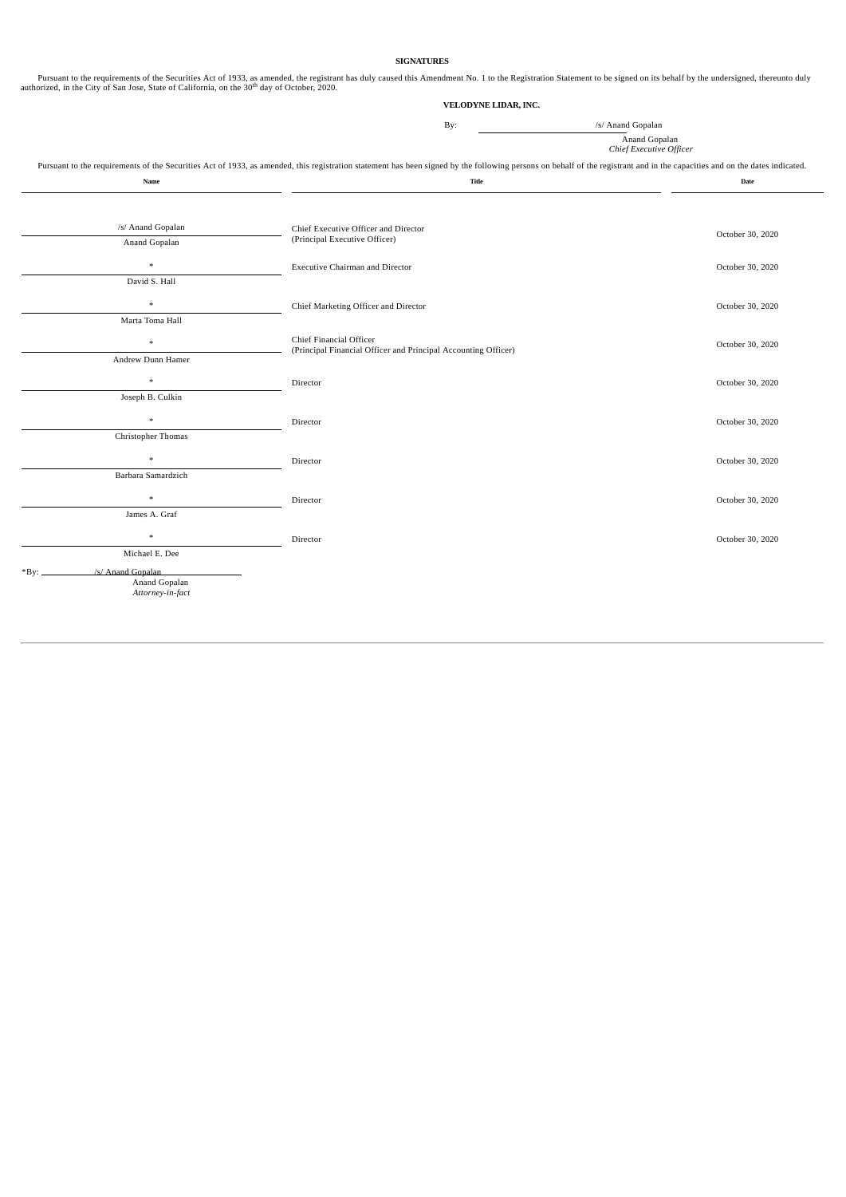#### **SIGNATURES**

Pursuant to the requirements of the Securities Act of 1933, as amended, the registrant has duly caused this Amendment No. 1 to the Registration Statement to be signed on its behalf by the undersigned, thereunto duly author

#### **VELODYNE LIDAR, INC.**

By:  $\frac{1}{s}$  Anand Gopalan

Anand Gopalan *Chief Executive Officer*

Pursuant to the requirements of the Securities Act of 1933, as amended, this registration statement has been signed by the following persons on behalf of the registrant and in the capacities and on the dates indicated.

| Name                              | Title                                                                                     | Date             |
|-----------------------------------|-------------------------------------------------------------------------------------------|------------------|
|                                   |                                                                                           |                  |
| /s/ Anand Gopalan                 | Chief Executive Officer and Director                                                      | October 30, 2020 |
| Anand Gopalan                     | (Principal Executive Officer)                                                             |                  |
| $\ast$                            | <b>Executive Chairman and Director</b>                                                    | October 30, 2020 |
| David S. Hall                     |                                                                                           |                  |
| $\ast$                            | Chief Marketing Officer and Director                                                      | October 30, 2020 |
| Marta Toma Hall                   |                                                                                           |                  |
| $\ast$                            | Chief Financial Officer<br>(Principal Financial Officer and Principal Accounting Officer) | October 30, 2020 |
| Andrew Dunn Hamer                 |                                                                                           |                  |
| $\ast$                            | Director                                                                                  | October 30, 2020 |
| Joseph B. Culkin                  |                                                                                           |                  |
| $\ast$                            | Director                                                                                  | October 30, 2020 |
| Christopher Thomas                |                                                                                           |                  |
| $\ast$                            | Director                                                                                  | October 30, 2020 |
| Barbara Samardzich                |                                                                                           |                  |
| $\ast$                            | Director                                                                                  | October 30, 2020 |
| James A. Graf                     |                                                                                           |                  |
| $\frac{d\mathbf{x}}{d\mathbf{x}}$ | Director                                                                                  | October 30, 2020 |
| Michael E. Dee                    |                                                                                           |                  |
| /s/ Anand Gopalan<br>*Bv:         |                                                                                           |                  |
| Anand Gopalan<br>Attorney-in-fact |                                                                                           |                  |
|                                   |                                                                                           |                  |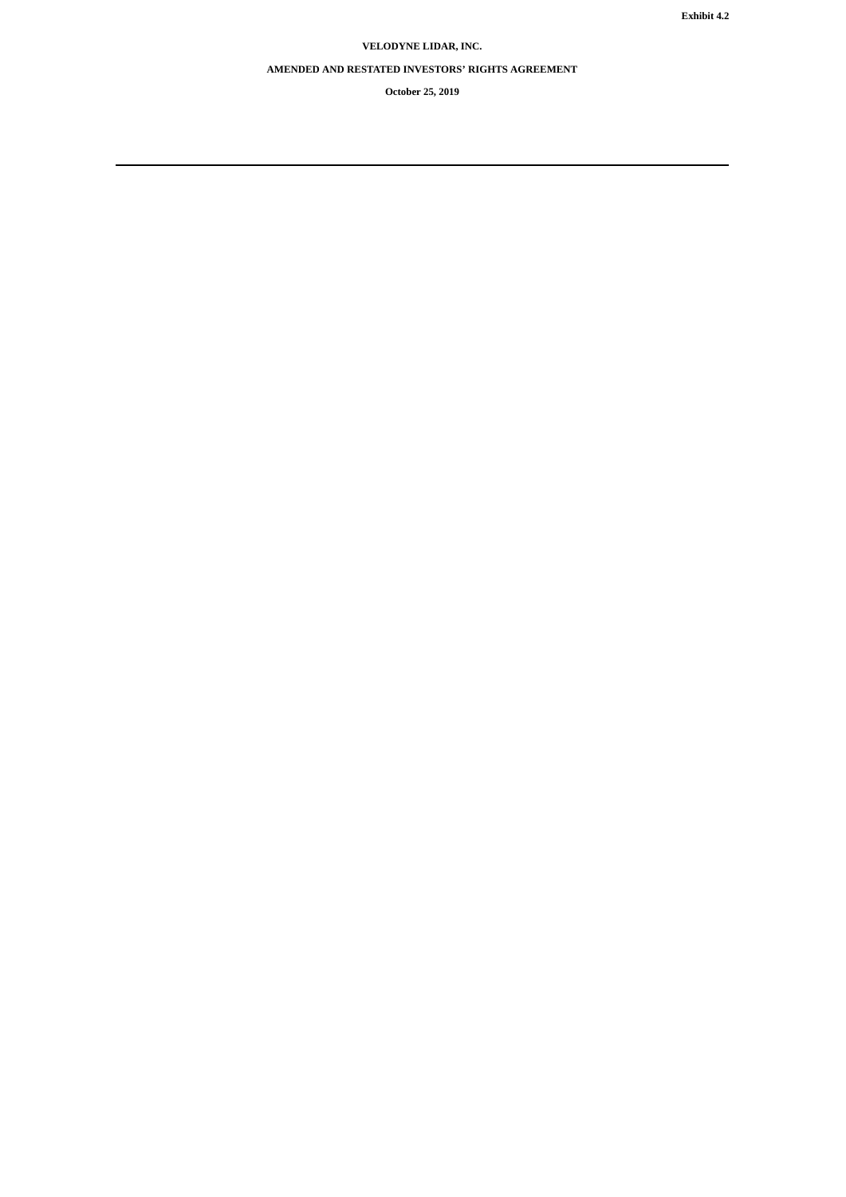# **VELODYNE LIDAR, INC.**

## **AMENDED AND RESTATED INVESTORS' RIGHTS AGREEMENT**

**October 25, 2019**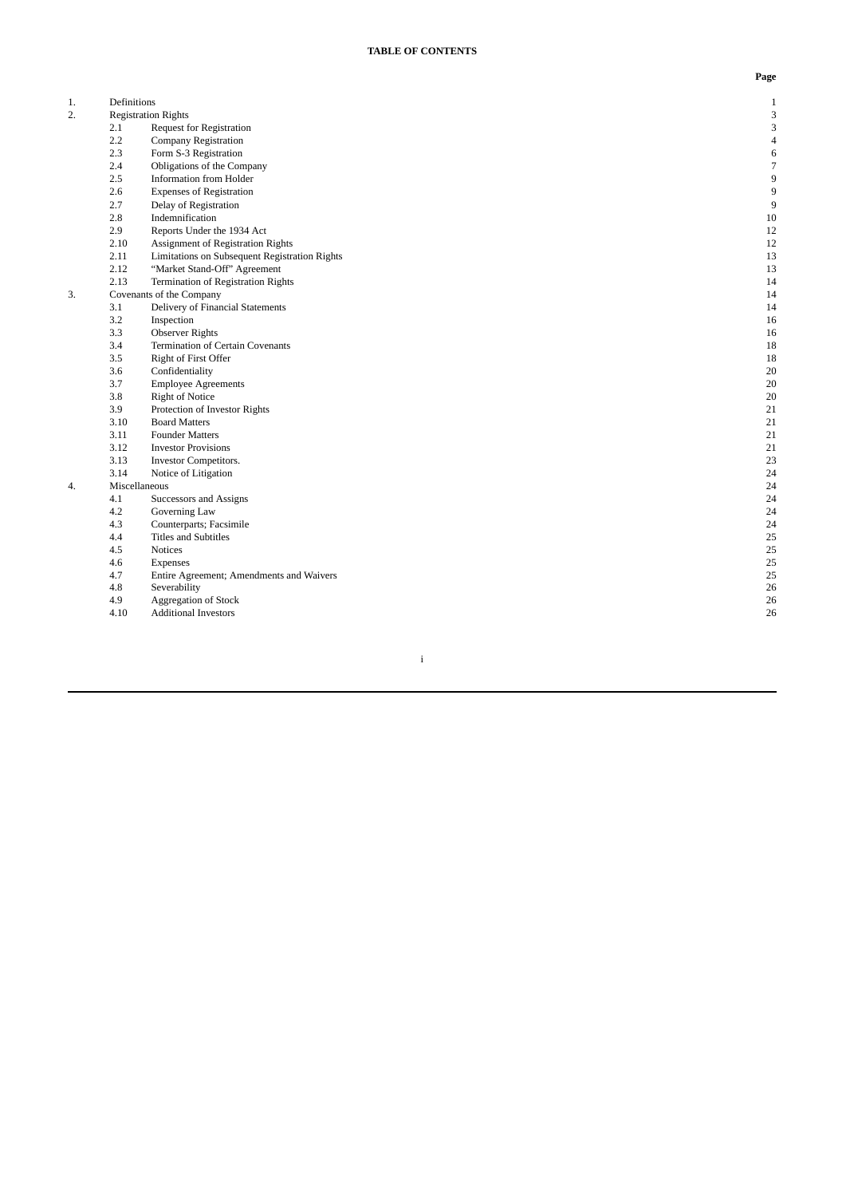| 1. | Definitions |                                               | $\mathbf{1}$     |
|----|-------------|-----------------------------------------------|------------------|
| 2. |             | <b>Registration Rights</b>                    | 3                |
|    | 2.1         | <b>Request for Registration</b>               | 3                |
|    | 2.2         | <b>Company Registration</b>                   | $\overline{4}$   |
|    | 2.3         | Form S-3 Registration                         | $\,6\,$          |
|    | 2.4         | Obligations of the Company                    | $\overline{7}$   |
|    | 2.5         | Information from Holder                       | $\boldsymbol{9}$ |
|    | 2.6         | <b>Expenses of Registration</b>               | $\boldsymbol{9}$ |
|    | 2.7         | Delay of Registration                         | 9                |
|    | 2.8         | Indemnification                               | $10\,$           |
|    | 2.9         | Reports Under the 1934 Act                    | 12               |
|    | 2.10        | Assignment of Registration Rights             | 12               |
|    | 2.11        | Limitations on Subsequent Registration Rights | 13               |
|    | 2.12        | "Market Stand-Off" Agreement                  | 13               |
|    | 2.13        | Termination of Registration Rights            | 14               |
| 3. |             | Covenants of the Company                      | 14               |
|    | 3.1         | Delivery of Financial Statements              | 14               |
|    | 3.2         | Inspection                                    | 16               |
|    | 3.3         | <b>Observer Rights</b>                        | 16               |
|    | 3.4         | <b>Termination of Certain Covenants</b>       | 18               |
|    | 3.5         | Right of First Offer                          | 18               |
|    | 3.6         | Confidentiality                               | 20               |
|    | 3.7         | <b>Employee Agreements</b>                    | 20               |
|    | 3.8         | <b>Right of Notice</b>                        | 20               |
|    | 3.9         | Protection of Investor Rights                 | 21               |
|    | 3.10        | <b>Board Matters</b>                          | 21               |
|    | 3.11        | <b>Founder Matters</b>                        | 21               |
|    | 3.12        | <b>Investor Provisions</b>                    | 21               |
|    | 3.13        | <b>Investor Competitors.</b>                  | 23               |
|    | 3.14        | Notice of Litigation                          | 24               |
| 4. |             | Miscellaneous                                 | 24               |
|    | 4.1         | Successors and Assigns                        | 24               |
|    | 4.2         | Governing Law                                 | 24               |
|    | 4.3         | Counterparts; Facsimile                       | 24               |
|    | 4.4         | <b>Titles and Subtitles</b>                   | 25               |
|    | 4.5         | <b>Notices</b>                                | 25               |
|    | 4.6         | Expenses                                      | 25               |
|    | 4.7         | Entire Agreement; Amendments and Waivers      | 25               |
|    | 4.8         | Severability                                  | 26               |
|    | 4.9         | Aggregation of Stock                          | 26               |
|    | 4.10        | <b>Additional Investors</b>                   | 26               |
|    |             |                                               |                  |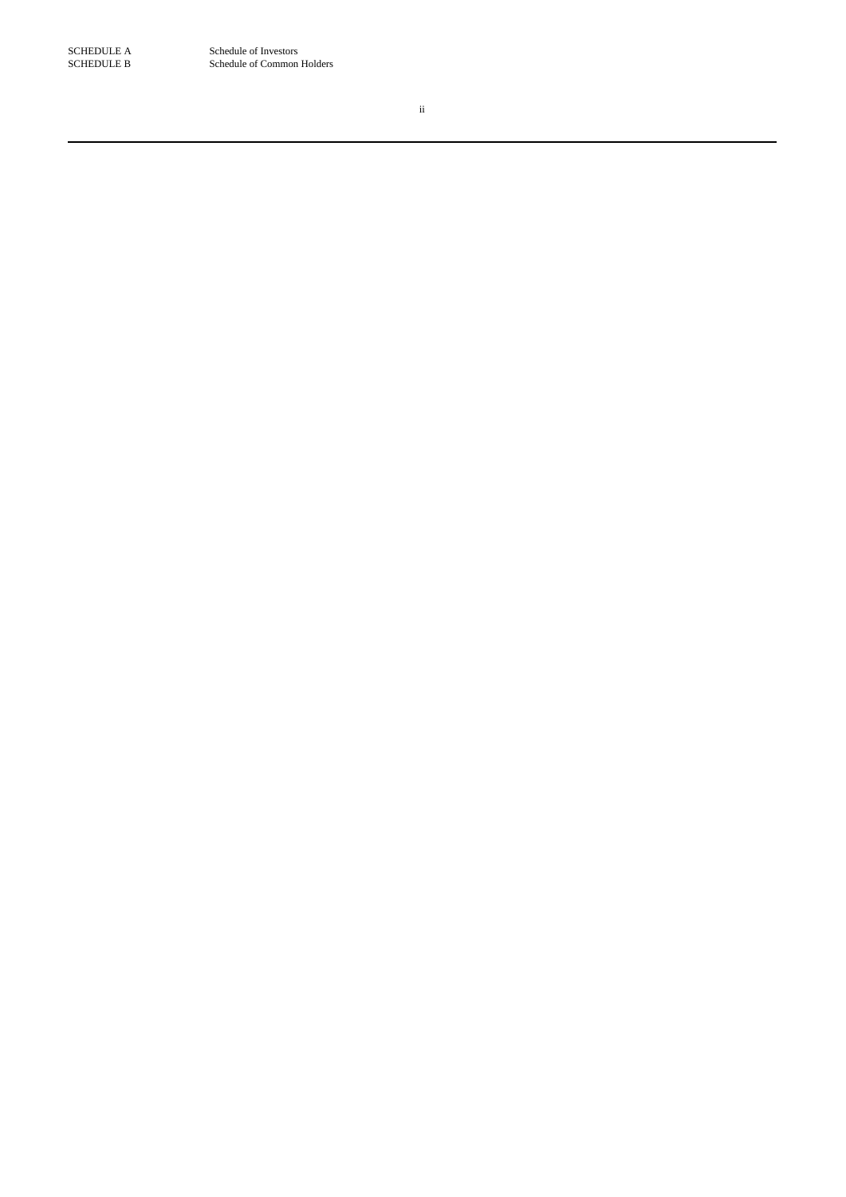SCHEDULE A Schedule of Investors<br>SCHEDULE B Schedule of Common Schedule of Common Holders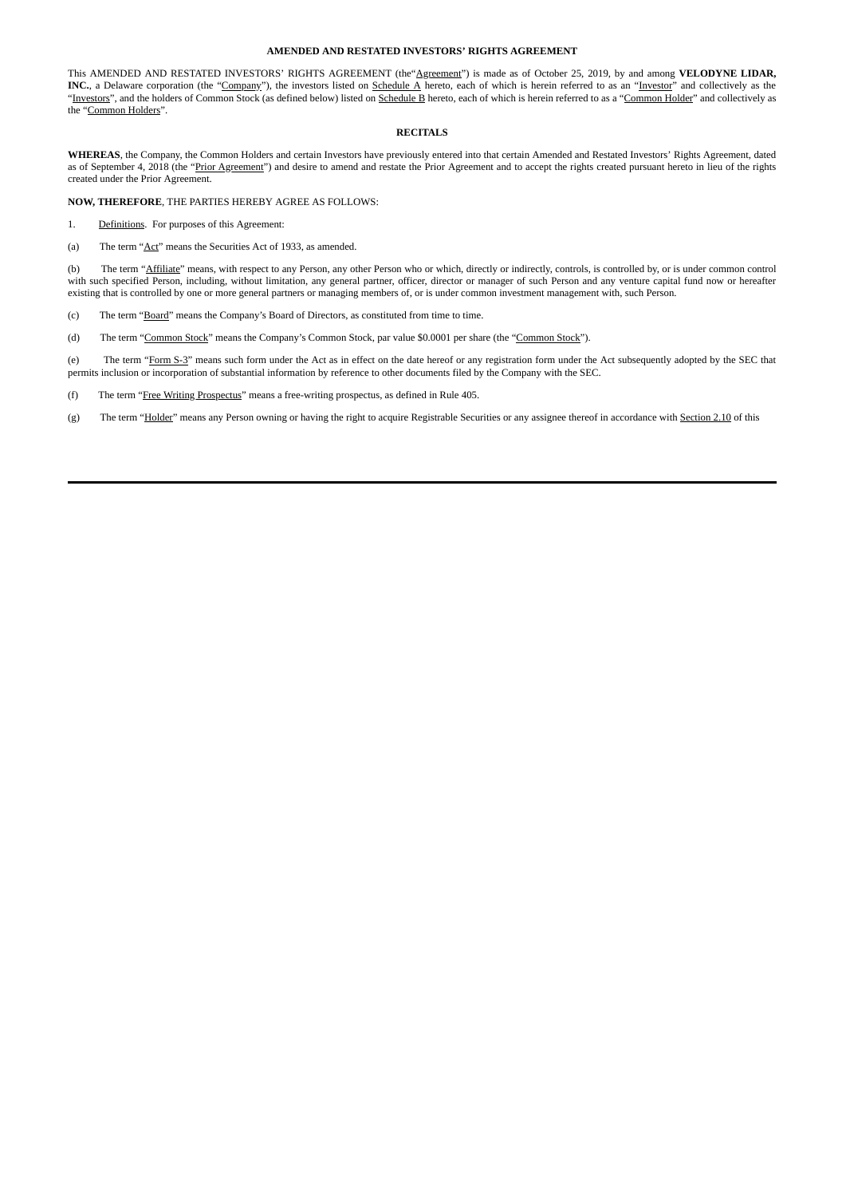#### **AMENDED AND RESTATED INVESTORS' RIGHTS AGREEMENT**

This AMENDED AND RESTATED INVESTORS' RIGHTS AGREEMENT (the"**Agreement**") is made as of October 25, 2019, by and among **VELODYNE LIDAR**, **INC.**, a Delaware corporation (the "Company"), the investors listed on Schedule A hereto, each of which is herein referred to as an "Investor" and collectively as the "Investors", and the holders of Common Stock (as defined below) listed on Schedule B hereto, each of which is herein referred to as a "Common Holder" and collectively as the "Common Holders".

### **RECITALS**

**WHEREAS**, the Company, the Common Holders and certain Investors have previously entered into that certain Amended and Restated Investors' Rights Agreement, dated as of September 4, 2018 (the "Prior Agreement") and desire to amend and restate the Prior Agreement and to accept the rights created pursuant hereto in lieu of the rights created under the Prior Agreement.

**NOW, THEREFORE**, THE PARTIES HEREBY AGREE AS FOLLOWS:

1. Definitions. For purposes of this Agreement:

(a) The term "Act" means the Securities Act of 1933, as amended.

(b) The term "Affiliate" means, with respect to any Person, any other Person who or which, directly or indirectly, controls, is controlled by, or is under common control with such specified Person, including, without limitation, any general partner, officer, director or manager of such Person and any venture capital fund now or hereafter existing that is controlled by one or more general partners or managing members of, or is under common investment management with, such Person.

(c) The term "Board" means the Company's Board of Directors, as constituted from time to time.

(d) The term "Common Stock" means the Company's Common Stock, par value \$0.0001 per share (the "Common Stock").

(e) The term "Form S-3" means such form under the Act as in effect on the date hereof or any registration form under the Act subsequently adopted by the SEC that permits inclusion or incorporation of substantial information by reference to other documents filed by the Company with the SEC.

(f) The term "Free Writing Prospectus" means a free-writing prospectus, as defined in Rule 405.

(g) The term "Holder" means any Person owning or having the right to acquire Registrable Securities or any assignee thereof in accordance with Section 2.10 of this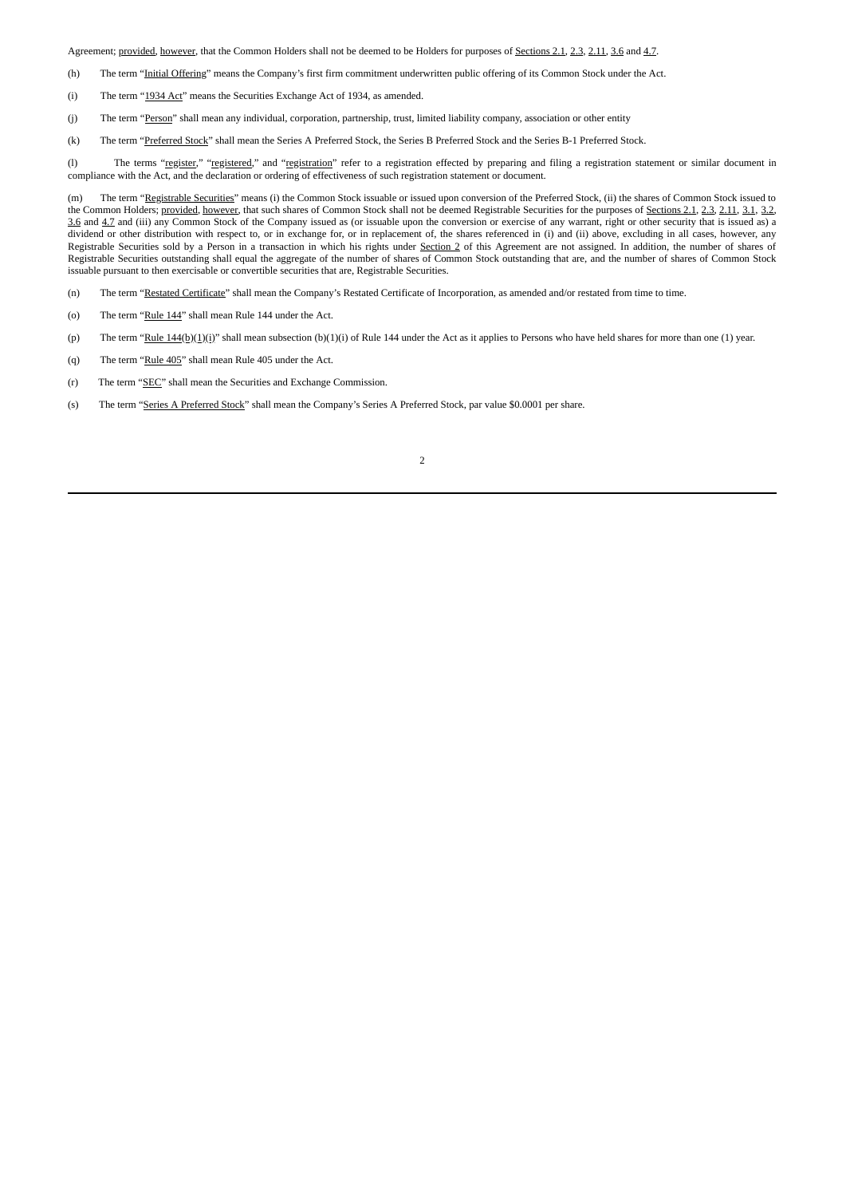Agreement; provided, however, that the Common Holders shall not be deemed to be Holders for purposes of Sections 2.1, 2.3, 2.11, 3.6 and 4.7.

- (h) The term "Initial Offering" means the Company's first firm commitment underwritten public offering of its Common Stock under the Act.
- (i) The term "1934 Act" means the Securities Exchange Act of 1934, as amended.
- (j) The term "Person" shall mean any individual, corporation, partnership, trust, limited liability company, association or other entity
- (k) The term "Preferred Stock" shall mean the Series A Preferred Stock, the Series B Preferred Stock and the Series B-1 Preferred Stock.

(l) The terms "register," "registered," and "registration" refer to a registration effected by preparing and filing a registration statement or similar document in compliance with the Act, and the declaration or ordering of effectiveness of such registration statement or document.

(m) The term "Registrable Securities" means (i) the Common Stock issuable or issued upon conversion of the Preferred Stock, (ii) the shares of Common Stock issued to the Common Holders; provided, however, that such shares of Common Stock shall not be deemed Registrable Securities for the purposes of Sections 2.1, 2.3, 2.11, 3.1, 3.2, 3.6 and 4.7 and (iii) any Common Stock of the Company issued as (or issuable upon the conversion or exercise of any warrant, right or other security that is issued as) a dividend or other distribution with respect to, or in exchange for, or in replacement of, the shares referenced in (i) and (ii) above, excluding in all cases, however, any Registrable Securities sold by a Person in a transaction in which his rights under Section 2 of this Agreement are not assigned. In addition, the number of shares of Registrable Securities outstanding shall equal the aggregate of the number of shares of Common Stock outstanding that are, and the number of shares of Common Stock issuable pursuant to then exercisable or convertible securities that are, Registrable Securities.

(n) The term "Restated Certificate" shall mean the Company's Restated Certificate of Incorporation, as amended and/or restated from time to time.

- (o) The term "Rule 144" shall mean Rule 144 under the Act.
- (p) The term "Rule  $144(b)(1)(i)$ " shall mean subsection (b)(1)(i) of Rule 144 under the Act as it applies to Persons who have held shares for more than one (1) year.
- (q) The term "Rule 405" shall mean Rule 405 under the Act.
- (r) The term "SEC" shall mean the Securities and Exchange Commission.
- (s) The term "Series A Preferred Stock" shall mean the Company's Series A Preferred Stock, par value \$0.0001 per share.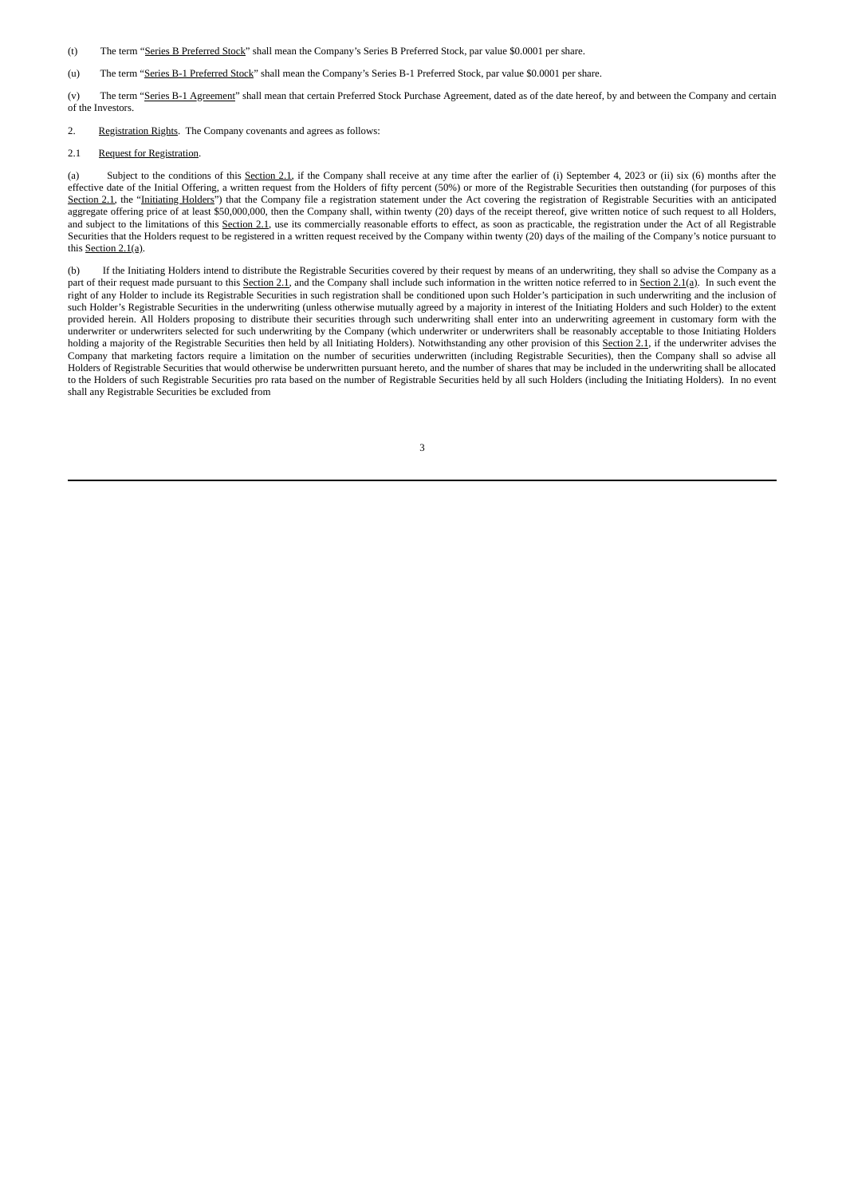- (t) The term "Series B Preferred Stock" shall mean the Company's Series B Preferred Stock, par value \$0.0001 per share.
- (u) The term "Series B-1 Preferred Stock" shall mean the Company's Series B-1 Preferred Stock, par value \$0.0001 per share.

(v) The term "Series B-1 Agreement" shall mean that certain Preferred Stock Purchase Agreement, dated as of the date hereof, by and between the Company and certain of the Investors.

2. Registration Rights. The Company covenants and agrees as follows:

#### 2.1 Request for Registration.

(a) Subject to the conditions of this Section 2.1, if the Company shall receive at any time after the earlier of (i) September 4, 2023 or (ii) six (6) months after the effective date of the Initial Offering, a written request from the Holders of fifty percent (50%) or more of the Registrable Securities then outstanding (for purposes of this Section 2.1, the "Initiating Holders") that the Company file a registration statement under the Act covering the registration of Registrable Securities with an anticipated aggregate offering price of at least \$50,000,000, then the Company shall, within twenty (20) days of the receipt thereof, give written notice of such request to all Holders, and subject to the limitations of this Section 2.1, use its commercially reasonable efforts to effect, as soon as practicable, the registration under the Act of all Registrable Securities that the Holders request to be registered in a written request received by the Company within twenty (20) days of the mailing of the Company's notice pursuant to this Section 2.1(a).

(b) If the Initiating Holders intend to distribute the Registrable Securities covered by their request by means of an underwriting, they shall so advise the Company as a part of their request made pursuant to this Section 2.1, and the Company shall include such information in the written notice referred to in Section 2.1(a). In such event the right of any Holder to include its Registrable Securities in such registration shall be conditioned upon such Holder's participation in such underwriting and the inclusion of such Holder's Registrable Securities in the underwriting (unless otherwise mutually agreed by a majority in interest of the Initiating Holders and such Holder) to the extent provided herein. All Holders proposing to distribute their securities through such underwriting shall enter into an underwriting agreement in customary form with the underwriter or underwriters selected for such underwriting by the Company (which underwriter or underwriters shall be reasonably acceptable to those Initiating Holders holding a majority of the Registrable Securities then held by all Initiating Holders). Notwithstanding any other provision of this Section 2.1, if the underwriter advises the Company that marketing factors require a limitation on the number of securities underwritten (including Registrable Securities), then the Company shall so advise all Holders of Registrable Securities that would otherwise be underwritten pursuant hereto, and the number of shares that may be included in the underwriting shall be allocated to the Holders of such Registrable Securities pro rata based on the number of Registrable Securities held by all such Holders (including the Initiating Holders). In no event shall any Registrable Securities be excluded from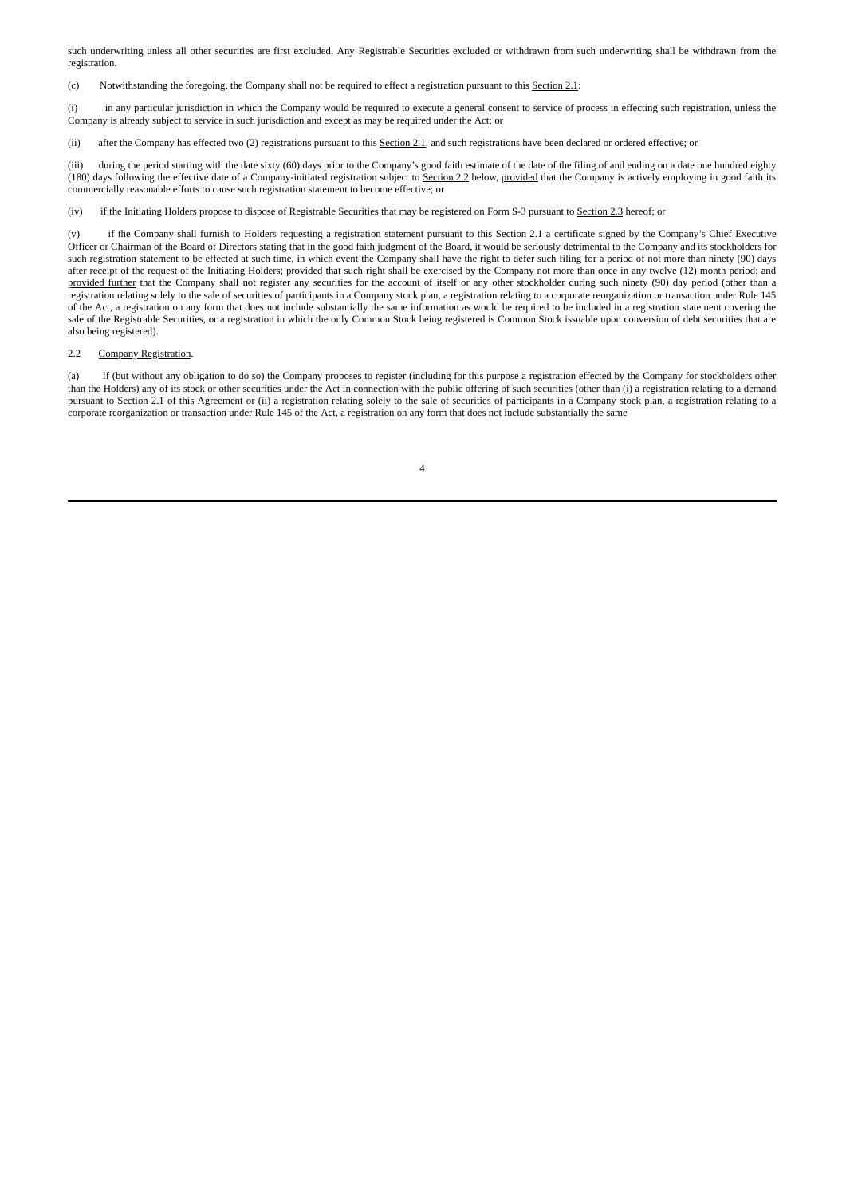such underwriting unless all other securities are first excluded. Any Registrable Securities excluded or withdrawn from such underwriting shall be withdrawn from the registration.

(c) Notwithstanding the foregoing, the Company shall not be required to effect a registration pursuant to this Section 2.1:

(i) in any particular jurisdiction in which the Company would be required to execute a general consent to service of process in effecting such registration, unless the Company is already subject to service in such jurisdiction and except as may be required under the Act; or

(ii) after the Company has effected two (2) registrations pursuant to this Section 2.1, and such registrations have been declared or ordered effective; or

(iii) during the period starting with the date sixty (60) days prior to the Company's good faith estimate of the date of the filing of and ending on a date one hundred eighty (180) days following the effective date of a Company-initiated registration subject to Section 2.2 below, provided that the Company is actively employing in good faith its commercially reasonable efforts to cause such registration statement to become effective; or

(iv) if the Initiating Holders propose to dispose of Registrable Securities that may be registered on Form S-3 pursuant to Section 2.3 hereof; or

(v) if the Company shall furnish to Holders requesting a registration statement pursuant to this Section 2.1 a certificate signed by the Company's Chief Executive Officer or Chairman of the Board of Directors stating that in the good faith judgment of the Board, it would be seriously detrimental to the Company and its stockholders for such registration statement to be effected at such time, in which event the Company shall have the right to defer such filing for a period of not more than ninety (90) days after receipt of the request of the Initiating Holders; provided that such right shall be exercised by the Company not more than once in any twelve (12) month period; and provided further that the Company shall not register any securities for the account of itself or any other stockholder during such ninety (90) day period (other than a registration relating solely to the sale of securities of participants in a Company stock plan, a registration relating to a corporate reorganization or transaction under Rule 145 of the Act, a registration on any form that does not include substantially the same information as would be required to be included in a registration statement covering the sale of the Registrable Securities, or a registration in which the only Common Stock being registered is Common Stock issuable upon conversion of debt securities that are also being registered).

#### 2.2 Company Registration.

(a) If (but without any obligation to do so) the Company proposes to register (including for this purpose a registration effected by the Company for stockholders other than the Holders) any of its stock or other securities under the Act in connection with the public offering of such securities (other than (i) a registration relating to a demand pursuant to Section 2.1 of this Agreement or (ii) a registration relating solely to the sale of securities of participants in a Company stock plan, a registration relating to a corporate reorganization or transaction under Rule 145 of the Act, a registration on any form that does not include substantially the same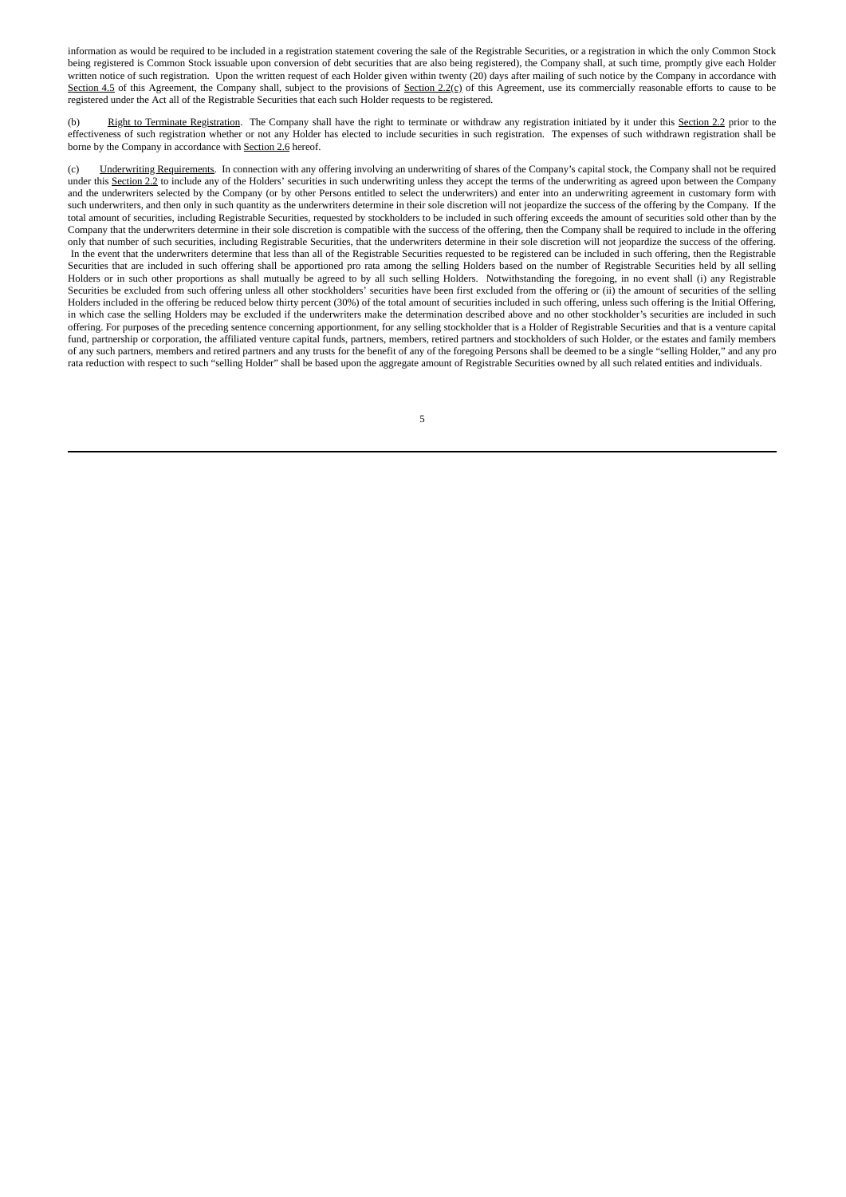information as would be required to be included in a registration statement covering the sale of the Registrable Securities, or a registration in which the only Common Stock being registered is Common Stock issuable upon conversion of debt securities that are also being registered), the Company shall, at such time, promptly give each Holder written notice of such registration. Upon the written request of each Holder given within twenty (20) days after mailing of such notice by the Company in accordance with Section 4.5 of this Agreement, the Company shall, subject to the provisions of Section 2.2(c) of this Agreement, use its commercially reasonable efforts to cause to be registered under the Act all of the Registrable Securities that each such Holder requests to be registered.

Right to Terminate Registration. The Company shall have the right to terminate or withdraw any registration initiated by it under this Section 2.2 prior to the effectiveness of such registration whether or not any Holder has elected to include securities in such registration. The expenses of such withdrawn registration shall be borne by the Company in accordance with Section 2.6 hereof.

(c) Underwriting Requirements. In connection with any offering involving an underwriting of shares of the Company's capital stock, the Company shall not be required under this Section 2.2 to include any of the Holders' securities in such underwriting unless they accept the terms of the underwriting as agreed upon between the Company and the underwriters selected by the Company (or by other Persons entitled to select the underwriters) and enter into an underwriting agreement in customary form with such underwriters, and then only in such quantity as the underwriters determine in their sole discretion will not jeopardize the success of the offering by the Company. If the total amount of securities, including Registrable Securities, requested by stockholders to be included in such offering exceeds the amount of securities sold other than by the Company that the underwriters determine in their sole discretion is compatible with the success of the offering, then the Company shall be required to include in the offering only that number of such securities, including Registrable Securities, that the underwriters determine in their sole discretion will not jeopardize the success of the offering. In the event that the underwriters determine that less than all of the Registrable Securities requested to be registered can be included in such offering, then the Registrable Securities that are included in such offering shall be apportioned pro rata among the selling Holders based on the number of Registrable Securities held by all selling Holders or in such other proportions as shall mutually be agreed to by all such selling Holders. Notwithstanding the foregoing, in no event shall (i) any Registrable Securities be excluded from such offering unless all other stockholders' securities have been first excluded from the offering or (ii) the amount of securities of the selling Holders included in the offering be reduced below thirty percent (30%) of the total amount of securities included in such offering, unless such offering is the Initial Offering, in which case the selling Holders may be excluded if the underwriters make the determination described above and no other stockholder's securities are included in such offering. For purposes of the preceding sentence concerning apportionment, for any selling stockholder that is a Holder of Registrable Securities and that is a venture capital fund, partnership or corporation, the affiliated venture capital funds, partners, members, retired partners and stockholders of such Holder, or the estates and family members of any such partners, members and retired partners and any trusts for the benefit of any of the foregoing Persons shall be deemed to be a single "selling Holder," and any pro rata reduction with respect to such "selling Holder" shall be based upon the aggregate amount of Registrable Securities owned by all such related entities and individuals.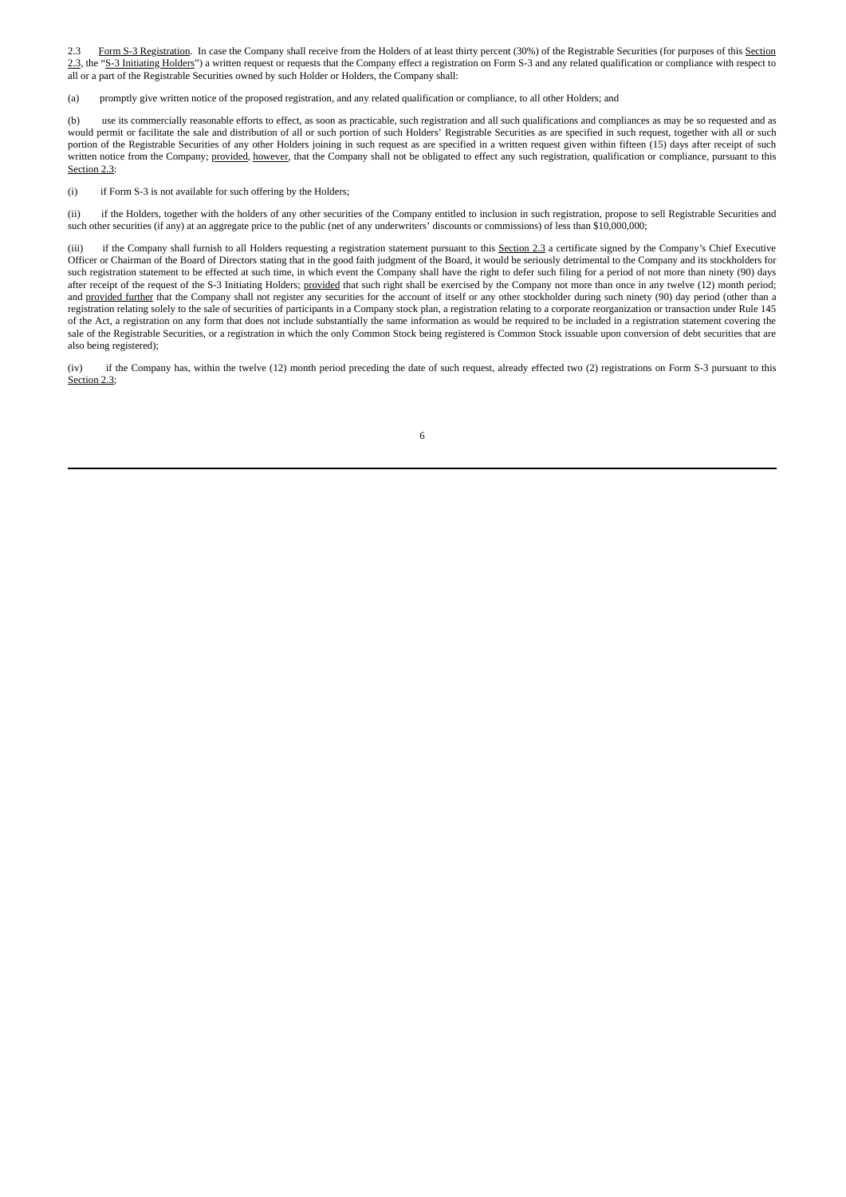2.3 Form S-3 Registration. In case the Company shall receive from the Holders of at least thirty percent (30%) of the Registrable Securities (for purposes of this Section 2.3, the "S-3 Initiating Holders") a written request or requests that the Company effect a registration on Form S-3 and any related qualification or compliance with respect to all or a part of the Registrable Securities owned by such Holder or Holders, the Company shall:

(a) promptly give written notice of the proposed registration, and any related qualification or compliance, to all other Holders; and

(b) use its commercially reasonable efforts to effect, as soon as practicable, such registration and all such qualifications and compliances as may be so requested and as would permit or facilitate the sale and distribution of all or such portion of such Holders' Registrable Securities as are specified in such request, together with all or such portion of the Registrable Securities of any other Holders joining in such request as are specified in a written request given within fifteen (15) days after receipt of such written notice from the Company; provided, however, that the Company shall not be obligated to effect any such registration, qualification or compliance, pursuant to this Section 2.3:

(i) if Form S-3 is not available for such offering by the Holders;

(ii) if the Holders, together with the holders of any other securities of the Company entitled to inclusion in such registration, propose to sell Registrable Securities and such other securities (if any) at an aggregate price to the public (net of any underwriters' discounts or commissions) of less than \$10,000,000;

(iii) if the Company shall furnish to all Holders requesting a registration statement pursuant to this Section 2.3 a certificate signed by the Company's Chief Executive Officer or Chairman of the Board of Directors stating that in the good faith judgment of the Board, it would be seriously detrimental to the Company and its stockholders for such registration statement to be effected at such time, in which event the Company shall have the right to defer such filing for a period of not more than ninety (90) days after receipt of the request of the S-3 Initiating Holders; provided that such right shall be exercised by the Company not more than once in any twelve (12) month period; and provided further that the Company shall not register any securities for the account of itself or any other stockholder during such ninety (90) day period (other than a registration relating solely to the sale of securities of participants in a Company stock plan, a registration relating to a corporate reorganization or transaction under Rule 145 of the Act, a registration on any form that does not include substantially the same information as would be required to be included in a registration statement covering the sale of the Registrable Securities, or a registration in which the only Common Stock being registered is Common Stock issuable upon conversion of debt securities that are also being registered);

(iv) if the Company has, within the twelve (12) month period preceding the date of such request, already effected two (2) registrations on Form S-3 pursuant to this Section 2.3;

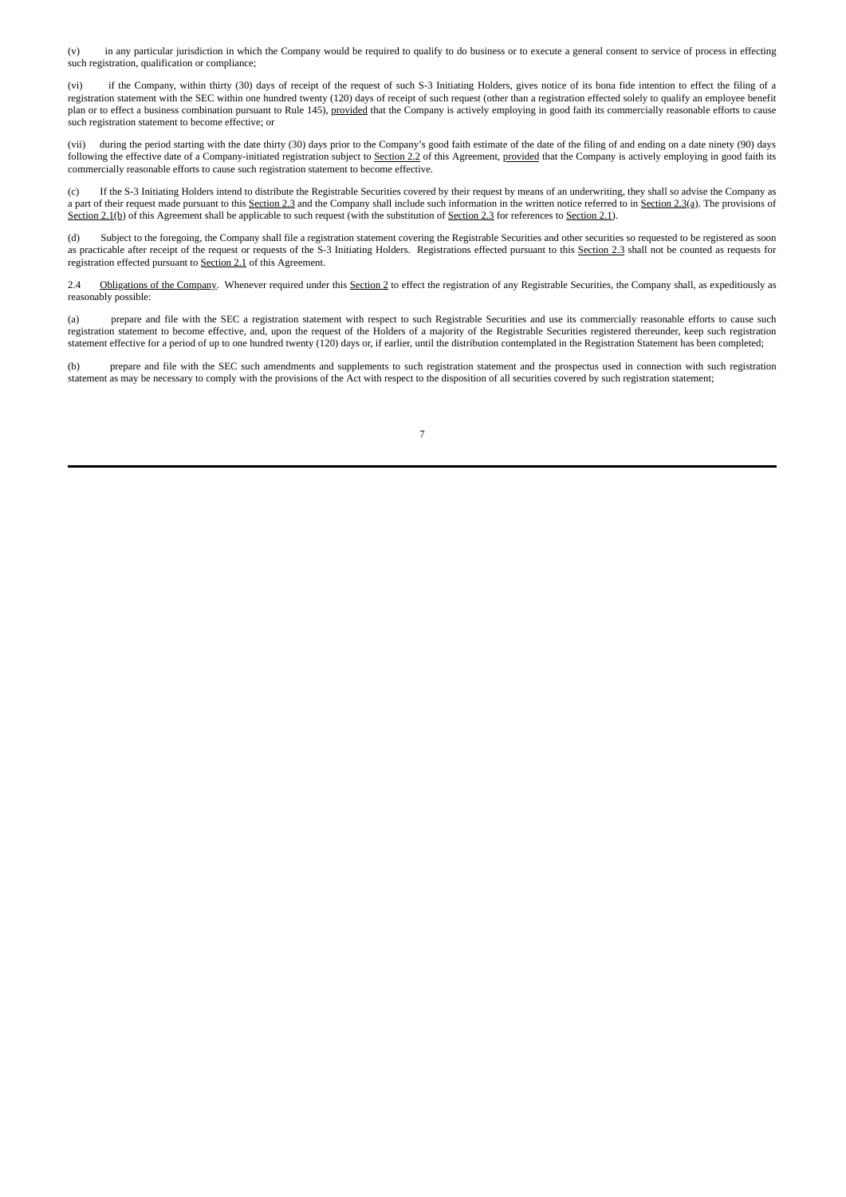(v) in any particular jurisdiction in which the Company would be required to qualify to do business or to execute a general consent to service of process in effecting such registration, qualification or compliance;

(vi) if the Company, within thirty (30) days of receipt of the request of such S-3 Initiating Holders, gives notice of its bona fide intention to effect the filing of a registration statement with the SEC within one hundred twenty (120) days of receipt of such request (other than a registration effected solely to qualify an employee benefit plan or to effect a business combination pursuant to Rule 145), provided that the Company is actively employing in good faith its commercially reasonable efforts to cause such registration statement to become effective; or

(vii) during the period starting with the date thirty (30) days prior to the Company's good faith estimate of the date of the filing of and ending on a date ninety (90) days following the effective date of a Company-initiated registration subject to Section 2.2 of this Agreement, <u>provided</u> that the Company is actively employing in good faith its following the effective date of a Company-initi commercially reasonable efforts to cause such registration statement to become effective.

(c) If the S-3 Initiating Holders intend to distribute the Registrable Securities covered by their request by means of an underwriting, they shall so advise the Company as a part of their request made pursuant to this Section 2.3 and the Company shall include such information in the written notice referred to in Section 2.3(a). The provisions of Section 2.1(b) of this Agreement shall be applicable to such request (with the substitution of Section 2.3 for references to Section 2.1).

(d) Subject to the foregoing, the Company shall file a registration statement covering the Registrable Securities and other securities so requested to be registered as soon as practicable after receipt of the request or requests of the S-3 Initiating Holders. Registrations effected pursuant to this Section 2.3 shall not be counted as requests for registration effected pursuant to Section 2.1 of this Agreement.

2.4 Obligations of the Company. Whenever required under this Section 2 to effect the registration of any Registrable Securities, the Company shall, as expeditiously as reasonably possible:

(a) prepare and file with the SEC a registration statement with respect to such Registrable Securities and use its commercially reasonable efforts to cause such registration statement to become effective, and, upon the request of the Holders of a majority of the Registrable Securities registered thereunder, keep such registration statement effective for a period of up to one hundred twenty (120) days or, if earlier, until the distribution contemplated in the Registration Statement has been completed;

(b) prepare and file with the SEC such amendments and supplements to such registration statement and the prospectus used in connection with such registration statement as may be necessary to comply with the provisions of the Act with respect to the disposition of all securities covered by such registration statement;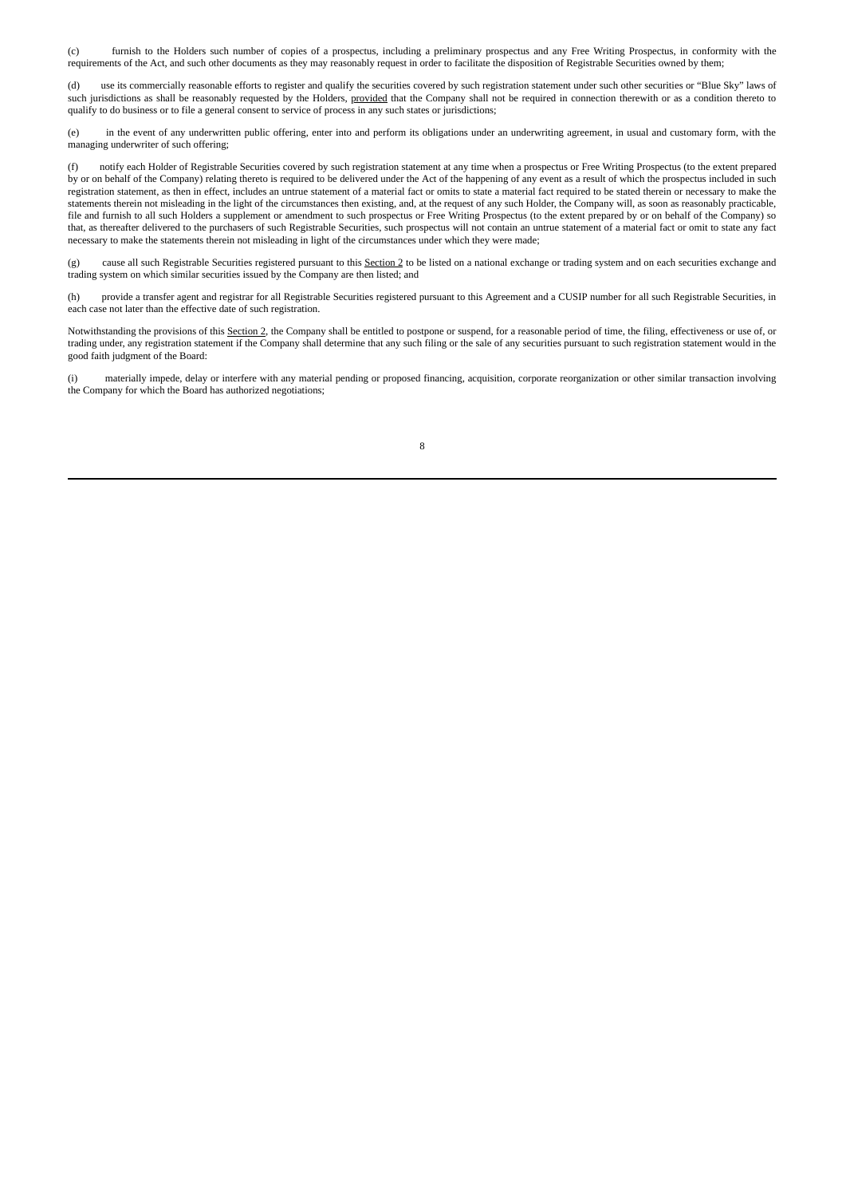(c) furnish to the Holders such number of copies of a prospectus, including a preliminary prospectus and any Free Writing Prospectus, in conformity with the requirements of the Act, and such other documents as they may reasonably request in order to facilitate the disposition of Registrable Securities owned by them;

(d) use its commercially reasonable efforts to register and qualify the securities covered by such registration statement under such other securities or "Blue Sky" laws of such jurisdictions as shall be reasonably requested by the Holders, provided that the Company shall not be required in connection therewith or as a condition thereto to qualify to do business or to file a general consent to service of process in any such states or jurisdictions;

(e) in the event of any underwritten public offering, enter into and perform its obligations under an underwriting agreement, in usual and customary form, with the managing underwriter of such offering;

(f) notify each Holder of Registrable Securities covered by such registration statement at any time when a prospectus or Free Writing Prospectus (to the extent prepared by or on behalf of the Company) relating thereto is required to be delivered under the Act of the happening of any event as a result of which the prospectus included in such registration statement, as then in effect, includes an untrue statement of a material fact or omits to state a material fact required to be stated therein or necessary to make the statements therein not misleading in the light of the circumstances then existing, and, at the request of any such Holder, the Company will, as soon as reasonably practicable, file and furnish to all such Holders a supplement or amendment to such prospectus or Free Writing Prospectus (to the extent prepared by or on behalf of the Company) so that, as thereafter delivered to the purchasers of such Registrable Securities, such prospectus will not contain an untrue statement of a material fact or omit to state any fact necessary to make the statements therein not misleading in light of the circumstances under which they were made;

(g) cause all such Registrable Securities registered pursuant to this Section 2 to be listed on a national exchange or trading system and on each securities exchange and trading system on which similar securities issued by the Company are then listed; and

(h) provide a transfer agent and registrar for all Registrable Securities registered pursuant to this Agreement and a CUSIP number for all such Registrable Securities, in each case not later than the effective date of such registration.

Notwithstanding the provisions of this Section 2, the Company shall be entitled to postpone or suspend, for a reasonable period of time, the filing, effectiveness or use of, or trading under, any registration statement if the Company shall determine that any such filing or the sale of any securities pursuant to such registration statement would in the good faith judgment of the Board:

(i) materially impede, delay or interfere with any material pending or proposed financing, acquisition, corporate reorganization or other similar transaction involving the Company for which the Board has authorized negotiations;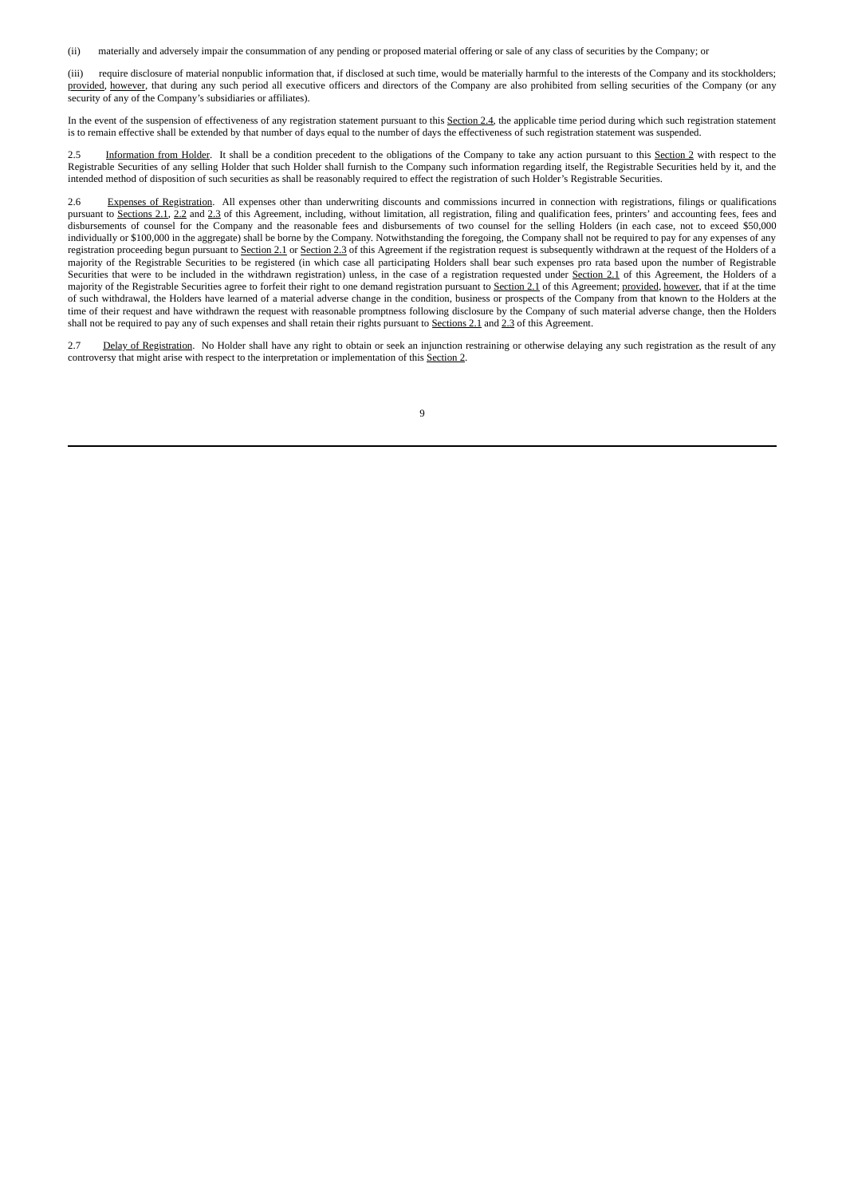(ii) materially and adversely impair the consummation of any pending or proposed material offering or sale of any class of securities by the Company; or

(iii) require disclosure of material nonpublic information that, if disclosed at such time, would be materially harmful to the interests of the Company and its stockholders; provided, however, that during any such period all executive officers and directors of the Company are also prohibited from selling securities of the Company (or any security of any of the Company's subsidiaries or affiliates).

In the event of the suspension of effectiveness of any registration statement pursuant to this Section 2.4, the applicable time period during which such registration statement is to remain effective shall be extended by that number of days equal to the number of days the effectiveness of such registration statement was suspended.

Information from Holder. It shall be a condition precedent to the obligations of the Company to take any action pursuant to this Section 2 with respect to the Registrable Securities of any selling Holder that such Holder shall furnish to the Company such information regarding itself, the Registrable Securities held by it, and the intended method of disposition of such securities as shall be reasonably required to effect the registration of such Holder's Registrable Securities.

2.6 Expenses of Registration. All expenses other than underwriting discounts and commissions incurred in connection with registrations, filings or qualifications pursuant to Sections 2.1, 2.2 and 2.3 of this Agreement, including, without limitation, all registration, filing and qualification fees, printers' and accounting fees, fees and disbursements of counsel for the Company and the reasonable fees and disbursements of two counsel for the selling Holders (in each case, not to exceed \$50,000 individually or \$100,000 in the aggregate) shall be borne by the Company. Notwithstanding the foregoing, the Company shall not be required to pay for any expenses of any registration proceeding begun pursuant to Section 2.1 or Section 2.3 of this Agreement if the registration request is subsequently withdrawn at the request of the Holders of a majority of the Registrable Securities to be registered (in which case all participating Holders shall bear such expenses pro rata based upon the number of Registrable Securities that were to be included in the withdrawn registration) unless, in the case of a registration requested under Section 2.1 of this Agreement, the Holders of a majority of the Registrable Securities agree to forfeit their right to one demand registration pursuant to Section 2.1 of this Agreement; provided, however, that if at the time of such withdrawal, the Holders have learned of a material adverse change in the condition, business or prospects of the Company from that known to the Holders at the time of their request and have withdrawn the request with reasonable promptness following disclosure by the Company of such material adverse change, then the Holders shall not be required to pay any of such expenses and shall retain their rights pursuant to Sections 2.1 and 2.3 of this Agreement.

2.7 Delay of Registration. No Holder shall have any right to obtain or seek an injunction restraining or otherwise delaying any such registration as the result of any controversy that might arise with respect to the interpretation or implementation of this Section 2.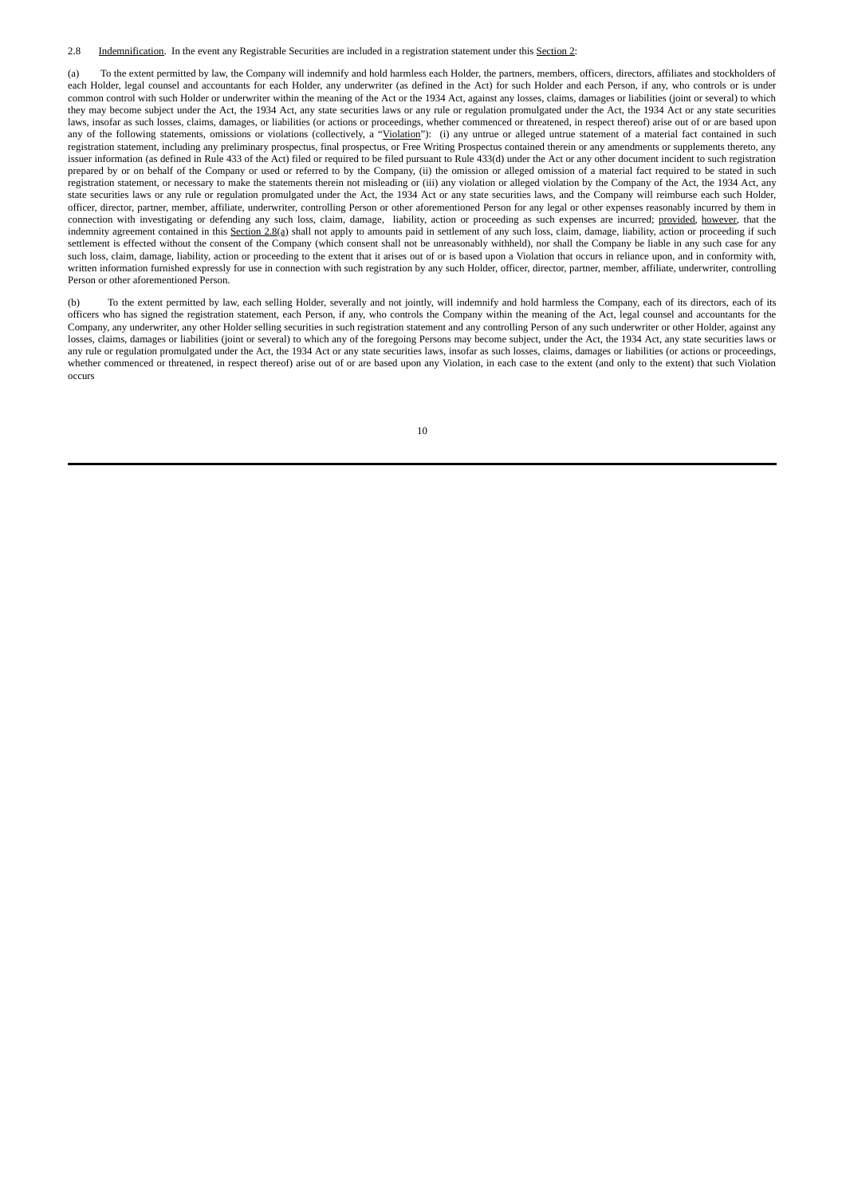2.8 Indemnification. In the event any Registrable Securities are included in a registration statement under this Section 2:

(a) To the extent permitted by law, the Company will indemnify and hold harmless each Holder, the partners, members, officers, directors, affiliates and stockholders of each Holder, legal counsel and accountants for each Holder, any underwriter (as defined in the Act) for such Holder and each Person, if any, who controls or is under common control with such Holder or underwriter within the meaning of the Act or the 1934 Act, against any losses, claims, damages or liabilities (joint or several) to which they may become subject under the Act, the 1934 Act, any state securities laws or any rule or regulation promulgated under the Act, the 1934 Act or any state securities laws, insofar as such losses, claims, damages, or liabilities (or actions or proceedings, whether commenced or threatened, in respect thereof) arise out of or are based upon any of the following statements, omissions or violations (collectively, a "Violation"): (i) any untrue or alleged untrue statement of a material fact contained in such registration statement, including any preliminary prospectus, final prospectus, or Free Writing Prospectus contained therein or any amendments or supplements thereto, any issuer information (as defined in Rule 433 of the Act) filed or required to be filed pursuant to Rule 433(d) under the Act or any other document incident to such registration prepared by or on behalf of the Company or used or referred to by the Company, (ii) the omission or alleged omission of a material fact required to be stated in such registration statement, or necessary to make the statements therein not misleading or (iii) any violation or alleged violation by the Company of the Act, the 1934 Act, any state securities laws or any rule or regulation promulgated under the Act, the 1934 Act or any state securities laws, and the Company will reimburse each such Holder, officer, director, partner, member, affiliate, underwriter, controlling Person or other aforementioned Person for any legal or other expenses reasonably incurred by them in connection with investigating or defending any such loss, claim, damage, liability, action or proceeding as such expenses are incurred; provided, however, that the indemnity agreement contained in this Section 2.8(a) shall not apply to amounts paid in settlement of any such loss, claim, damage, liability, action or proceeding if such settlement is effected without the consent of the Company (which consent shall not be unreasonably withheld), nor shall the Company be liable in any such case for any such loss, claim, damage, liability, action or proceeding to the extent that it arises out of or is based upon a Violation that occurs in reliance upon, and in conformity with, written information furnished expressly for use in connection with such registration by any such Holder, officer, director, partner, member, affiliate, underwriter, controlling Person or other aforementioned Person.

(b) To the extent permitted by law, each selling Holder, severally and not jointly, will indemnify and hold harmless the Company, each of its directors, each of its officers who has signed the registration statement, each Person, if any, who controls the Company within the meaning of the Act, legal counsel and accountants for the Company, any underwriter, any other Holder selling securities in such registration statement and any controlling Person of any such underwriter or other Holder, against any losses, claims, damages or liabilities (joint or several) to which any of the foregoing Persons may become subject, under the Act, the 1934 Act, any state securities laws or any rule or regulation promulgated under the Act, the 1934 Act or any state securities laws, insofar as such losses, claims, damages or liabilities (or actions or proceedings, whether commenced or threatened, in respect thereof) arise out of or are based upon any Violation, in each case to the extent (and only to the extent) that such Violation occurs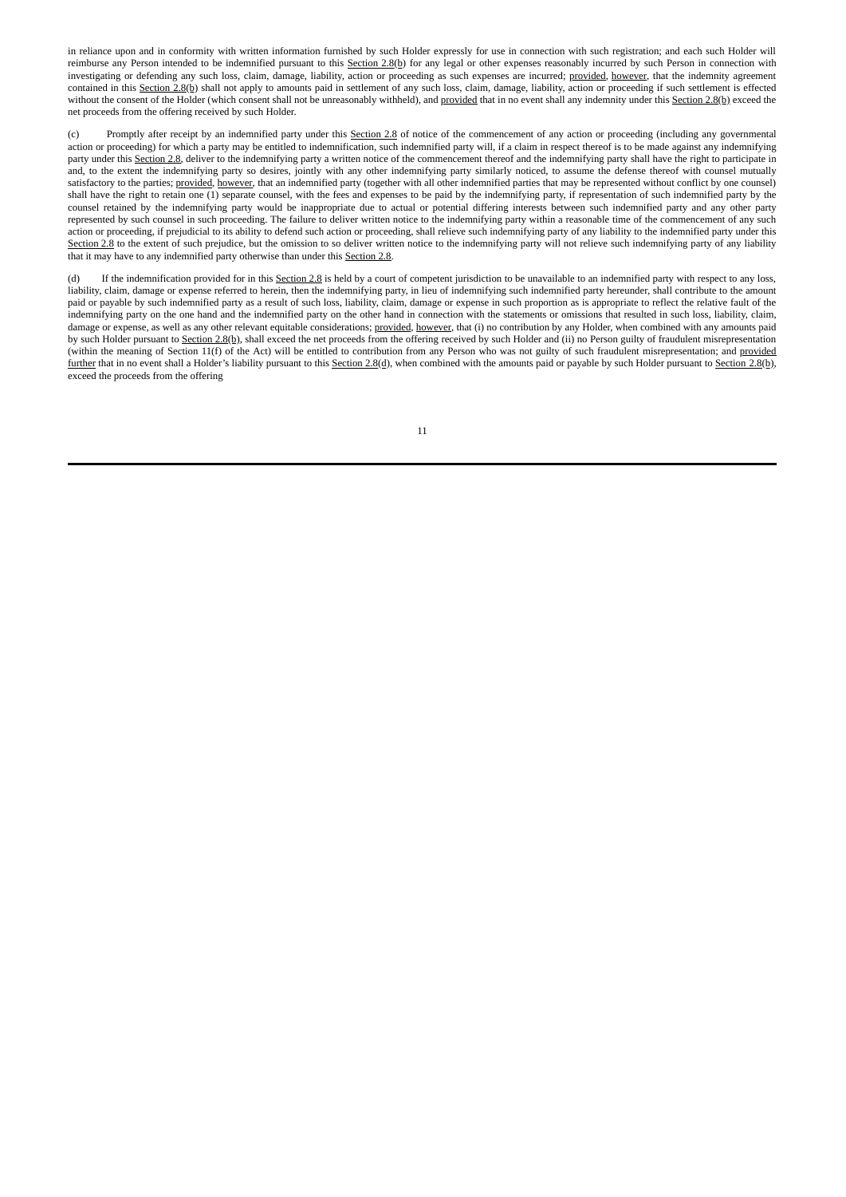in reliance upon and in conformity with written information furnished by such Holder expressly for use in connection with such registration; and each such Holder will reimburse any Person intended to be indemnified pursuant to this Section 2.8(b) for any legal or other expenses reasonably incurred by such Person in connection with investigating or defending any such loss, claim, damage, liability, action or proceeding as such expenses are incurred; provided, however, that the indemnity agreement contained in this Section 2.8(b) shall not apply to amounts paid in settlement of any such loss, claim, damage, liability, action or proceeding if such settlement is effected without the consent of the Holder (which consent shall not be unreasonably withheld), and provided that in no event shall any indemnity under this Section 2.8(b) exceed the net proceeds from the offering received by such Holder.

(c) Promptly after receipt by an indemnified party under this Section 2.8 of notice of the commencement of any action or proceeding (including any governmental action or proceeding) for which a party may be entitled to indemnification, such indemnified party will, if a claim in respect thereof is to be made against any indemnifying party under this Section 2.8, deliver to the indemnifying party a written notice of the commencement thereof and the indemnifying party shall have the right to participate in and, to the extent the indemnifying party so desires, jointly with any other indemnifying party similarly noticed, to assume the defense thereof with counsel mutually satisfactory to the parties; provided, however, that an indemnified party (together with all other indemnified parties that may be represented without conflict by one counsel) shall have the right to retain one (1) separate counsel, with the fees and expenses to be paid by the indemnifying party, if representation of such indemnified party by the counsel retained by the indemnifying party would be inappropriate due to actual or potential differing interests between such indemnified party and any other party represented by such counsel in such proceeding. The failure to deliver written notice to the indemnifying party within a reasonable time of the commencement of any such action or proceeding, if prejudicial to its ability to defend such action or proceeding, shall relieve such indemnifying party of any liability to the indemnified party under this Section 2.8 to the extent of such prejudice, but the omission to so deliver written notice to the indemnifying party will not relieve such indemnifying party of any liability that it may have to any indemnified party otherwise than under this Section 2.8.

(d) If the indemnification provided for in this Section 2.8 is held by a court of competent jurisdiction to be unavailable to an indemnified party with respect to any loss, liability, claim, damage or expense referred to herein, then the indemnifying party, in lieu of indemnifying such indemnified party hereunder, shall contribute to the amount paid or payable by such indemnified party as a result of such loss, liability, claim, damage or expense in such proportion as is appropriate to reflect the relative fault of the indemnifying party on the one hand and the indemnified party on the other hand in connection with the statements or omissions that resulted in such loss, liability, claim, damage or expense, as well as any other relevant equitable considerations; provided, however, that (i) no contribution by any Holder, when combined with any amounts paid by such Holder pursuant to Section 2.8(b), shall exceed the net proceeds from the offering received by such Holder and (ii) no Person guilty of fraudulent misrepresentation (within the meaning of Section 11(f) of the Act) will be entitled to contribution from any Person who was not guilty of such fraudulent misrepresentation; and provided further that in no event shall a Holder's liability pursuant to this Section 2.8(d), when combined with the amounts paid or payable by such Holder pursuant to Section 2.8(b), exceed the proceeds from the offering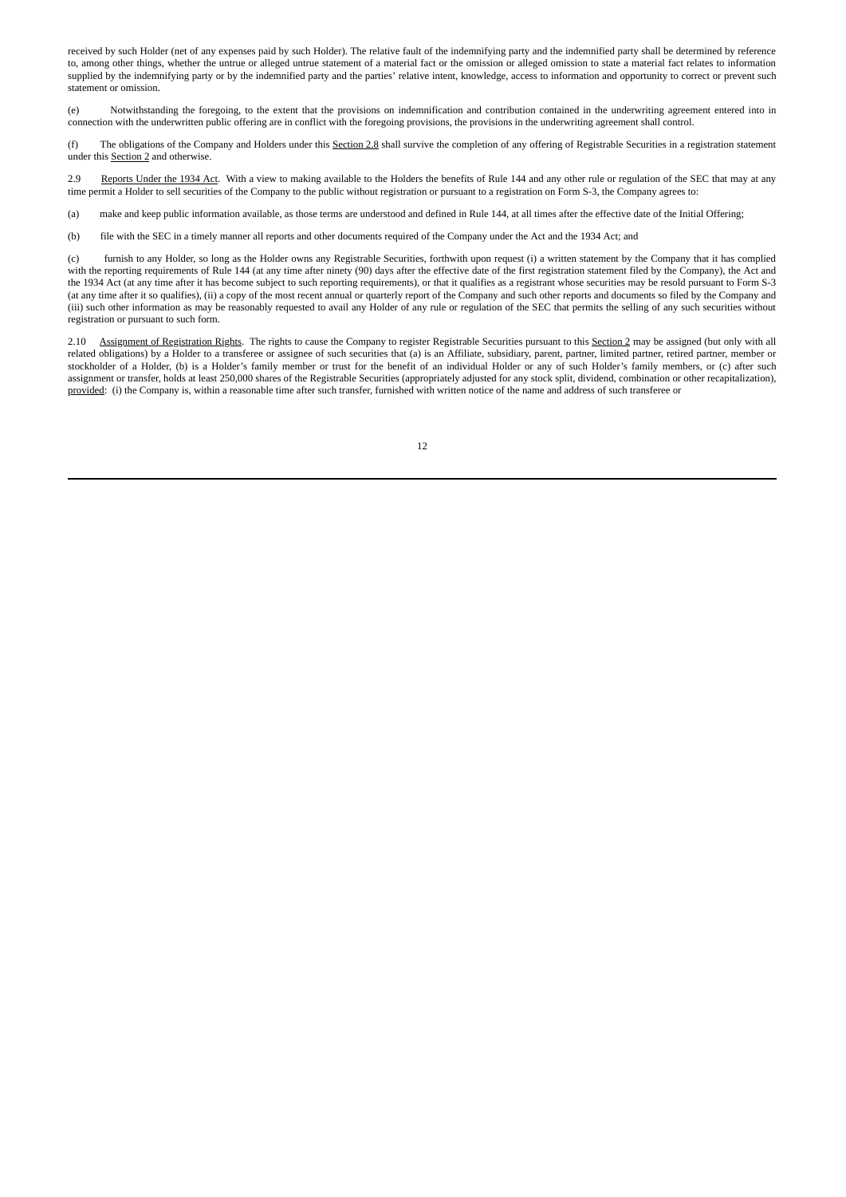received by such Holder (net of any expenses paid by such Holder). The relative fault of the indemnifying party and the indemnified party shall be determined by reference to, among other things, whether the untrue or alleged untrue statement of a material fact or the omission or alleged omission to state a material fact relates to information supplied by the indemnifying party or by the indemnified party and the parties' relative intent, knowledge, access to information and opportunity to correct or prevent such statement or omission.

(e) Notwithstanding the foregoing, to the extent that the provisions on indemnification and contribution contained in the underwriting agreement entered into in connection with the underwritten public offering are in conflict with the foregoing provisions, the provisions in the underwriting agreement shall control.

(f) The obligations of the Company and Holders under this Section 2.8 shall survive the completion of any offering of Registrable Securities in a registration statement under this Section 2 and otherwise.

2.9 Reports Under the 1934 Act. With a view to making available to the Holders the benefits of Rule 144 and any other rule or regulation of the SEC that may at any time permit a Holder to sell securities of the Company to the public without registration or pursuant to a registration on Form S-3, the Company agrees to:

(a) make and keep public information available, as those terms are understood and defined in Rule 144, at all times after the effective date of the Initial Offering;

(b) file with the SEC in a timely manner all reports and other documents required of the Company under the Act and the 1934 Act; and

(c) furnish to any Holder, so long as the Holder owns any Registrable Securities, forthwith upon request (i) a written statement by the Company that it has complied with the reporting requirements of Rule 144 (at any time after ninety (90) days after the effective date of the first registration statement filed by the Company), the Act and the 1934 Act (at any time after it has become subject to such reporting requirements), or that it qualifies as a registrant whose securities may be resold pursuant to Form S-3 (at any time after it so qualifies), (ii) a copy of the most recent annual or quarterly report of the Company and such other reports and documents so filed by the Company and (iii) such other information as may be reasonably requested to avail any Holder of any rule or regulation of the SEC that permits the selling of any such securities without registration or pursuant to such form.

2.10 Assignment of Registration Rights. The rights to cause the Company to register Registrable Securities pursuant to this Section 2 may be assigned (but only with all related obligations) by a Holder to a transferee or assignee of such securities that (a) is an Affiliate, subsidiary, parent, partner, limited partner, retired partner, member or stockholder of a Holder, (b) is a Holder's family member or trust for the benefit of an individual Holder or any of such Holder's family members, or (c) after such assignment or transfer, holds at least 250,000 shares of the Registrable Securities (appropriately adjusted for any stock split, dividend, combination or other recapitalization), provided: (i) the Company is, within a reasonable time after such transfer, furnished with written notice of the name and address of such transferee or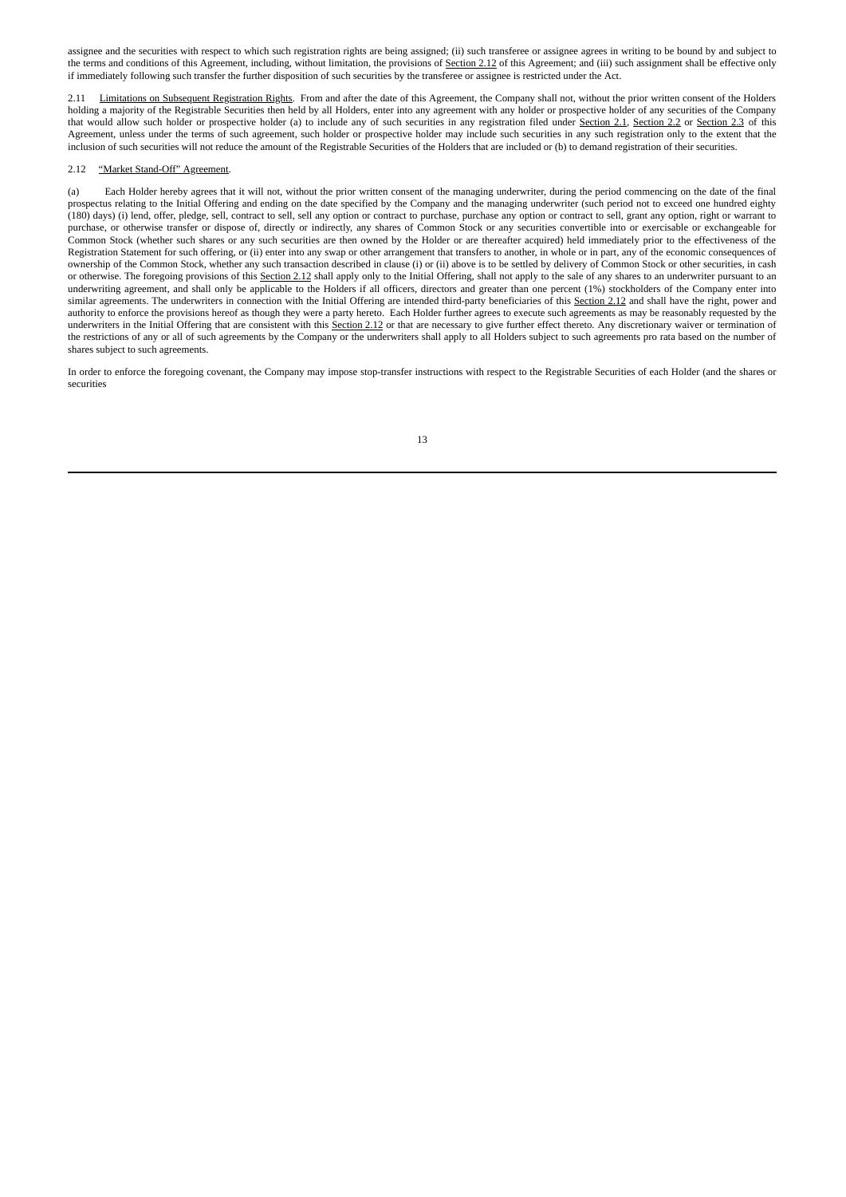assignee and the securities with respect to which such registration rights are being assigned; (ii) such transferee or assignee agrees in writing to be bound by and subject to the terms and conditions of this Agreement, including, without limitation, the provisions of Section 2.12 of this Agreement; and (iii) such assignment shall be effective only if immediately following such transfer the further disposition of such securities by the transferee or assignee is restricted under the Act.

2.11 Limitations on Subsequent Registration Rights. From and after the date of this Agreement, the Company shall not, without the prior written consent of the Holders holding a majority of the Registrable Securities then held by all Holders, enter into any agreement with any holder or prospective holder of any securities of the Company that would allow such holder or prospective holder (a) to include any of such securities in any registration filed under Section 2.1, Section 2.2 or Section 2.3 of this Agreement, unless under the terms of such agreement, such holder or prospective holder may include such securities in any such registration only to the extent that the inclusion of such securities will not reduce the amount of the Registrable Securities of the Holders that are included or (b) to demand registration of their securities.

#### 2.12 "Market Stand-Off" Agreement.

(a) Each Holder hereby agrees that it will not, without the prior written consent of the managing underwriter, during the period commencing on the date of the final prospectus relating to the Initial Offering and ending on the date specified by the Company and the managing underwriter (such period not to exceed one hundred eighty (180) days) (i) lend, offer, pledge, sell, contract to sell, sell any option or contract to purchase, purchase any option or contract to sell, grant any option, right or warrant to purchase, or otherwise transfer or dispose of, directly or indirectly, any shares of Common Stock or any securities convertible into or exercisable or exchangeable for Common Stock (whether such shares or any such securities are then owned by the Holder or are thereafter acquired) held immediately prior to the effectiveness of the Registration Statement for such offering, or (ii) enter into any swap or other arrangement that transfers to another, in whole or in part, any of the economic consequences of ownership of the Common Stock, whether any such transaction described in clause (i) or (ii) above is to be settled by delivery of Common Stock or other securities, in cash or otherwise. The foregoing provisions of this Section 2.12 shall apply only to the Initial Offering, shall not apply to the sale of any shares to an underwriter pursuant to an underwriting agreement, and shall only be applicable to the Holders if all officers, directors and greater than one percent (1%) stockholders of the Company enter into similar agreements. The underwriters in connection with the Initial Offering are intended third-party beneficiaries of this Section 2.12 and shall have the right, power and authority to enforce the provisions hereof as though they were a party hereto. Each Holder further agrees to execute such agreements as may be reasonably requested by the underwriters in the Initial Offering that are consistent with this Section 2.12 or that are necessary to give further effect thereto. Any discretionary waiver or termination of the restrictions of any or all of such agreements by the Company or the underwriters shall apply to all Holders subject to such agreements pro rata based on the number of shares subject to such agreements.

In order to enforce the foregoing covenant, the Company may impose stop-transfer instructions with respect to the Registrable Securities of each Holder (and the shares or securities

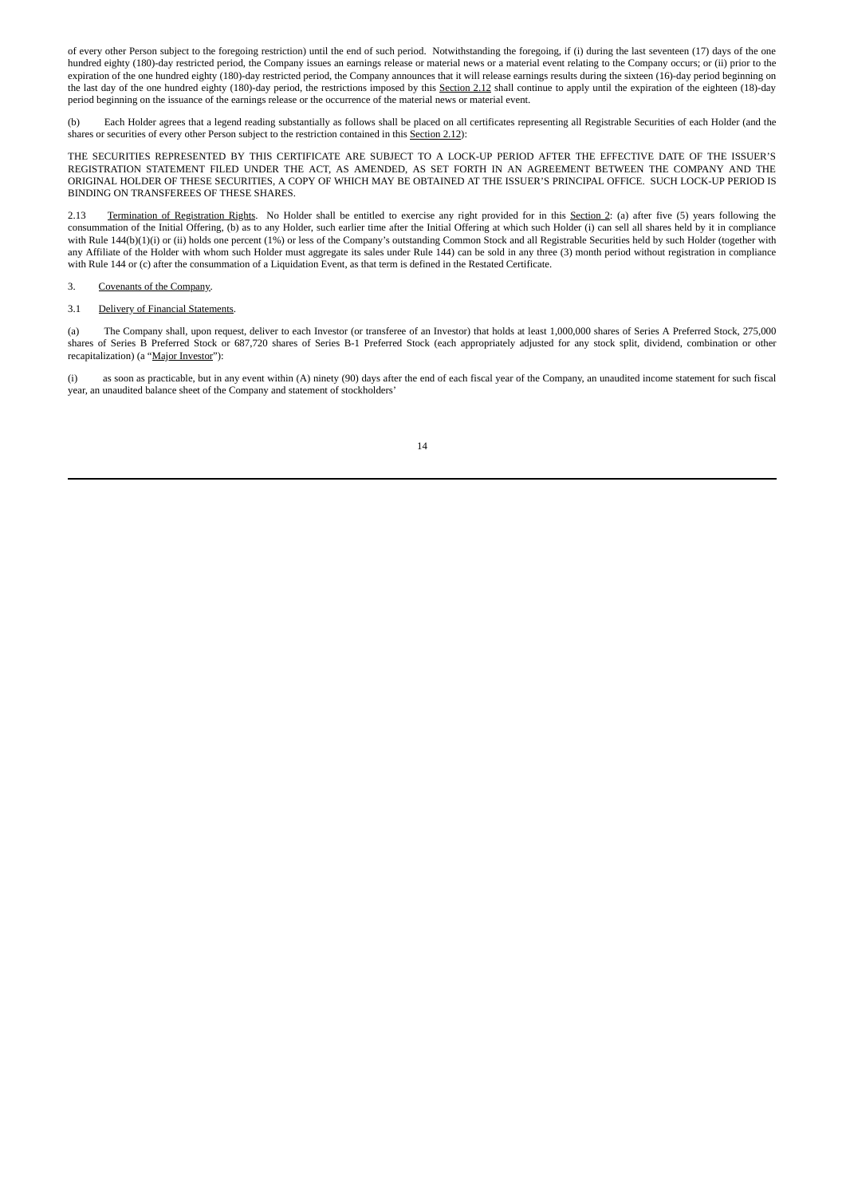of every other Person subject to the foregoing restriction) until the end of such period. Notwithstanding the foregoing, if (i) during the last seventeen (17) days of the one hundred eighty (180)-day restricted period, the Company issues an earnings release or material news or a material event relating to the Company occurs; or (ii) prior to the expiration of the one hundred eighty (180)-day restricted period, the Company announces that it will release earnings results during the sixteen (16)-day period beginning on the last day of the one hundred eighty (180)-day period, the restrictions imposed by this Section 2.12 shall continue to apply until the expiration of the eighteen (18)-day period beginning on the issuance of the earnings release or the occurrence of the material news or material event.

(b) Each Holder agrees that a legend reading substantially as follows shall be placed on all certificates representing all Registrable Securities of each Holder (and the shares or securities of every other Person subject to the restriction contained in this Section 2.12):

THE SECURITIES REPRESENTED BY THIS CERTIFICATE ARE SUBJECT TO A LOCK-UP PERIOD AFTER THE EFFECTIVE DATE OF THE ISSUER'S REGISTRATION STATEMENT FILED UNDER THE ACT, AS AMENDED, AS SET FORTH IN AN AGREEMENT BETWEEN THE COMPANY AND THE ORIGINAL HOLDER OF THESE SECURITIES, A COPY OF WHICH MAY BE OBTAINED AT THE ISSUER'S PRINCIPAL OFFICE. SUCH LOCK-UP PERIOD IS BINDING ON TRANSFEREES OF THESE SHARES.

2.13 Termination of Registration Rights. No Holder shall be entitled to exercise any right provided for in this Section 2: (a) after five (5) years following the consummation of the Initial Offering, (b) as to any Holder, such earlier time after the Initial Offering at which such Holder (i) can sell all shares held by it in compliance with Rule 144(b)(1)(i) or (ii) holds one percent (1%) or less of the Company's outstanding Common Stock and all Registrable Securities held by such Holder (together with any Affiliate of the Holder with whom such Holder must aggregate its sales under Rule 144) can be sold in any three (3) month period without registration in compliance with Rule 144 or (c) after the consummation of a Liquidation Event, as that term is defined in the Restated Certificate.

### 3. Covenants of the Company.

#### 3.1 Delivery of Financial Statements.

(a) The Company shall, upon request, deliver to each Investor (or transferee of an Investor) that holds at least 1,000,000 shares of Series A Preferred Stock, 275,000 shares of Series B Preferred Stock or 687,720 shares of Series B-1 Preferred Stock (each appropriately adjusted for any stock split, dividend, combination or other recapitalization) (a "Major Investor"):

(i) as soon as practicable, but in any event within (A) ninety (90) days after the end of each fiscal year of the Company, an unaudited income statement for such fiscal year, an unaudited balance sheet of the Company and statement of stockholders'

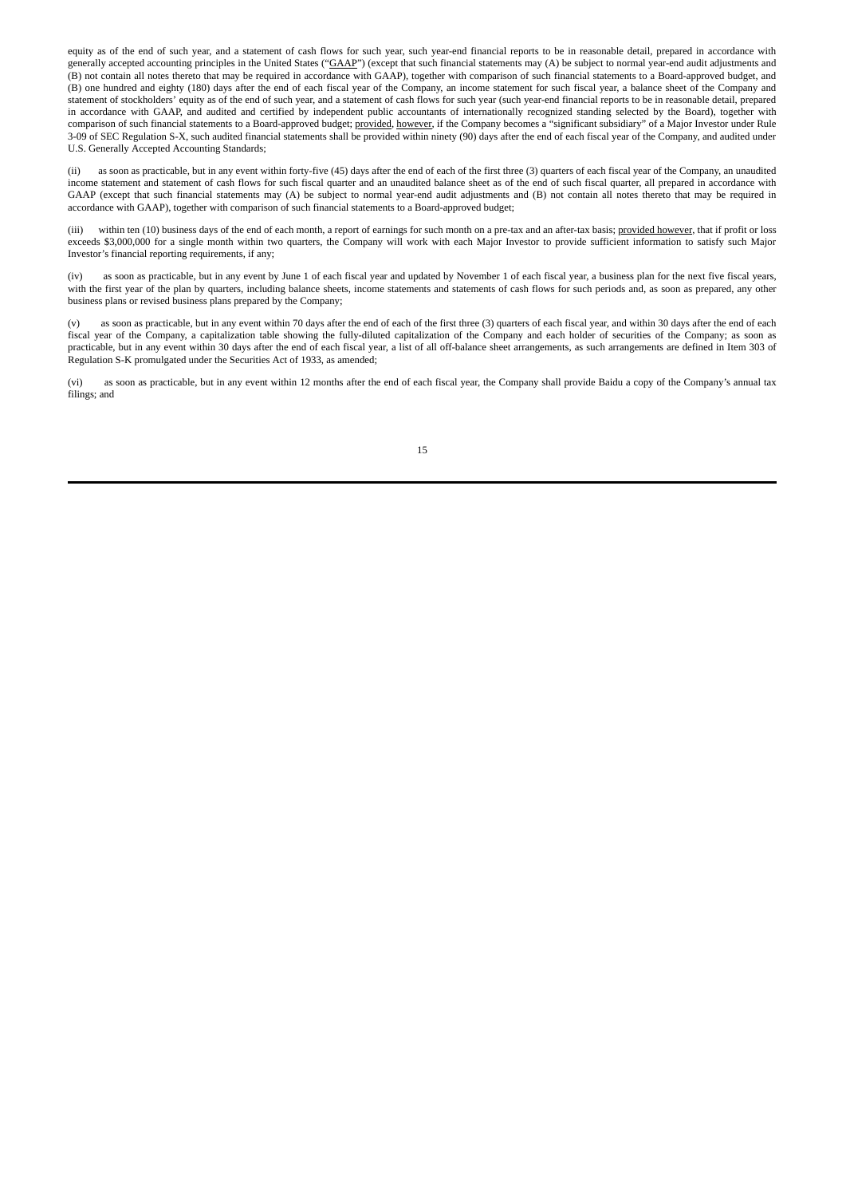equity as of the end of such year, and a statement of cash flows for such year, such year-end financial reports to be in reasonable detail, prepared in accordance with generally accepted accounting principles in the United States ("GAAP") (except that such financial statements may (A) be subject to normal year-end audit adjustments and (B) not contain all notes thereto that may be required in accordance with GAAP), together with comparison of such financial statements to a Board-approved budget, and (B) one hundred and eighty (180) days after the end of each fiscal year of the Company, an income statement for such fiscal year, a balance sheet of the Company and statement of stockholders' equity as of the end of such year, and a statement of cash flows for such year (such year-end financial reports to be in reasonable detail, prepared in accordance with GAAP, and audited and certified by independent public accountants of internationally recognized standing selected by the Board), together with comparison of such financial statements to a Board-approved budget; provided, however, if the Company becomes a "significant subsidiary" of a Major Investor under Rule 3-09 of SEC Regulation S-X, such audited financial statements shall be provided within ninety (90) days after the end of each fiscal year of the Company, and audited under U.S. Generally Accepted Accounting Standards;

(ii) as soon as practicable, but in any event within forty-five (45) days after the end of each of the first three (3) quarters of each fiscal year of the Company, an unaudited income statement and statement of cash flows for such fiscal quarter and an unaudited balance sheet as of the end of such fiscal quarter, all prepared in accordance with GAAP (except that such financial statements may (A) be subject to normal year-end audit adjustments and (B) not contain all notes thereto that may be required in accordance with GAAP), together with comparison of such financial statements to a Board-approved budget;

(iii) within ten (10) business days of the end of each month, a report of earnings for such month on a pre-tax and an after-tax basis; provided however, that if profit or loss exceeds \$3,000,000 for a single month within two quarters, the Company will work with each Major Investor to provide sufficient information to satisfy such Major Investor's financial reporting requirements, if any;

(iv) as soon as practicable, but in any event by June 1 of each fiscal year and updated by November 1 of each fiscal year, a business plan for the next five fiscal years, with the first year of the plan by quarters, including balance sheets, income statements and statements of cash flows for such periods and, as soon as prepared, any other business plans or revised business plans prepared by the Company;

(v) as soon as practicable, but in any event within 70 days after the end of each of the first three (3) quarters of each fiscal year, and within 30 days after the end of each fiscal year of the Company, a capitalization table showing the fully-diluted capitalization of the Company and each holder of securities of the Company; as soon as practicable, but in any event within 30 days after the end of each fiscal year, a list of all off-balance sheet arrangements, as such arrangements are defined in Item 303 of Regulation S-K promulgated under the Securities Act of 1933, as amended;

(vi) as soon as practicable, but in any event within 12 months after the end of each fiscal year, the Company shall provide Baidu a copy of the Company's annual tax filings; and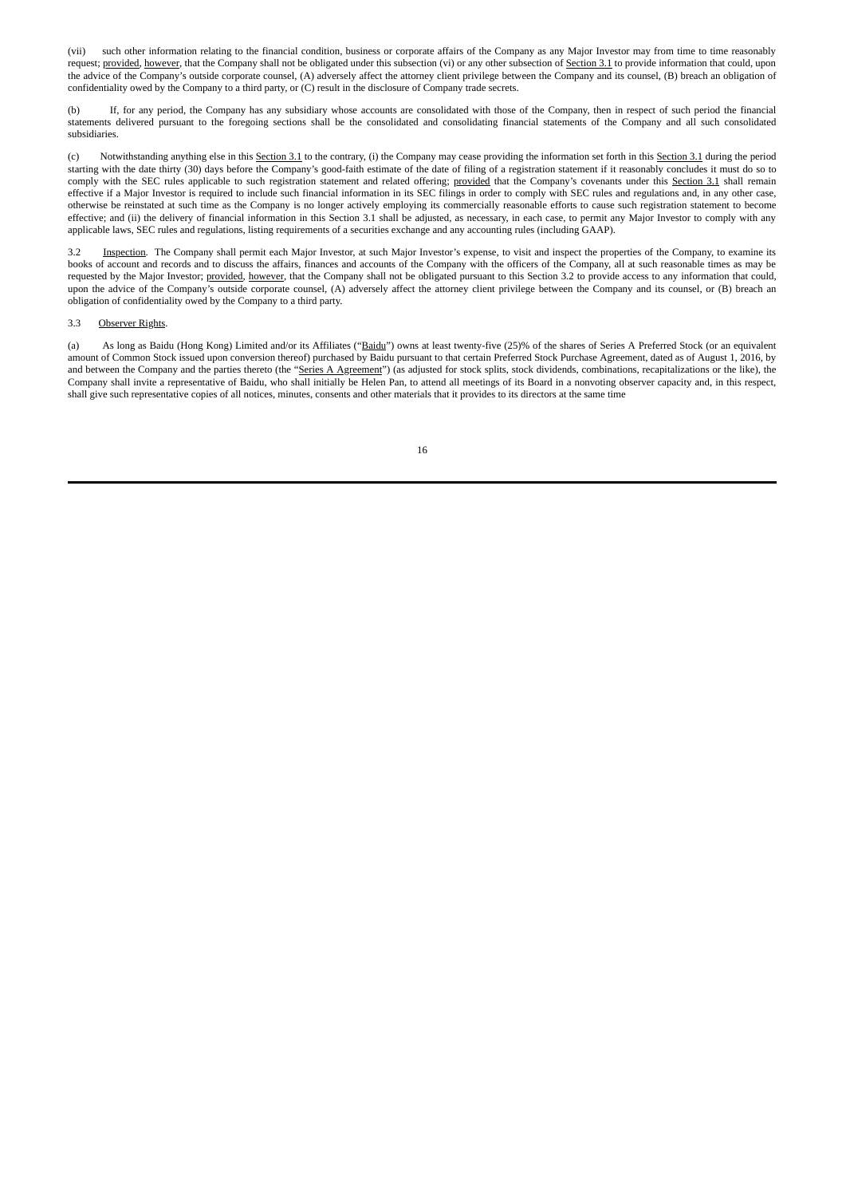(vii) such other information relating to the financial condition, business or corporate affairs of the Company as any Major Investor may from time to time reasonably request; provided, however, that the Company shall not be obligated under this subsection (vi) or any other subsection of Section 3.1 to provide information that could, upon the advice of the Company's outside corporate counsel, (A) adversely affect the attorney client privilege between the Company and its counsel, (B) breach an obligation of confidentiality owed by the Company to a third party, or (C) result in the disclosure of Company trade secrets.

If, for any period, the Company has any subsidiary whose accounts are consolidated with those of the Company, then in respect of such period the financial statements delivered pursuant to the foregoing sections shall be the consolidated and consolidating financial statements of the Company and all such consolidated subsidiaries.

(c) Notwithstanding anything else in this Section 3.1 to the contrary, (i) the Company may cease providing the information set forth in this Section 3.1 during the period starting with the date thirty (30) days before the Company's good-faith estimate of the date of filing of a registration statement if it reasonably concludes it must do so to comply with the SEC rules applicable to such registration statement and related offering; provided that the Company's covenants under this Section 3.1 shall remain effective if a Major Investor is required to include such financial information in its SEC filings in order to comply with SEC rules and regulations and, in any other case, otherwise be reinstated at such time as the Company is no longer actively employing its commercially reasonable efforts to cause such registration statement to become effective; and (ii) the delivery of financial information in this Section 3.1 shall be adjusted, as necessary, in each case, to permit any Major Investor to comply with any applicable laws, SEC rules and regulations, listing requirements of a securities exchange and any accounting rules (including GAAP).

3.2 Inspection. The Company shall permit each Major Investor, at such Major Investor's expense, to visit and inspect the properties of the Company, to examine its books of account and records and to discuss the affairs, finances and accounts of the Company with the officers of the Company, all at such reasonable times as may be requested by the Major Investor; provided, however, that the Company shall not be obligated pursuant to this Section 3.2 to provide access to any information that could, upon the advice of the Company's outside corporate counsel, (A) adversely affect the attorney client privilege between the Company and its counsel, or (B) breach an obligation of confidentiality owed by the Company to a third party.

#### 3.3 Observer Rights.

(a) As long as Baidu (Hong Kong) Limited and/or its Affiliates ("Baidu") owns at least twenty-five (25)% of the shares of Series A Preferred Stock (or an equivalent amount of Common Stock issued upon conversion thereof) purchased by Baidu pursuant to that certain Preferred Stock Purchase Agreement, dated as of August 1, 2016, by and between the Company and the parties thereto (the "Series A Agreement") (as adjusted for stock splits, stock dividends, combinations, recapitalizations or the like), the Company shall invite a representative of Baidu, who shall initially be Helen Pan, to attend all meetings of its Board in a nonvoting observer capacity and, in this respect, shall give such representative copies of all notices, minutes, consents and other materials that it provides to its directors at the same time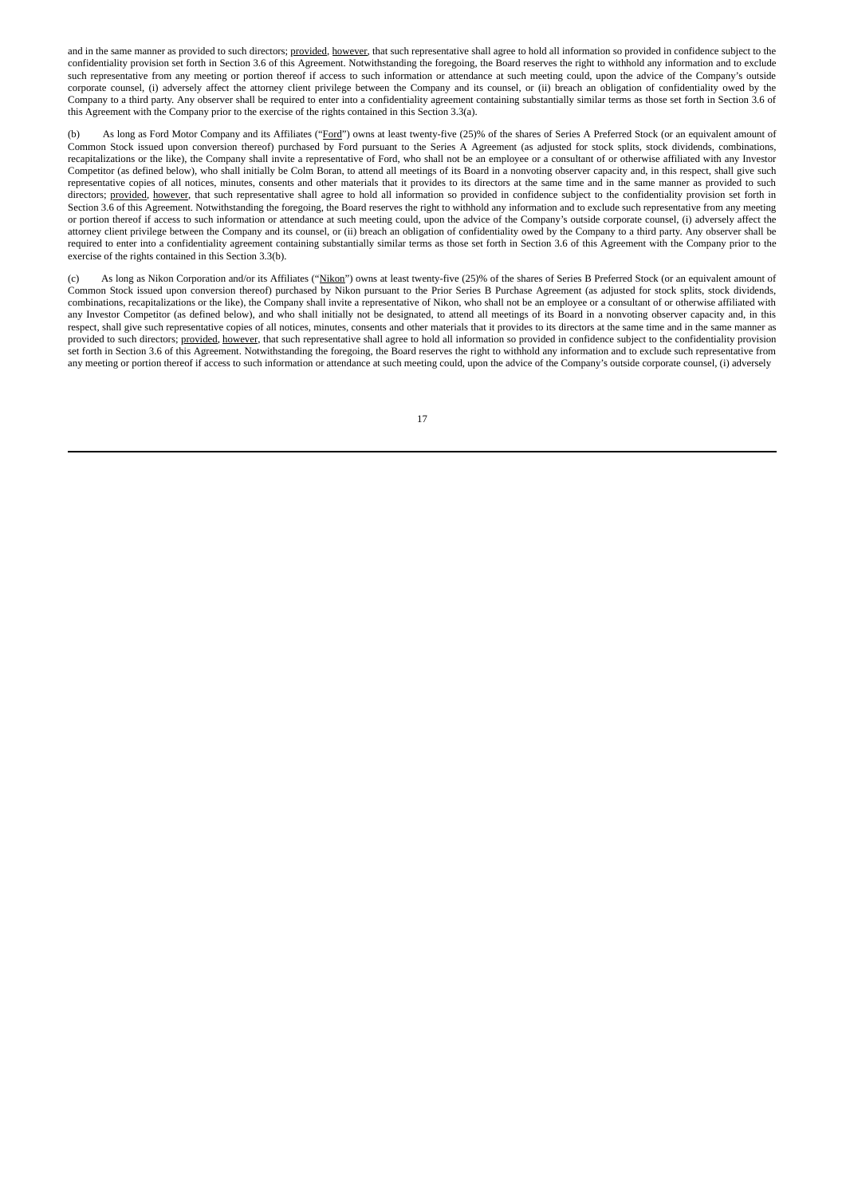and in the same manner as provided to such directors; provided, however, that such representative shall agree to hold all information so provided in confidence subject to the confidentiality provision set forth in Section 3.6 of this Agreement. Notwithstanding the foregoing, the Board reserves the right to withhold any information and to exclude such representative from any meeting or portion thereof if access to such information or attendance at such meeting could, upon the advice of the Company's outside corporate counsel, (i) adversely affect the attorney client privilege between the Company and its counsel, or (ii) breach an obligation of confidentiality owed by the Company to a third party. Any observer shall be required to enter into a confidentiality agreement containing substantially similar terms as those set forth in Section 3.6 of this Agreement with the Company prior to the exercise of the rights contained in this Section 3.3(a).

(b) As long as Ford Motor Company and its Affiliates ("Ford") owns at least twenty-five (25)% of the shares of Series A Preferred Stock (or an equivalent amount of Common Stock issued upon conversion thereof) purchased by Ford pursuant to the Series A Agreement (as adjusted for stock splits, stock dividends, combinations, recapitalizations or the like), the Company shall invite a representative of Ford, who shall not be an employee or a consultant of or otherwise affiliated with any Investor Competitor (as defined below), who shall initially be Colm Boran, to attend all meetings of its Board in a nonvoting observer capacity and, in this respect, shall give such representative copies of all notices, minutes, consents and other materials that it provides to its directors at the same time and in the same manner as provided to such directors; provided, however, that such representative shall agree to hold all information so provided in confidence subject to the confidentiality provision set forth in Section 3.6 of this Agreement. Notwithstanding the foregoing, the Board reserves the right to withhold any information and to exclude such representative from any meeting or portion thereof if access to such information or attendance at such meeting could, upon the advice of the Company's outside corporate counsel, (i) adversely affect the attorney client privilege between the Company and its counsel, or (ii) breach an obligation of confidentiality owed by the Company to a third party. Any observer shall be required to enter into a confidentiality agreement containing substantially similar terms as those set forth in Section 3.6 of this Agreement with the Company prior to the exercise of the rights contained in this Section 3.3(b).

As long as Nikon Corporation and/or its Affiliates ("Nikon") owns at least twenty-five (25)% of the shares of Series B Preferred Stock (or an equivalent amount of Common Stock issued upon conversion thereof) purchased by Nikon pursuant to the Prior Series B Purchase Agreement (as adjusted for stock splits, stock dividends, combinations, recapitalizations or the like), the Company shall invite a representative of Nikon, who shall not be an employee or a consultant of or otherwise affiliated with any Investor Competitor (as defined below), and who shall initially not be designated, to attend all meetings of its Board in a nonvoting observer capacity and, in this respect, shall give such representative copies of all notices, minutes, consents and other materials that it provides to its directors at the same time and in the same manner as provided to such directors; provided, however, that such representative shall agree to hold all information so provided in confidence subject to the confidentiality provision set forth in Section 3.6 of this Agreement. Notwithstanding the foregoing, the Board reserves the right to withhold any information and to exclude such representative from any meeting or portion thereof if access to such information or attendance at such meeting could, upon the advice of the Company's outside corporate counsel, (i) adversely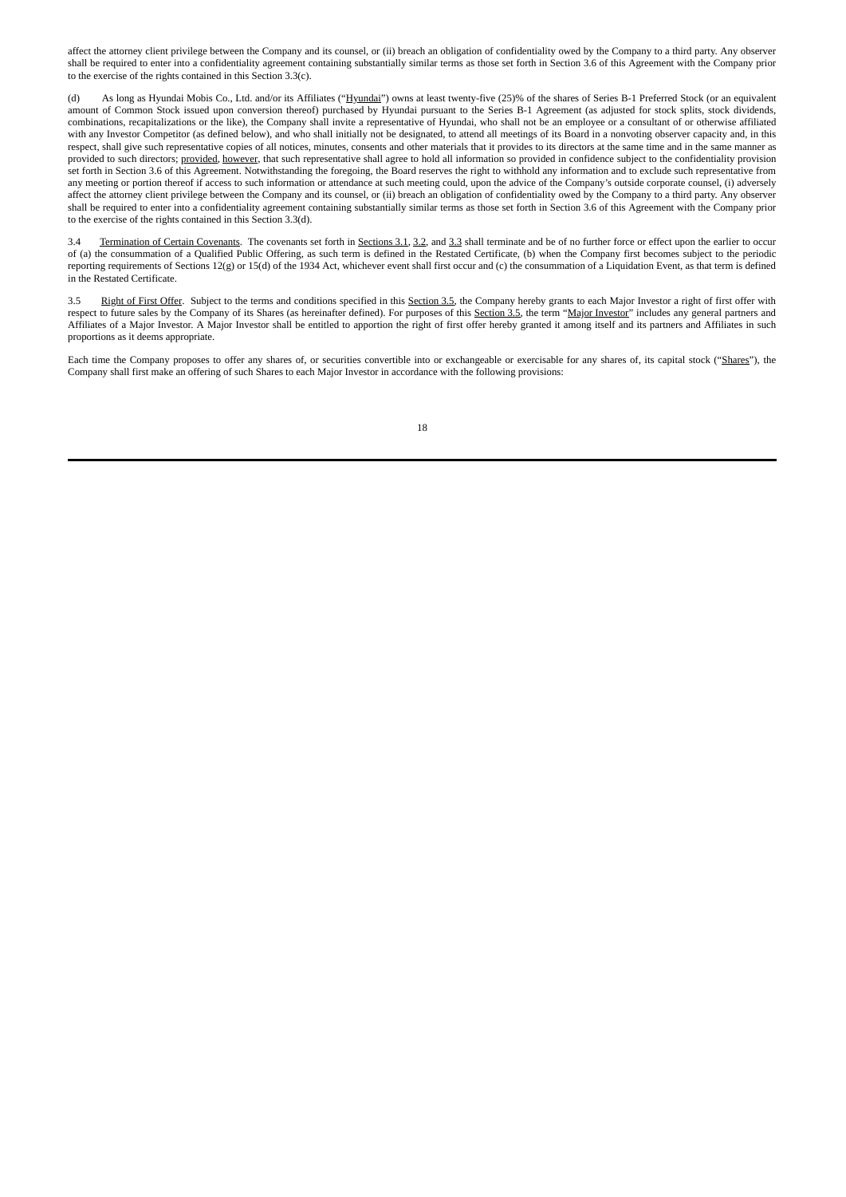affect the attorney client privilege between the Company and its counsel, or (ii) breach an obligation of confidentiality owed by the Company to a third party. Any observer shall be required to enter into a confidentiality agreement containing substantially similar terms as those set forth in Section 3.6 of this Agreement with the Company prior to the exercise of the rights contained in this Section 3.3(c).

(d) As long as Hyundai Mobis Co., Ltd. and/or its Affiliates ("Hyundai") owns at least twenty-five (25)% of the shares of Series B-1 Preferred Stock (or an equivalent amount of Common Stock issued upon conversion thereof) purchased by Hyundai pursuant to the Series B-1 Agreement (as adjusted for stock splits, stock dividends, combinations, recapitalizations or the like), the Company shall invite a representative of Hyundai, who shall not be an employee or a consultant of or otherwise affiliated with any Investor Competitor (as defined below), and who shall initially not be designated, to attend all meetings of its Board in a nonvoting observer capacity and, in this respect, shall give such representative copies of all notices, minutes, consents and other materials that it provides to its directors at the same time and in the same manner as provided to such directors; provided, however, that such representative shall agree to hold all information so provided in confidence subject to the confidentiality provision set forth in Section 3.6 of this Agreement. Notwithstanding the foregoing, the Board reserves the right to withhold any information and to exclude such representative from any meeting or portion thereof if access to such information or attendance at such meeting could, upon the advice of the Company's outside corporate counsel, (i) adversely affect the attorney client privilege between the Company and its counsel, or (ii) breach an obligation of confidentiality owed by the Company to a third party. Any observer shall be required to enter into a confidentiality agreement containing substantially similar terms as those set forth in Section 3.6 of this Agreement with the Company prior to the exercise of the rights contained in this Section 3.3(d).

3.4 Termination of Certain Covenants. The covenants set forth in Sections 3.1, 3.2, and 3.3 shall terminate and be of no further force or effect upon the earlier to occur of (a) the consummation of a Qualified Public Offering, as such term is defined in the Restated Certificate, (b) when the Company first becomes subject to the periodic reporting requirements of Sections 12(g) or 15(d) of the 1934 Act, whichever event shall first occur and (c) the consummation of a Liquidation Event, as that term is defined in the Restated Certificate.

3.5 Right of First Offer. Subject to the terms and conditions specified in this Section 3.5, the Company hereby grants to each Major Investor a right of first offer with respect to future sales by the Company of its Shares (as hereinafter defined). For purposes of this Section 3.5, the term "Major Investor" includes any general partners and Affiliates of a Major Investor. A Major Investor shall be entitled to apportion the right of first offer hereby granted it among itself and its partners and Affiliates in such proportions as it deems appropriate.

Each time the Company proposes to offer any shares of, or securities convertible into or exchangeable or exercisable for any shares of, its capital stock ("Shares"), the Company shall first make an offering of such Shares to each Major Investor in accordance with the following provisions: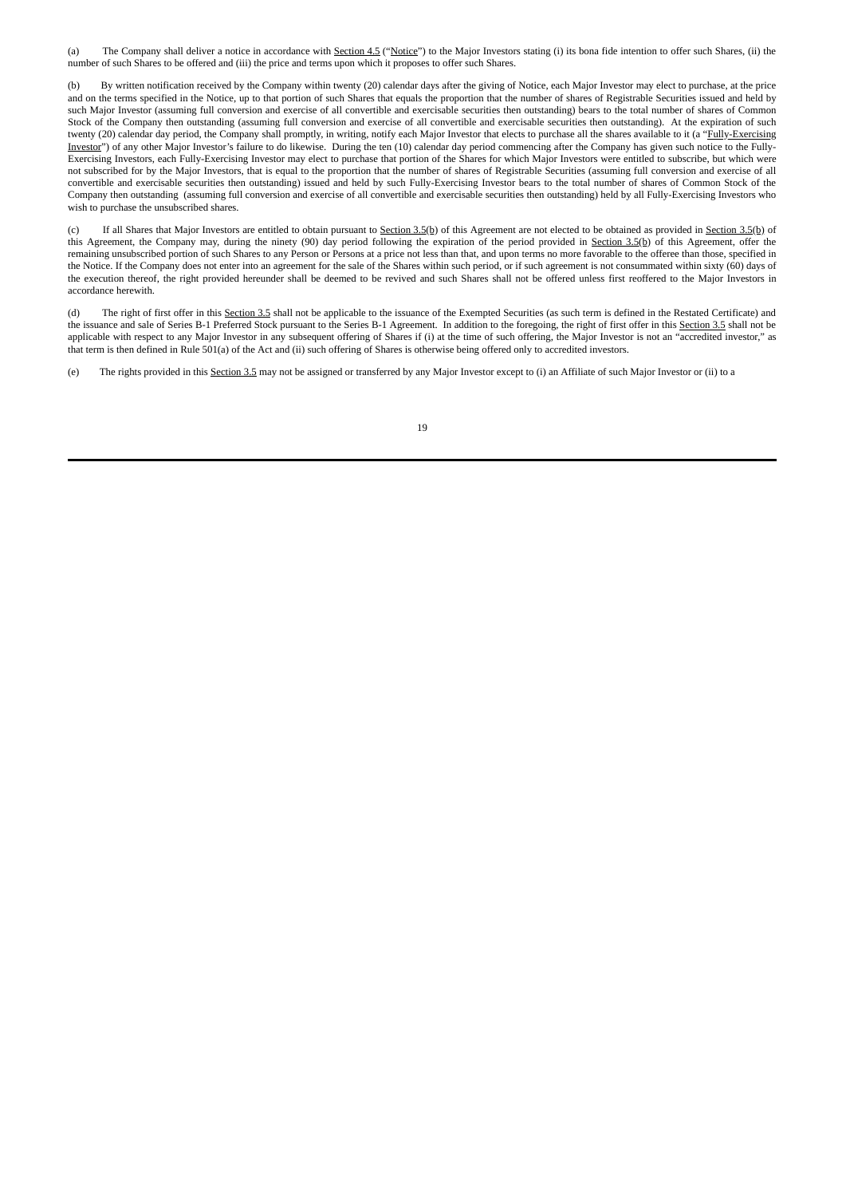(a) The Company shall deliver a notice in accordance with Section 4.5 ("Notice") to the Major Investors stating (i) its bona fide intention to offer such Shares, (ii) the number of such Shares to be offered and (iii) the price and terms upon which it proposes to offer such Shares.

(b) By written notification received by the Company within twenty (20) calendar days after the giving of Notice, each Major Investor may elect to purchase, at the price and on the terms specified in the Notice, up to that portion of such Shares that equals the proportion that the number of shares of Registrable Securities issued and held by such Major Investor (assuming full conversion and exercise of all convertible and exercisable securities then outstanding) bears to the total number of shares of Common Stock of the Company then outstanding (assuming full conversion and exercise of all convertible and exercisable securities then outstanding). At the expiration of such twenty (20) calendar day period, the Company shall promptly, in writing, notify each Major Investor that elects to purchase all the shares available to it (a "Fully-Exercising Investor") of any other Major Investor's failure to do likewise. During the ten (10) calendar day period commencing after the Company has given such notice to the Fully-Exercising Investors, each Fully-Exercising Investor may elect to purchase that portion of the Shares for which Major Investors were entitled to subscribe, but which were not subscribed for by the Major Investors, that is equal to the proportion that the number of shares of Registrable Securities (assuming full conversion and exercise of all convertible and exercisable securities then outstanding) issued and held by such Fully-Exercising Investor bears to the total number of shares of Common Stock of the Company then outstanding (assuming full conversion and exercise of all convertible and exercisable securities then outstanding) held by all Fully-Exercising Investors who wish to purchase the unsubscribed shares.

If all Shares that Major Investors are entitled to obtain pursuant to Section 3.5(b) of this Agreement are not elected to be obtained as provided in Section 3.5(b) of this Agreement, the Company may, during the ninety (90) day period following the expiration of the period provided in Section 3.5(b) of this Agreement, offer the remaining unsubscribed portion of such Shares to any Person or Persons at a price not less than that, and upon terms no more favorable to the offeree than those, specified in the Notice. If the Company does not enter into an agreement for the sale of the Shares within such period, or if such agreement is not consummated within sixty (60) days of the execution thereof, the right provided hereunder shall be deemed to be revived and such Shares shall not be offered unless first reoffered to the Major Investors in accordance herewith.

(d) The right of first offer in this Section 3.5 shall not be applicable to the issuance of the Exempted Securities (as such term is defined in the Restated Certificate) and the issuance and sale of Series B-1 Preferred Stock pursuant to the Series B-1 Agreement. In addition to the foregoing, the right of first offer in this Section 3.5 shall not be applicable with respect to any Major Investor in any subsequent offering of Shares if (i) at the time of such offering, the Major Investor is not an "accredited investor," as that term is then defined in Rule 501(a) of the Act and (ii) such offering of Shares is otherwise being offered only to accredited investors.

(e) The rights provided in this Section 3.5 may not be assigned or transferred by any Major Investor except to (i) an Affiliate of such Major Investor or (ii) to a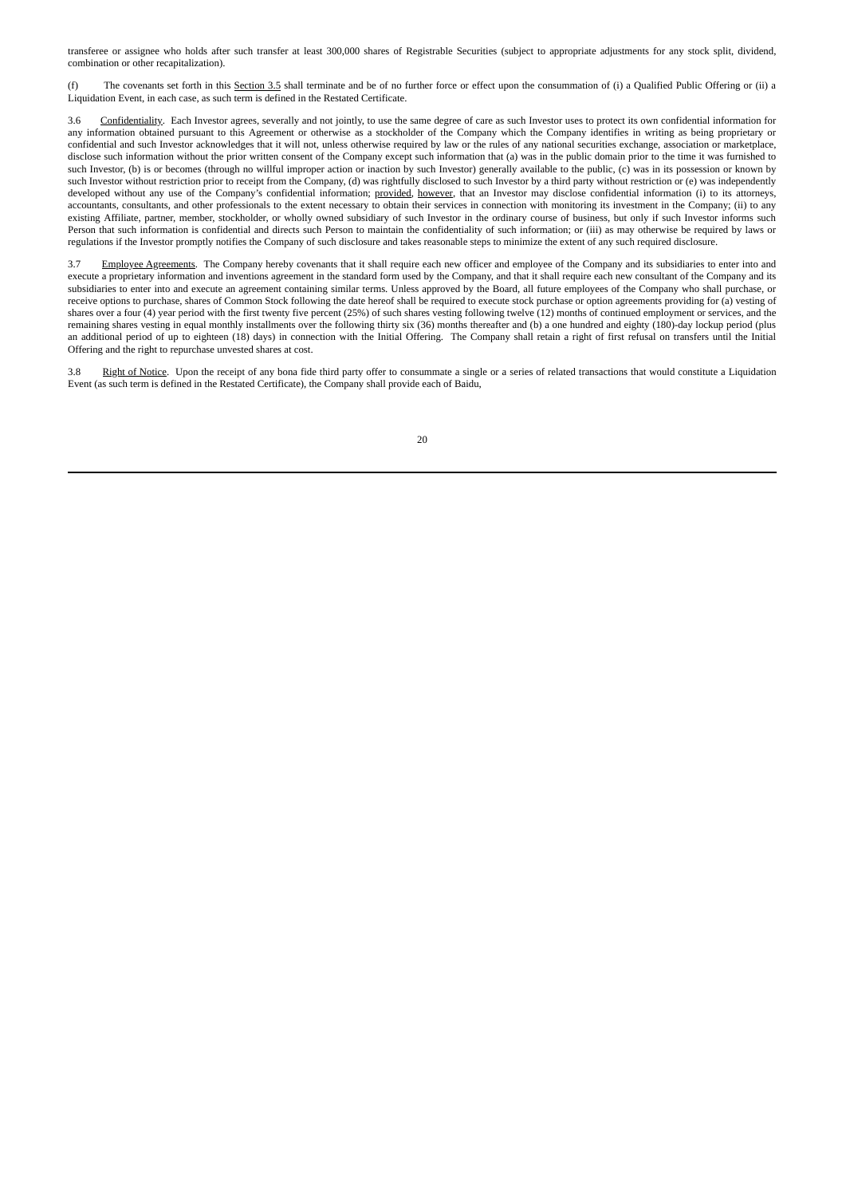transferee or assignee who holds after such transfer at least 300,000 shares of Registrable Securities (subject to appropriate adjustments for any stock split, dividend, combination or other recapitalization).

(f) The covenants set forth in this Section 3.5 shall terminate and be of no further force or effect upon the consummation of (i) a Qualified Public Offering or (ii) a Liquidation Event, in each case, as such term is defined in the Restated Certificate.

3.6 Confidentiality. Each Investor agrees, severally and not jointly, to use the same degree of care as such Investor uses to protect its own confidential information for any information obtained pursuant to this Agreement or otherwise as a stockholder of the Company which the Company identifies in writing as being proprietary or confidential and such Investor acknowledges that it will not, unless otherwise required by law or the rules of any national securities exchange, association or marketplace, disclose such information without the prior written consent of the Company except such information that (a) was in the public domain prior to the time it was furnished to such Investor, (b) is or becomes (through no willful improper action or inaction by such Investor) generally available to the public, (c) was in its possession or known by such Investor without restriction prior to receipt from the Company, (d) was rightfully disclosed to such Investor by a third party without restriction or (e) was independently developed without any use of the Company's confidential information; provided, however, that an Investor may disclose confidential information (i) to its attorneys, accountants, consultants, and other professionals to the extent necessary to obtain their services in connection with monitoring its investment in the Company; (ii) to any existing Affiliate, partner, member, stockholder, or wholly owned subsidiary of such Investor in the ordinary course of business, but only if such Investor informs such Person that such information is confidential and directs such Person to maintain the confidentiality of such information; or (iii) as may otherwise be required by laws or regulations if the Investor promptly notifies the Company of such disclosure and takes reasonable steps to minimize the extent of any such required disclosure.

3.7 Employee Agreements. The Company hereby covenants that it shall require each new officer and employee of the Company and its subsidiaries to enter into and execute a proprietary information and inventions agreement in the standard form used by the Company, and that it shall require each new consultant of the Company and its subsidiaries to enter into and execute an agreement containing similar terms. Unless approved by the Board, all future employees of the Company who shall purchase, or receive options to purchase, shares of Common Stock following the date hereof shall be required to execute stock purchase or option agreements providing for (a) vesting of shares over a four (4) year period with the first twenty five percent (25%) of such shares vesting following twelve (12) months of continued employment or services, and the remaining shares vesting in equal monthly installments over the following thirty six (36) months thereafter and (b) a one hundred and eighty (180)-day lockup period (plus an additional period of up to eighteen (18) days) in connection with the Initial Offering. The Company shall retain a right of first refusal on transfers until the Initial Offering and the right to repurchase unvested shares at cost.

3.8 Right of Notice. Upon the receipt of any bona fide third party offer to consummate a single or a series of related transactions that would constitute a Liquidation Event (as such term is defined in the Restated Certificate), the Company shall provide each of Baidu,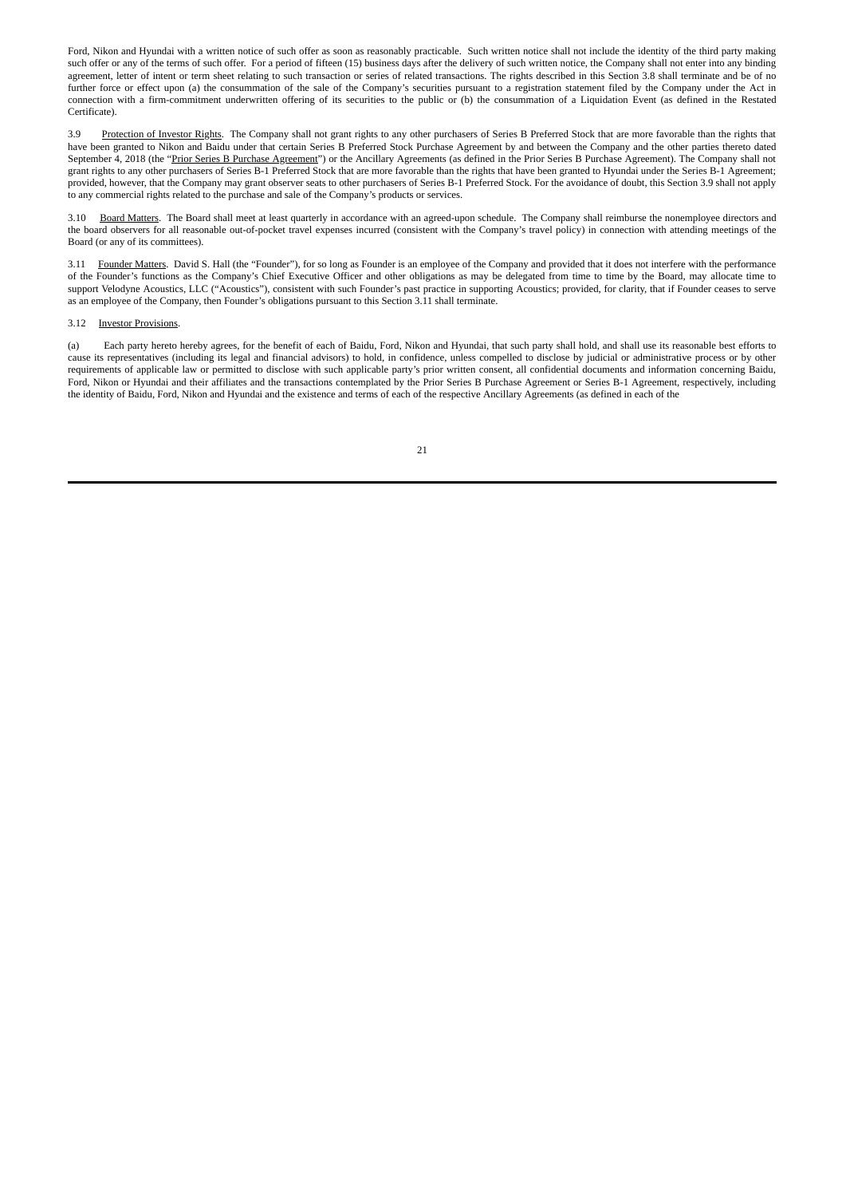Ford, Nikon and Hyundai with a written notice of such offer as soon as reasonably practicable. Such written notice shall not include the identity of the third party making such offer or any of the terms of such offer. For a period of fifteen (15) business days after the delivery of such written notice, the Company shall not enter into any binding agreement, letter of intent or term sheet relating to such transaction or series of related transactions. The rights described in this Section 3.8 shall terminate and be of no further force or effect upon (a) the consummation of the sale of the Company's securities pursuant to a registration statement filed by the Company under the Act in connection with a firm-commitment underwritten offering of its securities to the public or (b) the consummation of a Liquidation Event (as defined in the Restated Certificate).

3.9 Protection of Investor Rights. The Company shall not grant rights to any other purchasers of Series B Preferred Stock that are more favorable than the rights that have been granted to Nikon and Baidu under that certain Series B Preferred Stock Purchase Agreement by and between the Company and the other parties thereto dated September 4, 2018 (the "Prior Series B Purchase Agreement") or the Ancillary Agreements (as defined in the Prior Series B Purchase Agreement). The Company shall not grant rights to any other purchasers of Series B-1 Preferred Stock that are more favorable than the rights that have been granted to Hyundai under the Series B-1 Agreement; provided, however, that the Company may grant observer seats to other purchasers of Series B-1 Preferred Stock. For the avoidance of doubt, this Section 3.9 shall not apply to any commercial rights related to the purchase and sale of the Company's products or services.

3.10 Board Matters. The Board shall meet at least quarterly in accordance with an agreed-upon schedule. The Company shall reimburse the nonemployee directors and the board observers for all reasonable out-of-pocket travel expenses incurred (consistent with the Company's travel policy) in connection with attending meetings of the Board (or any of its committees).

3.11 Founder Matters. David S. Hall (the "Founder"), for so long as Founder is an employee of the Company and provided that it does not interfere with the performance of the Founder's functions as the Company's Chief Executive Officer and other obligations as may be delegated from time to time by the Board, may allocate time to support Velodyne Acoustics, LLC ("Acoustics"), consistent with such Founder's past practice in supporting Acoustics; provided, for clarity, that if Founder ceases to serve as an employee of the Company, then Founder's obligations pursuant to this Section 3.11 shall terminate.

#### 3.12 Investor Provisions.

(a) Each party hereto hereby agrees, for the benefit of each of Baidu, Ford, Nikon and Hyundai, that such party shall hold, and shall use its reasonable best efforts to cause its representatives (including its legal and financial advisors) to hold, in confidence, unless compelled to disclose by judicial or administrative process or by other requirements of applicable law or permitted to disclose with such applicable party's prior written consent, all confidential documents and information concerning Baidu, Ford, Nikon or Hyundai and their affiliates and the transactions contemplated by the Prior Series B Purchase Agreement or Series B-1 Agreement, respectively, including the identity of Baidu, Ford, Nikon and Hyundai and the existence and terms of each of the respective Ancillary Agreements (as defined in each of the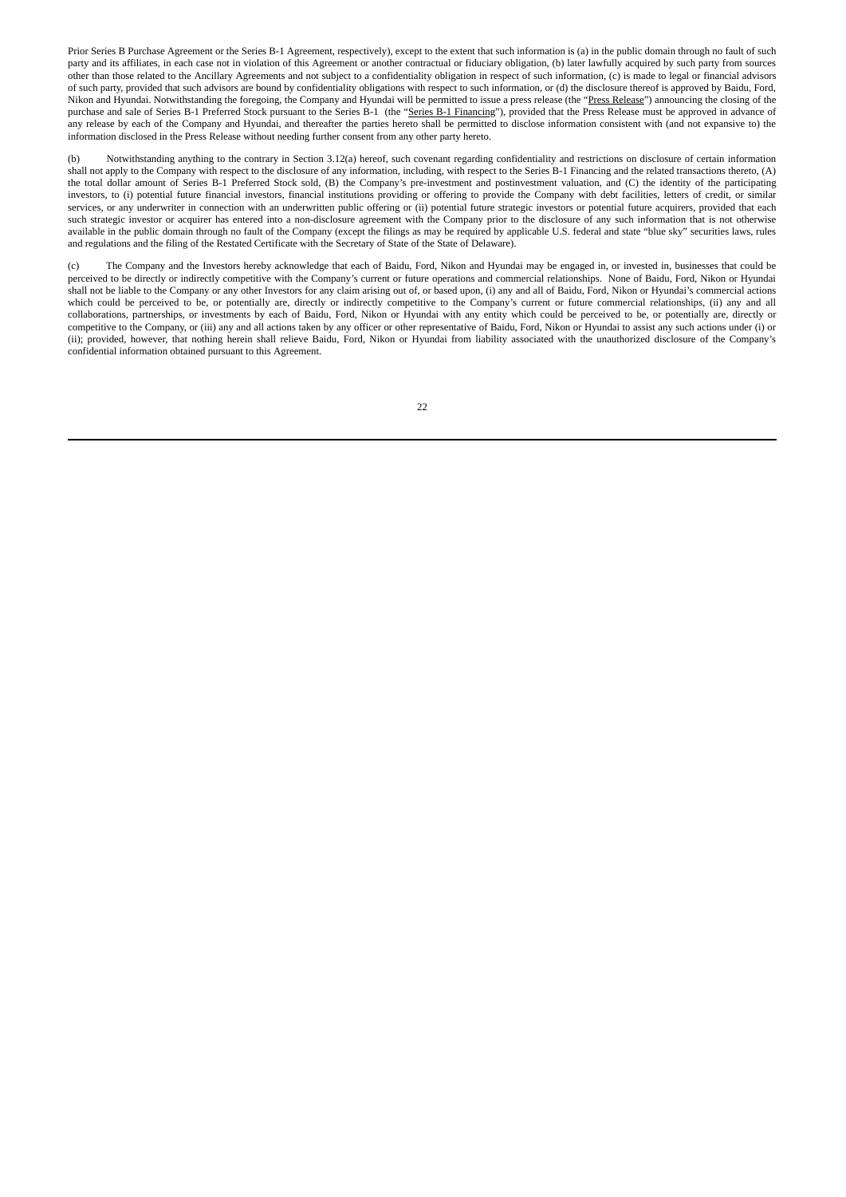Prior Series B Purchase Agreement or the Series B-1 Agreement, respectively), except to the extent that such information is (a) in the public domain through no fault of such party and its affiliates, in each case not in violation of this Agreement or another contractual or fiduciary obligation, (b) later lawfully acquired by such party from sources other than those related to the Ancillary Agreements and not subject to a confidentiality obligation in respect of such information, (c) is made to legal or financial advisors of such party, provided that such advisors are bound by confidentiality obligations with respect to such information, or (d) the disclosure thereof is approved by Baidu, Ford, Nikon and Hyundai. Notwithstanding the foregoing, the Company and Hyundai will be permitted to issue a press release (the "Press Release") announcing the closing of the purchase and sale of Series B-1 Preferred Stock pursuant to the Series B-1 (the "Series B-1 Financing"), provided that the Press Release must be approved in advance of any release by each of the Company and Hyundai, and thereafter the parties hereto shall be permitted to disclose information consistent with (and not expansive to) the information disclosed in the Press Release without needing further consent from any other party hereto.

Notwithstanding anything to the contrary in Section 3.12(a) hereof, such covenant regarding confidentiality and restrictions on disclosure of certain information shall not apply to the Company with respect to the disclosure of any information, including, with respect to the Series B-1 Financing and the related transactions thereto, (A) the total dollar amount of Series B-1 Preferred Stock sold, (B) the Company's pre-investment and postinvestment valuation, and (C) the identity of the participating investors, to (i) potential future financial investors, financial institutions providing or offering to provide the Company with debt facilities, letters of credit, or similar services, or any underwriter in connection with an underwritten public offering or (ii) potential future strategic investors or potential future acquirers, provided that each such strategic investor or acquirer has entered into a non-disclosure agreement with the Company prior to the disclosure of any such information that is not otherwise available in the public domain through no fault of the Company (except the filings as may be required by applicable U.S. federal and state "blue sky" securities laws, rules and regulations and the filing of the Restated Certificate with the Secretary of State of the State of Delaware).

(c) The Company and the Investors hereby acknowledge that each of Baidu, Ford, Nikon and Hyundai may be engaged in, or invested in, businesses that could be perceived to be directly or indirectly competitive with the Company's current or future operations and commercial relationships. None of Baidu, Ford, Nikon or Hyundai shall not be liable to the Company or any other Investors for any claim arising out of, or based upon, (i) any and all of Baidu, Ford, Nikon or Hyundai's commercial actions which could be perceived to be, or potentially are, directly or indirectly competitive to the Company's current or future commercial relationships, (ii) any and all collaborations, partnerships, or investments by each of Baidu, Ford, Nikon or Hyundai with any entity which could be perceived to be, or potentially are, directly or competitive to the Company, or (iii) any and all actions taken by any officer or other representative of Baidu, Ford, Nikon or Hyundai to assist any such actions under (i) or (ii); provided, however, that nothing herein shall relieve Baidu, Ford, Nikon or Hyundai from liability associated with the unauthorized disclosure of the Company's confidential information obtained pursuant to this Agreement.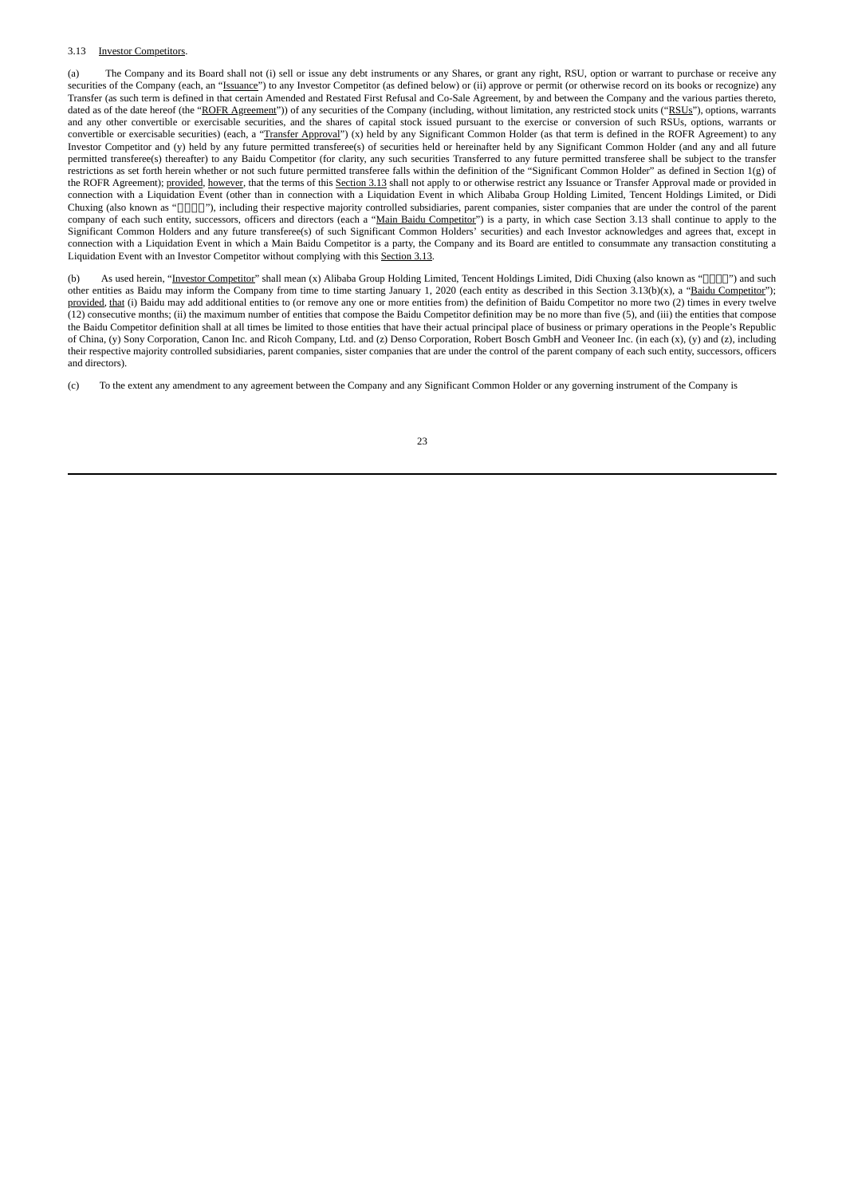#### 3.13 Investor Competitors.

(a) The Company and its Board shall not (i) sell or issue any debt instruments or any Shares, or grant any right, RSU, option or warrant to purchase or receive any securities of the Company (each, an "Issuance") to any Investor Competitor (as defined below) or (ii) approve or permit (or otherwise record on its books or recognize) any Transfer (as such term is defined in that certain Amended and Restated First Refusal and Co-Sale Agreement, by and between the Company and the various parties thereto, dated as of the date hereof (the "ROFR Agreement")) of any securities of the Company (including, without limitation, any restricted stock units ("RSUs"), options, warrants and any other convertible or exercisable securities, and the shares of capital stock issued pursuant to the exercise or conversion of such RSUs, options, warrants or convertible or exercisable securities) (each, a "Transfer Approval") (x) held by any Significant Common Holder (as that term is defined in the ROFR Agreement) to any Investor Competitor and (y) held by any future permitted transferee(s) of securities held or hereinafter held by any Significant Common Holder (and any and all future permitted transferee(s) thereafter) to any Baidu Competitor (for clarity, any such securities Transferred to any future permitted transferee shall be subject to the transfer restrictions as set forth herein whether or not such future permitted transferee falls within the definition of the "Significant Common Holder" as defined in Section 1(g) of the ROFR Agreement); provided, however, that the terms of this Section 3.13 shall not apply to or otherwise restrict any Issuance or Transfer Approval made or provided in connection with a Liquidation Event (other than in connection with a Liquidation Event in which Alibaba Group Holding Limited, Tencent Holdings Limited, or Didi Chuxing (also known as "[[[[]]"), including their respective majority controlled subsidiaries, parent companies, sister companies that are under the control of the parent company of each such entity, successors, officers and directors (each a "Main Baidu Competitor") is a party, in which case Section 3.13 shall continue to apply to the Significant Common Holders and any future transferee(s) of such Significant Common Holders' securities) and each Investor acknowledges and agrees that, except in connection with a Liquidation Event in which a Main Baidu Competitor is a party, the Company and its Board are entitled to consummate any transaction constituting a Liquidation Event with an Investor Competitor without complying with this Section 3.13.

(b) As used herein, "Investor Competitor" shall mean (x) Alibaba Group Holding Limited, Tencent Holdings Limited, Didi Chuxing (also known as "[[[[[]]") and such other entities as Baidu may inform the Company from time to time starting January 1, 2020 (each entity as described in this Section 3.13(b)(x), a "Baidu Competitor"); provided, that (i) Baidu may add additional entities to (or remove any one or more entities from) the definition of Baidu Competitor no more two (2) times in every twelve (12) consecutive months; (ii) the maximum number of entities that compose the Baidu Competitor definition may be no more than five (5), and (iii) the entities that compose the Baidu Competitor definition shall at all times be limited to those entities that have their actual principal place of business or primary operations in the People's Republic of China, (y) Sony Corporation, Canon Inc. and Ricoh Company, Ltd. and (z) Denso Corporation, Robert Bosch GmbH and Veoneer Inc. (in each (x), (y) and (z), including their respective majority controlled subsidiaries, parent companies, sister companies that are under the control of the parent company of each such entity, successors, officers and directors).

(c) To the extent any amendment to any agreement between the Company and any Significant Common Holder or any governing instrument of the Company is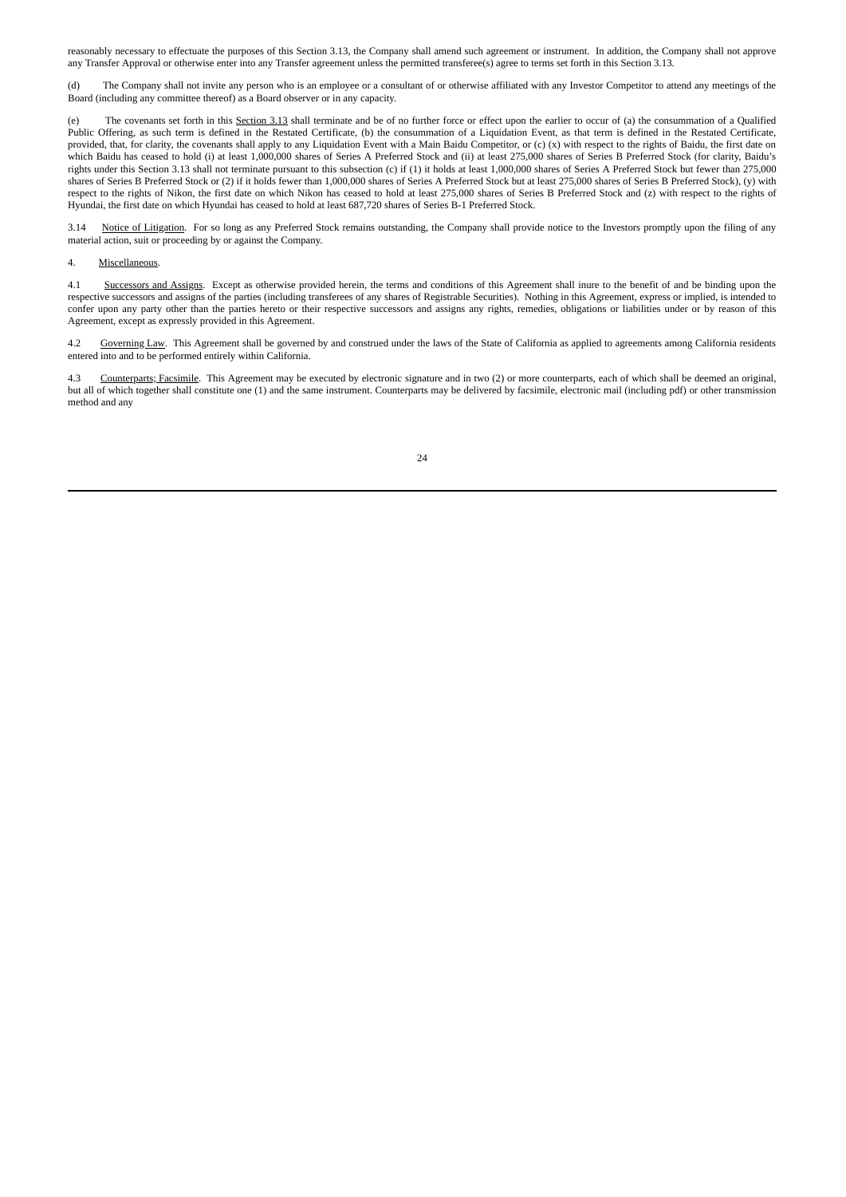reasonably necessary to effectuate the purposes of this Section 3.13, the Company shall amend such agreement or instrument. In addition, the Company shall not approve any Transfer Approval or otherwise enter into any Transfer agreement unless the permitted transferee(s) agree to terms set forth in this Section 3.13.

(d) The Company shall not invite any person who is an employee or a consultant of or otherwise affiliated with any Investor Competitor to attend any meetings of the Board (including any committee thereof) as a Board observer or in any capacity.

(e) The covenants set forth in this Section 3.13 shall terminate and be of no further force or effect upon the earlier to occur of (a) the consummation of a Qualified Public Offering, as such term is defined in the Restated Certificate, (b) the consummation of a Liquidation Event, as that term is defined in the Restated Certificate, provided, that, for clarity, the covenants shall apply to any Liquidation Event with a Main Baidu Competitor, or (c) (x) with respect to the rights of Baidu, the first date on which Baidu has ceased to hold (i) at least 1,000,000 shares of Series A Preferred Stock and (ii) at least 275,000 shares of Series B Preferred Stock (for clarity, Baidu's rights under this Section 3.13 shall not terminate pursuant to this subsection (c) if (1) it holds at least 1,000,000 shares of Series A Preferred Stock but fewer than 275,000 shares of Series B Preferred Stock or (2) if it holds fewer than 1,000,000 shares of Series A Preferred Stock but at least 275,000 shares of Series B Preferred Stock), (y) with respect to the rights of Nikon, the first date on which Nikon has ceased to hold at least 275,000 shares of Series B Preferred Stock and (z) with respect to the rights of Hyundai, the first date on which Hyundai has ceased to hold at least 687,720 shares of Series B-1 Preferred Stock.

3.14 Notice of Litigation. For so long as any Preferred Stock remains outstanding, the Company shall provide notice to the Investors promptly upon the filing of any material action, suit or proceeding by or against the Company.

#### 4. Miscellaneous.

4.1 Successors and Assigns. Except as otherwise provided herein, the terms and conditions of this Agreement shall inure to the benefit of and be binding upon the respective successors and assigns of the parties (including transferees of any shares of Registrable Securities). Nothing in this Agreement, express or implied, is intended to confer upon any party other than the parties hereto or their respective successors and assigns any rights, remedies, obligations or liabilities under or by reason of this Agreement, except as expressly provided in this Agreement.

4.2 Governing Law. This Agreement shall be governed by and construed under the laws of the State of California as applied to agreements among California residents entered into and to be performed entirely within California.

4.3 Counterparts; Facsimile. This Agreement may be executed by electronic signature and in two (2) or more counterparts, each of which shall be deemed an original, but all of which together shall constitute one (1) and the same instrument. Counterparts may be delivered by facsimile, electronic mail (including pdf) or other transmission method and any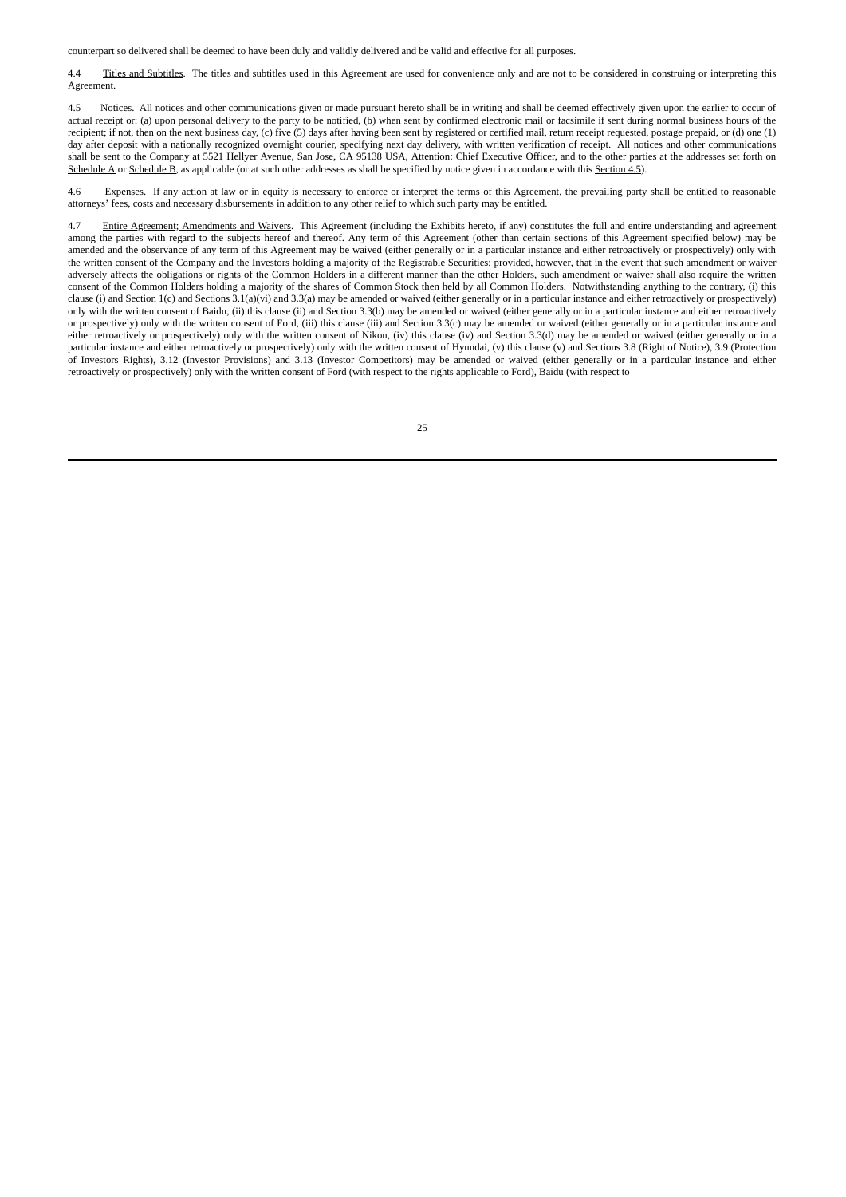counterpart so delivered shall be deemed to have been duly and validly delivered and be valid and effective for all purposes.

4.4 Titles and Subtitles. The titles and subtitles used in this Agreement are used for convenience only and are not to be considered in construing or interpreting this Agreement.

4.5 Notices. All notices and other communications given or made pursuant hereto shall be in writing and shall be deemed effectively given upon the earlier to occur of actual receipt or: (a) upon personal delivery to the party to be notified, (b) when sent by confirmed electronic mail or facsimile if sent during normal business hours of the recipient; if not, then on the next business day, (c) five (5) days after having been sent by registered or certified mail, return receipt requested, postage prepaid, or (d) one (1) day after deposit with a nationally recognized overnight courier, specifying next day delivery, with written verification of receipt. All notices and other communications shall be sent to the Company at 5521 Hellyer Avenue, San Jose, CA 95138 USA, Attention: Chief Executive Officer, and to the other parties at the addresses set forth on Schedule A or Schedule B, as applicable (or at such other addresses as shall be specified by notice given in accordance with this Section 4.5).

4.6 Expenses. If any action at law or in equity is necessary to enforce or interpret the terms of this Agreement, the prevailing party shall be entitled to reasonable attorneys' fees, costs and necessary disbursements in addition to any other relief to which such party may be entitled.

4.7 Entire Agreement; Amendments and Waivers. This Agreement (including the Exhibits hereto, if any) constitutes the full and entire understanding and agreement among the parties with regard to the subjects hereof and thereof. Any term of this Agreement (other than certain sections of this Agreement specified below) may be amended and the observance of any term of this Agreement may be waived (either generally or in a particular instance and either retroactively or prospectively) only with the written consent of the Company and the Investors holding a majority of the Registrable Securities; provided, however, that in the event that such amendment or waiver adversely affects the obligations or rights of the Common Holders in a different manner than the other Holders, such amendment or waiver shall also require the written consent of the Common Holders holding a majority of the shares of Common Stock then held by all Common Holders. Notwithstanding anything to the contrary, (i) this clause (i) and Section 1(c) and Sections 3.1(a)(vi) and 3.3(a) may be amended or waived (either generally or in a particular instance and either retroactively or prospectively) only with the written consent of Baidu, (ii) this clause (ii) and Section 3.3(b) may be amended or waived (either generally or in a particular instance and either retroactively or prospectively) only with the written consent of Ford, (iii) this clause (iii) and Section 3.3(c) may be amended or waived (either generally or in a particular instance and either retroactively or prospectively) only with the written consent of Nikon, (iv) this clause (iv) and Section 3.3(d) may be amended or waived (either generally or in a particular instance and either retroactively or prospectively) only with the written consent of Hyundai, (v) this clause (v) and Sections 3.8 (Right of Notice), 3.9 (Protection of Investors Rights), 3.12 (Investor Provisions) and 3.13 (Investor Competitors) may be amended or waived (either generally or in a particular instance and either retroactively or prospectively) only with the written consent of Ford (with respect to the rights applicable to Ford), Baidu (with respect to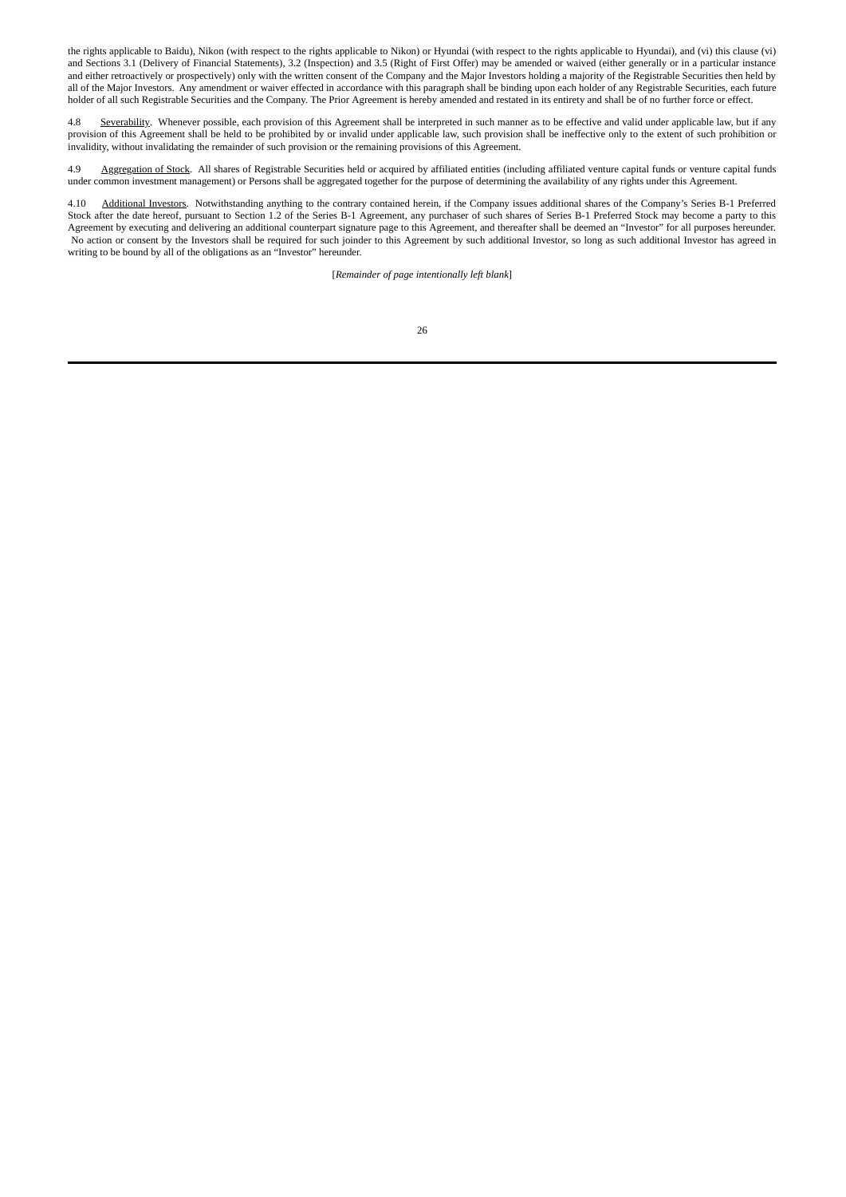the rights applicable to Baidu), Nikon (with respect to the rights applicable to Nikon) or Hyundai (with respect to the rights applicable to Hyundai), and (vi) this clause (vi) and Sections 3.1 (Delivery of Financial Statements), 3.2 (Inspection) and 3.5 (Right of First Offer) may be amended or waived (either generally or in a particular instance and either retroactively or prospectively) only with the written consent of the Company and the Major Investors holding a majority of the Registrable Securities then held by all of the Major Investors. Any amendment or waiver effected in accordance with this paragraph shall be binding upon each holder of any Registrable Securities, each future holder of all such Registrable Securities and the Company. The Prior Agreement is hereby amended and restated in its entirety and shall be of no further force or effect.

4.8 Severability. Whenever possible, each provision of this Agreement shall be interpreted in such manner as to be effective and valid under applicable law, but if any provision of this Agreement shall be held to be prohibited by or invalid under applicable law, such provision shall be ineffective only to the extent of such prohibition or invalidity, without invalidating the remainder of such provision or the remaining provisions of this Agreement.

4.9 Aggregation of Stock. All shares of Registrable Securities held or acquired by affiliated entities (including affiliated venture capital funds or venture capital funds under common investment management) or Persons shall be aggregated together for the purpose of determining the availability of any rights under this Agreement.

4.10 Additional Investors. Notwithstanding anything to the contrary contained herein, if the Company issues additional shares of the Company's Series B-1 Preferred Stock after the date hereof, pursuant to Section 1.2 of the Series B-1 Agreement, any purchaser of such shares of Series B-1 Preferred Stock may become a party to this Agreement by executing and delivering an additional counterpart signature page to this Agreement, and thereafter shall be deemed an "Investor" for all purposes hereunder. No action or consent by the Investors shall be required for such joinder to this Agreement by such additional Investor, so long as such additional Investor has agreed in writing to be bound by all of the obligations as an "Investor" hereunder.

[*Remainder of page intentionally left blank*]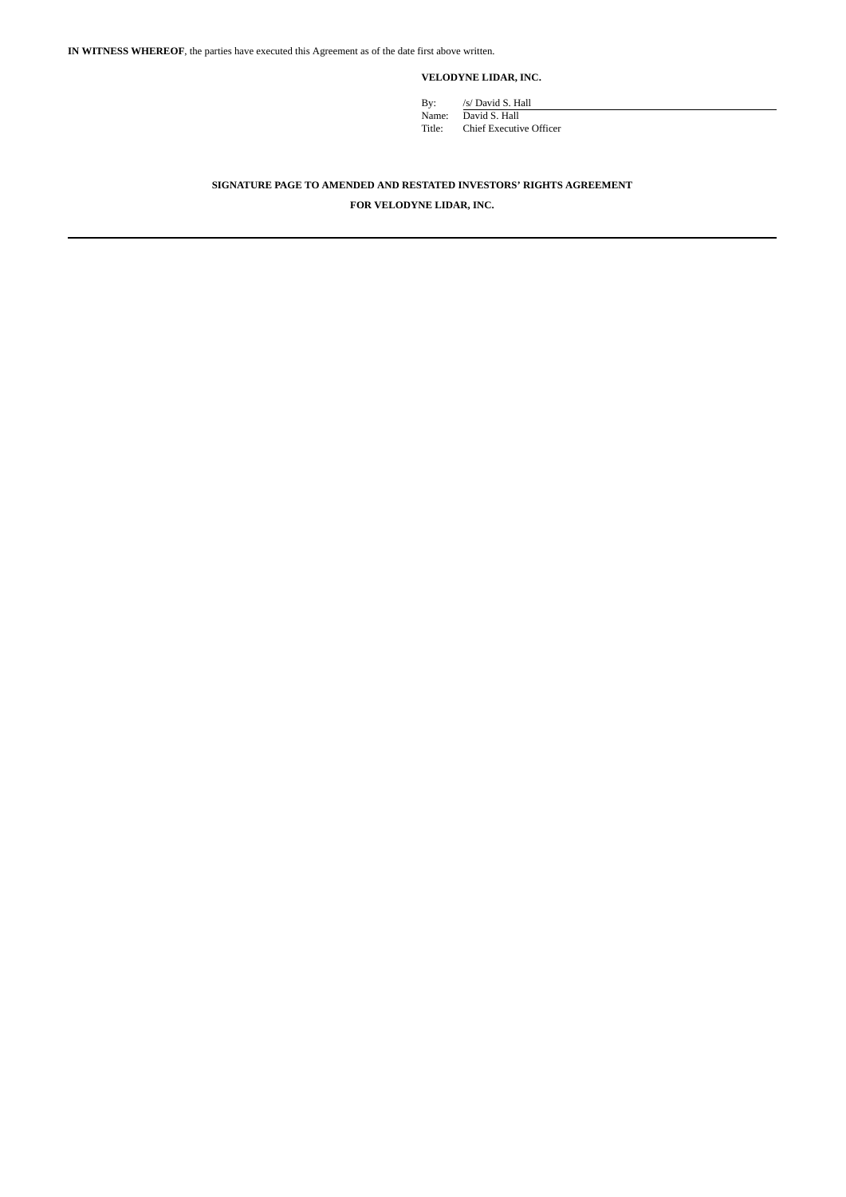**VELODYNE LIDAR, INC.**

By: /s/ David S. Hall Name: David S. Hall Title: Chief Executive Officer

## **SIGNATURE PAGE TO AMENDED AND RESTATED INVESTORS' RIGHTS AGREEMENT**

**FOR VELODYNE LIDAR, INC.**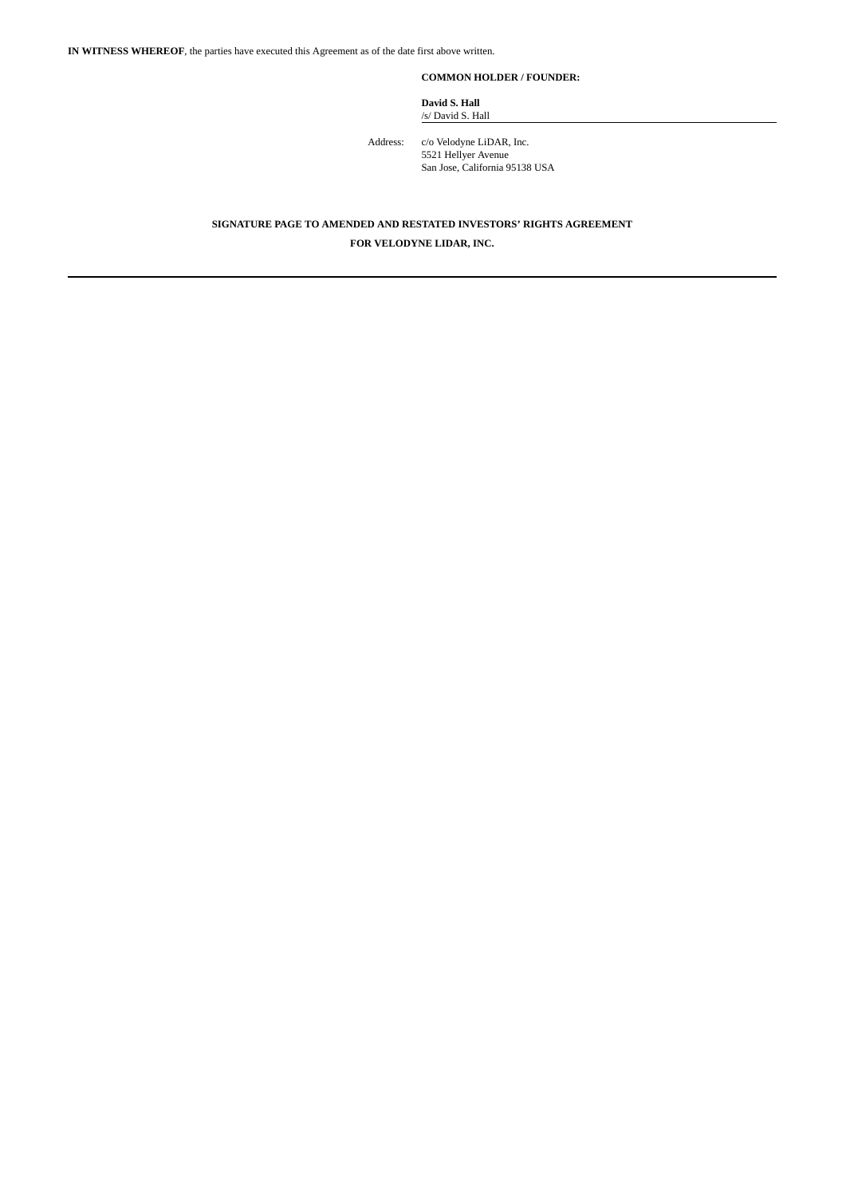**COMMON HOLDER / FOUNDER:**

**David S. Hall** /s/ David S. Hall

Address: c/o Velodyne LiDAR, Inc. 5521 Hellyer Avenue San Jose, California 95138 USA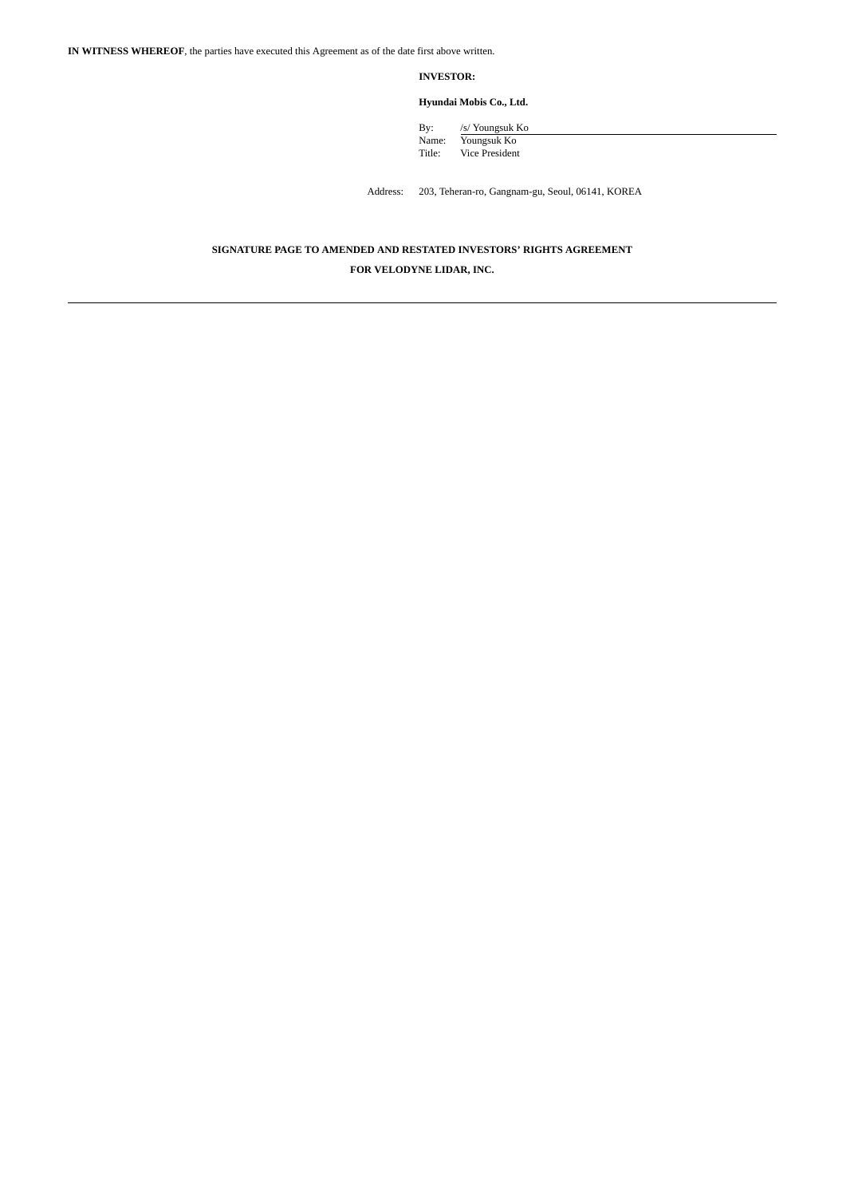**INVESTOR:**

**Hyundai Mobis Co., Ltd.**

By: /s/ Youngsuk Ko Name: Youngsuk Ko Title: Vice President

Address: 203, Teheran-ro, Gangnam-gu, Seoul, 06141, KOREA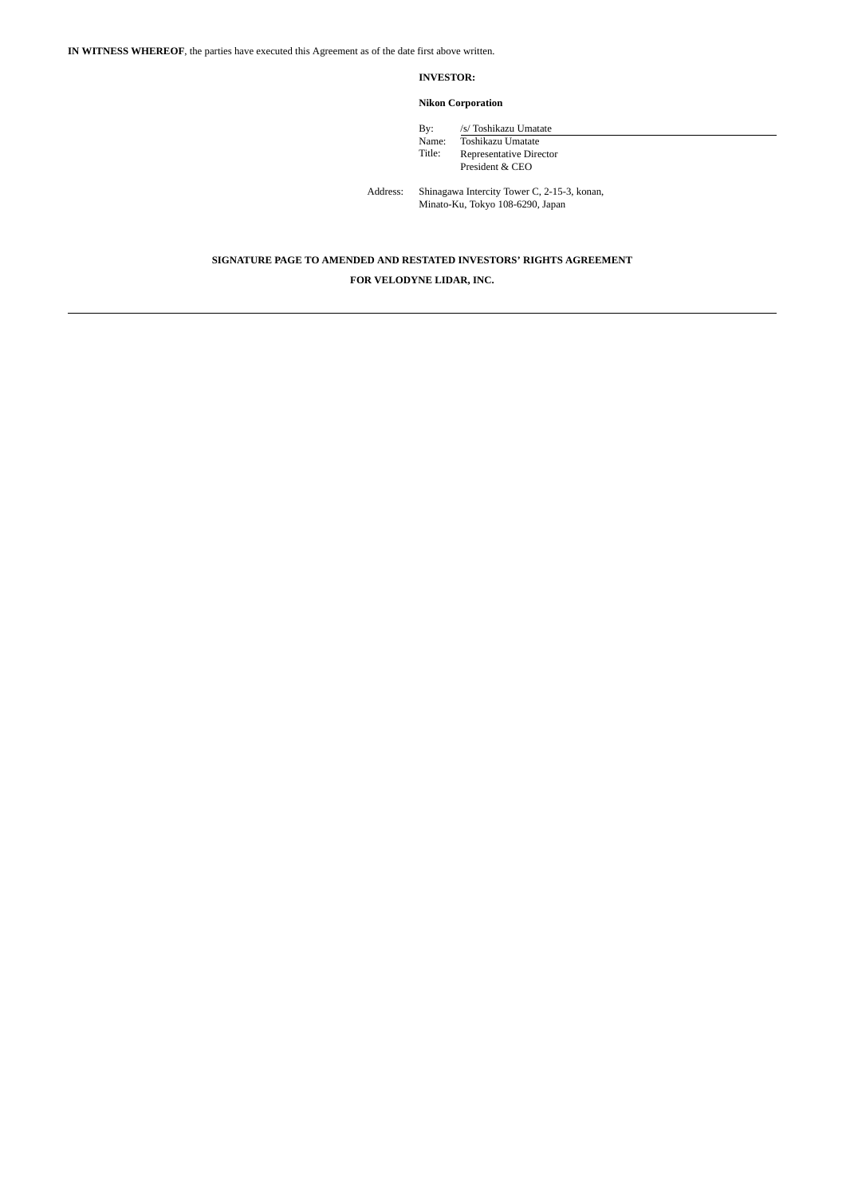### **INVESTOR:**

## **Nikon Corporation**

| Bv:    | /s/ Toshikazu Umatate   |
|--------|-------------------------|
| Name:  | Toshikazu Umatate       |
| Title: | Representative Director |
|        | President & CEO         |
|        |                         |

Address: Shinagawa Intercity Tower C, 2-15-3, konan, Minato-Ku, Tokyo 108-6290, Japan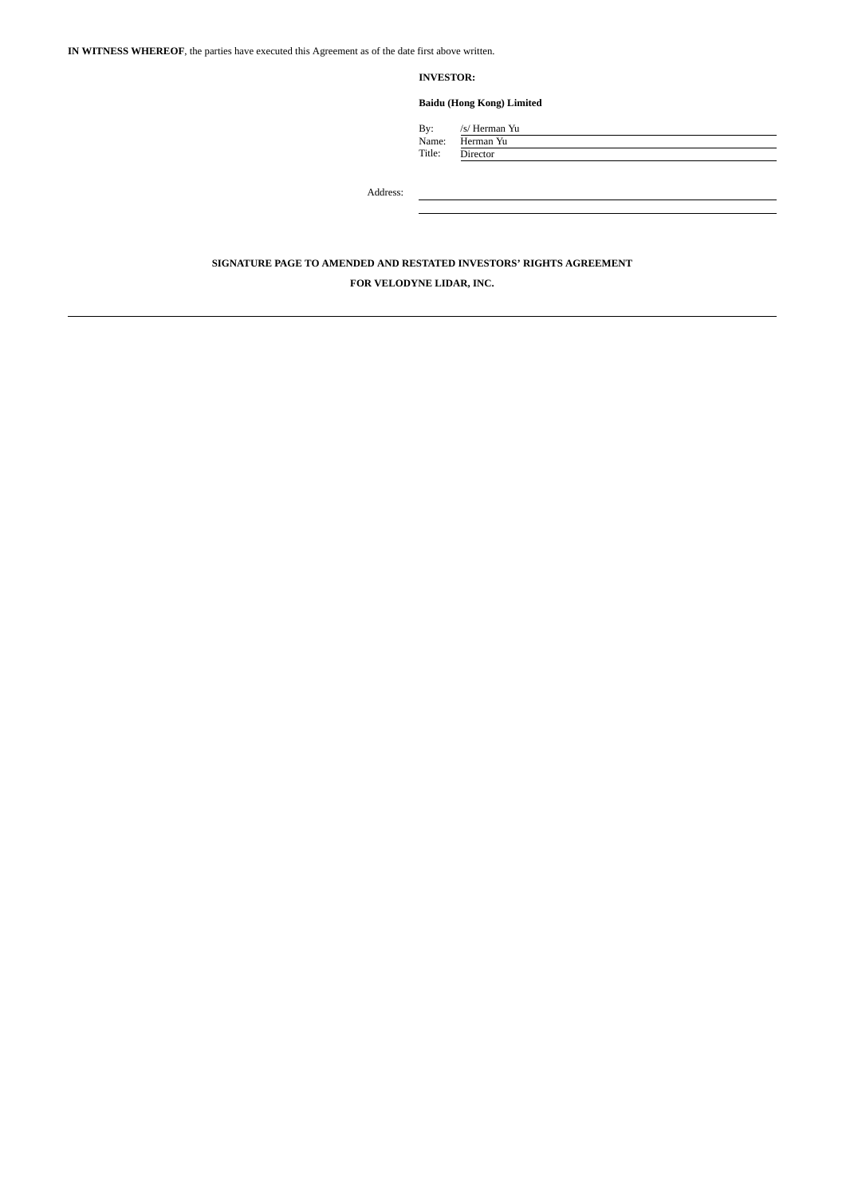**INVESTOR:**

**Baidu (Hong Kong) Limited**

| By:    | /s/ Herman Yu |
|--------|---------------|
| Name:  | Herman Yu     |
| Title: | Director      |
|        |               |

Address: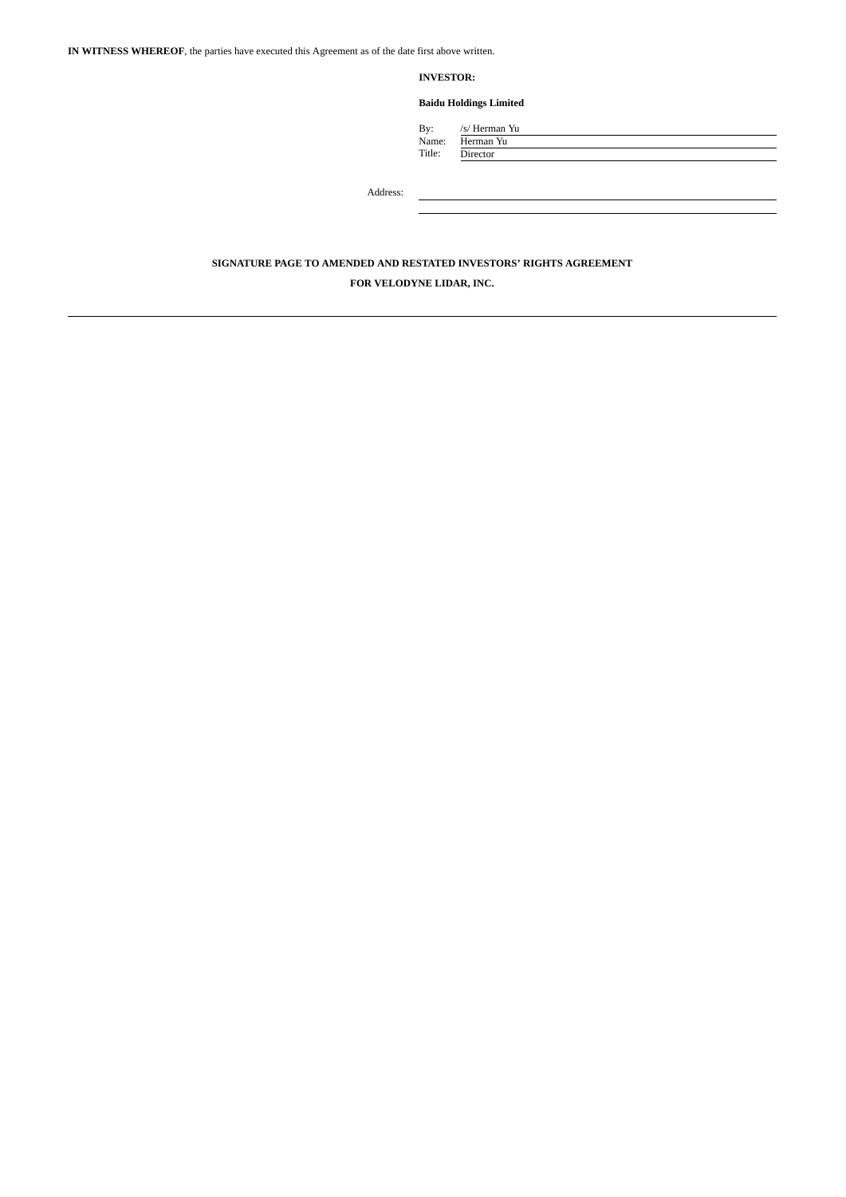**INVESTOR:**

## **Baidu Holdings Limited**

By: /s/ Herman Yu Name: Herman Yu Title: Director

Address: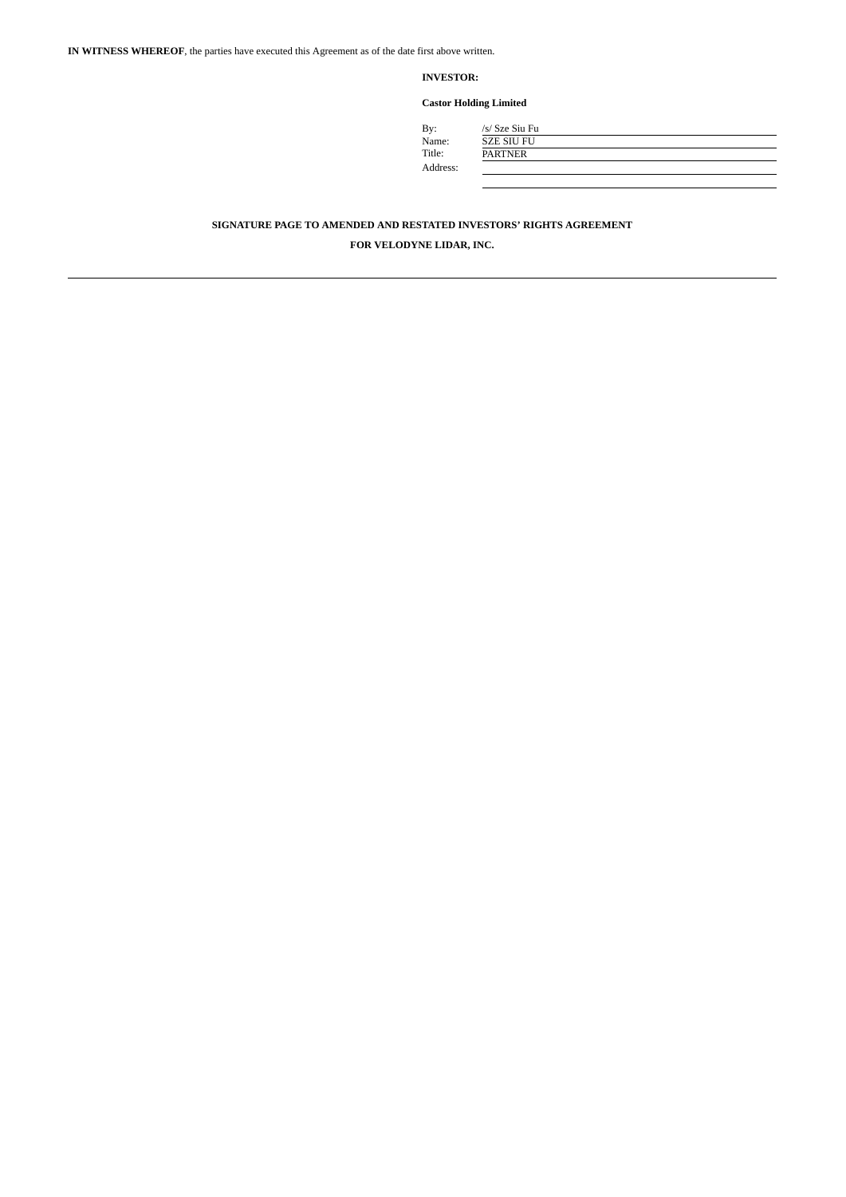## **INVESTOR:**

**Castor Holding Limited**

| By:      |  |
|----------|--|
| Name:    |  |
| Title:   |  |
| Address: |  |

| By:      | /s/ Sze Siu Fu    |
|----------|-------------------|
| Name:    | <b>SZE SIU FU</b> |
| Title:   | <b>PARTNER</b>    |
| Address: |                   |
|          |                   |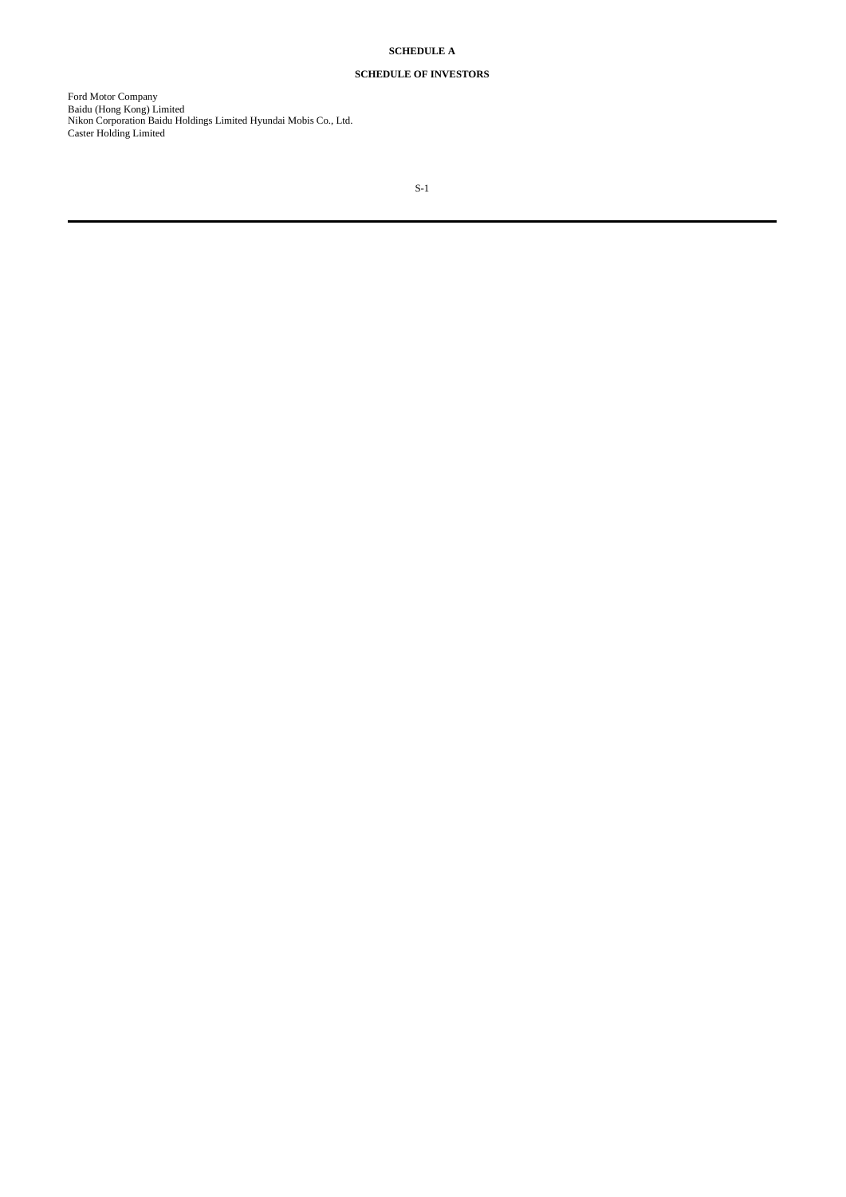# **SCHEDULE A**

# **SCHEDULE OF INVESTORS**

Ford Motor Company Baidu (Hong Kong) Limited Nikon Corporation Baidu Holdings Limited Hyundai Mobis Co., Ltd. Caster Holding Limited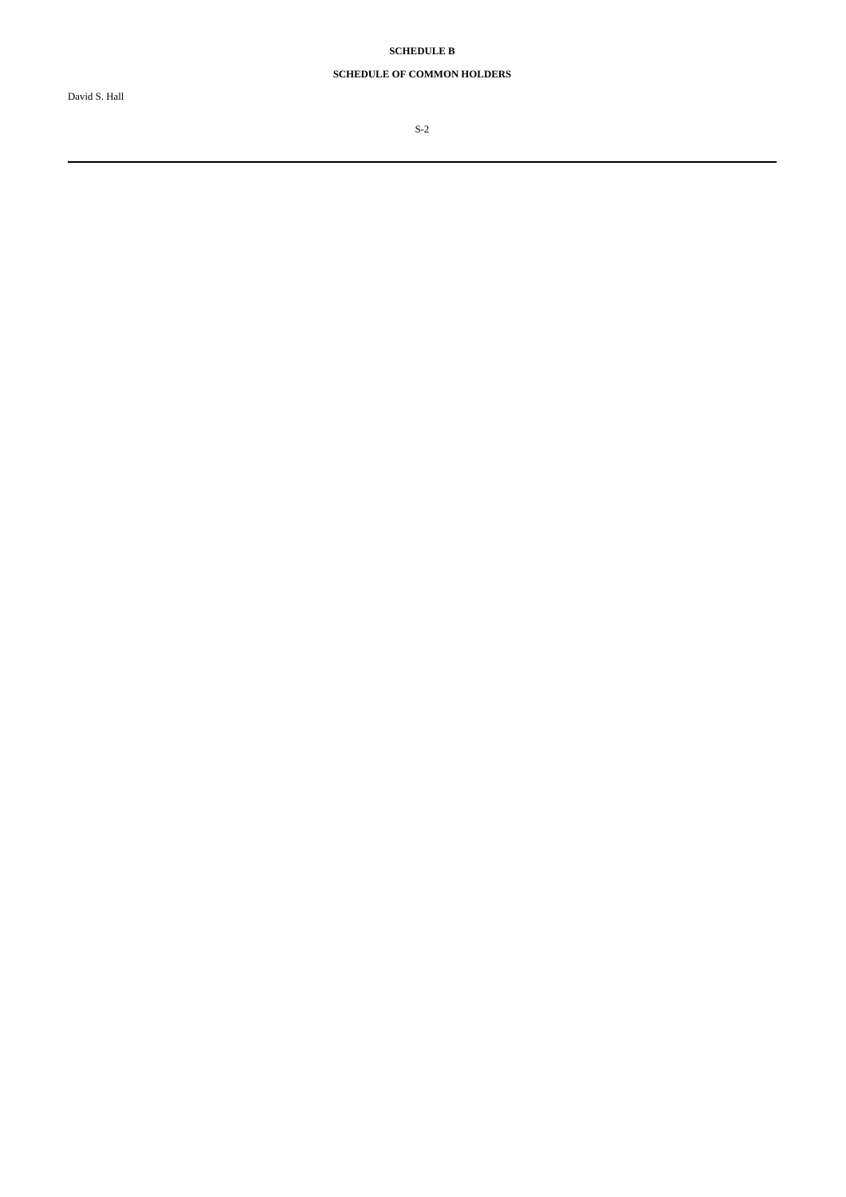**SCHEDULE B**

# **SCHEDULE OF COMMON HOLDERS**

S-2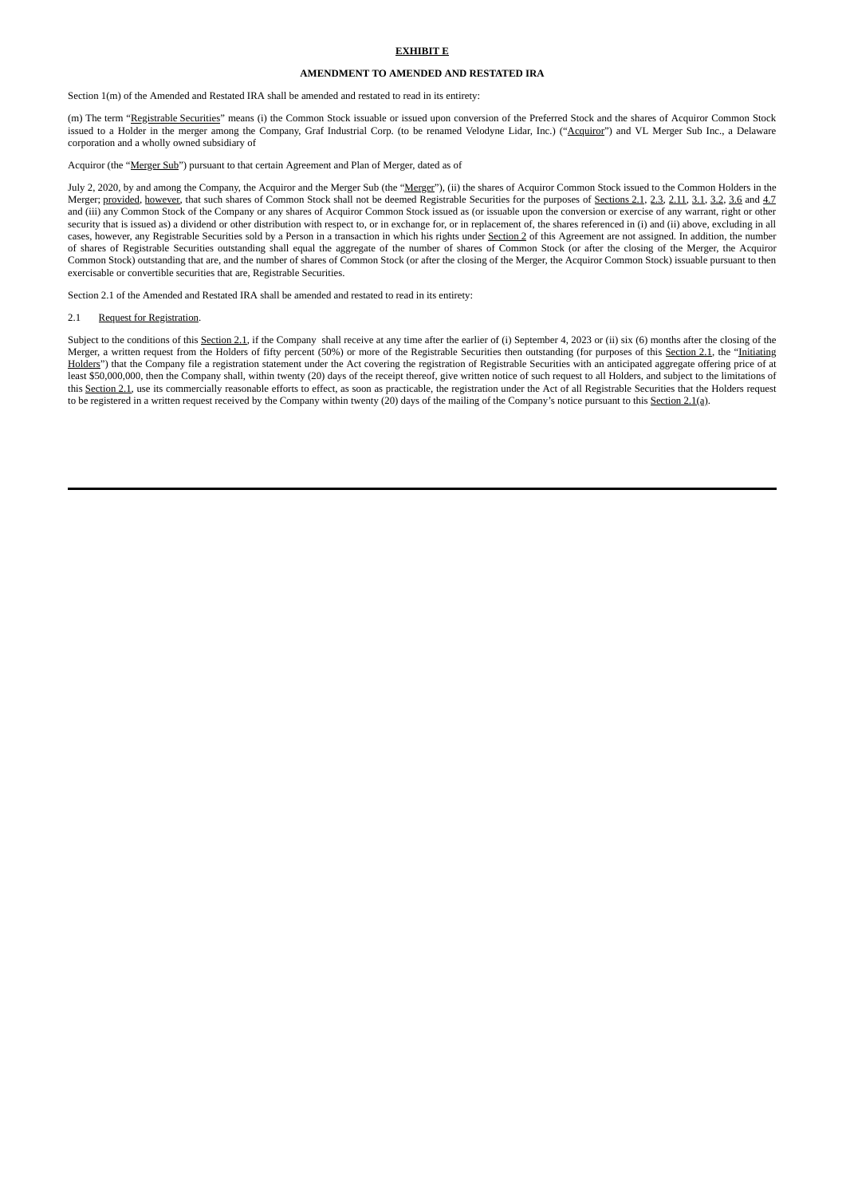#### **EXHIBIT E**

#### **AMENDMENT TO AMENDED AND RESTATED IRA**

Section 1(m) of the Amended and Restated IRA shall be amended and restated to read in its entirety:

(m) The term "Registrable Securities" means (i) the Common Stock issuable or issued upon conversion of the Preferred Stock and the shares of Acquiror Common Stock issued to a Holder in the merger among the Company, Graf Industrial Corp. (to be renamed Velodyne Lidar, Inc.) ("Acquiror") and VL Merger Sub Inc., a Delaware corporation and a wholly owned subsidiary of

#### Acquiror (the "Merger Sub") pursuant to that certain Agreement and Plan of Merger, dated as of

July 2, 2020, by and among the Company, the Acquiror and the Merger Sub (the "Merger"), (ii) the shares of Acquiror Common Stock issued to the Common Holders in the Merger; provided, however, that such shares of Common Stock shall not be deemed Registrable Securities for the purposes of Sections 2.1, 2.3, 2.11, 3.1, 3.2, 3.6 and 4.7 and (iii) any Common Stock of the Company or any shares of Acquiror Common Stock issued as (or issuable upon the conversion or exercise of any warrant, right or other security that is issued as) a dividend or other distribution with respect to, or in exchange for, or in replacement of, the shares referenced in (i) and (ii) above, excluding in all cases, however, any Registrable Securities sold by a Person in a transaction in which his rights under Section 2 of this Agreement are not assigned. In addition, the number of shares of Registrable Securities outstanding shall equal the aggregate of the number of shares of Common Stock (or after the closing of the Merger, the Acquiror Common Stock) outstanding that are, and the number of shares of Common Stock (or after the closing of the Merger, the Acquiror Common Stock) issuable pursuant to then exercisable or convertible securities that are, Registrable Securities.

Section 2.1 of the Amended and Restated IRA shall be amended and restated to read in its entirety:

#### 2.1 Request for Registration.

Subject to the conditions of this Section 2.1, if the Company shall receive at any time after the earlier of (i) September 4, 2023 or (ii) six (6) months after the closing of the Merger, a written request from the Holders of fifty percent (50%) or more of the Registrable Securities then outstanding (for purposes of this Section 2.1, the "Initiating Holders") that the Company file a registration statement under the Act covering the registration of Registrable Securities with an anticipated aggregate offering price of at least \$50,000,000, then the Company shall, within twenty (20) days of the receipt thereof, give written notice of such request to all Holders, and subject to the limitations of this Section 2.1, use its commercially reasonable efforts to effect, as soon as practicable, the registration under the Act of all Registrable Securities that the Holders request to be registered in a written request received by the Company within twenty (20) days of the mailing of the Company's notice pursuant to this Section 2.1(a).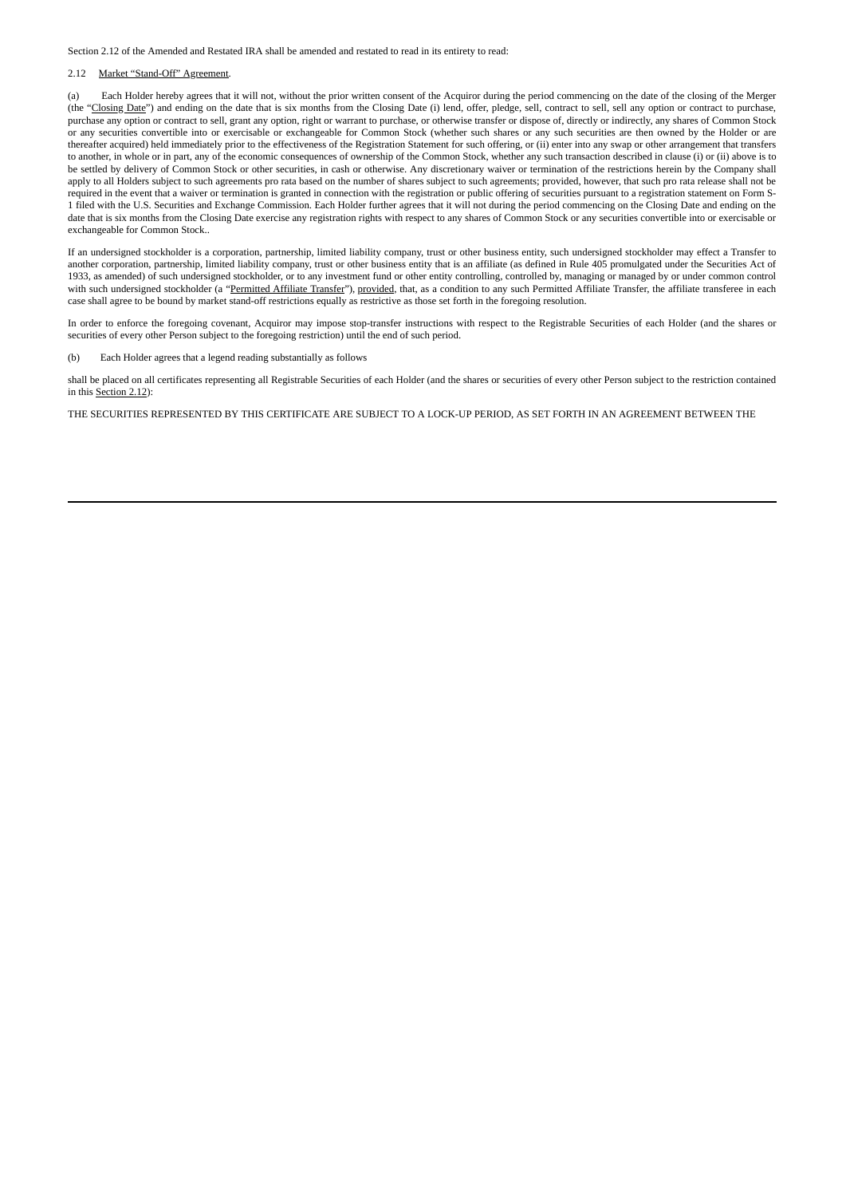Section 2.12 of the Amended and Restated IRA shall be amended and restated to read in its entirety to read:

### 2.12 Market "Stand-Off" Agreement.

(a) Each Holder hereby agrees that it will not, without the prior written consent of the Acquiror during the period commencing on the date of the closing of the Merger (the "Closing Date") and ending on the date that is six months from the Closing Date (i) lend, offer, pledge, sell, contract to sell, sell any option or contract to purchase, purchase any option or contract to sell, grant any option, right or warrant to purchase, or otherwise transfer or dispose of, directly or indirectly, any shares of Common Stock or any securities convertible into or exercisable or exchangeable for Common Stock (whether such shares or any such securities are then owned by the Holder or are thereafter acquired) held immediately prior to the effectiveness of the Registration Statement for such offering, or (ii) enter into any swap or other arrangement that transfers to another, in whole or in part, any of the economic consequences of ownership of the Common Stock, whether any such transaction described in clause (i) or (ii) above is to be settled by delivery of Common Stock or other securities, in cash or otherwise. Any discretionary waiver or termination of the restrictions herein by the Company shall apply to all Holders subject to such agreements pro rata based on the number of shares subject to such agreements; provided, however, that such pro rata release shall not be required in the event that a waiver or termination is granted in connection with the registration or public offering of securities pursuant to a registration statement on Form S-1 filed with the U.S. Securities and Exchange Commission. Each Holder further agrees that it will not during the period commencing on the Closing Date and ending on the date that is six months from the Closing Date exercise any registration rights with respect to any shares of Common Stock or any securities convertible into or exercisable or exchangeable for Common Stock..

If an undersigned stockholder is a corporation, partnership, limited liability company, trust or other business entity, such undersigned stockholder may effect a Transfer to another corporation, partnership, limited liability company, trust or other business entity that is an affiliate (as defined in Rule 405 promulgated under the Securities Act of 1933, as amended) of such undersigned stockholder, or to any investment fund or other entity controlling, controlled by, managing or managed by or under common control with such undersigned stockholder (a "Permitted Affiliate Transfer"), provided, that, as a condition to any such Permitted Affiliate Transfer, the affiliate transferee in each case shall agree to be bound by market stand-off restrictions equally as restrictive as those set forth in the foregoing resolution.

In order to enforce the foregoing covenant, Acquiror may impose stop-transfer instructions with respect to the Registrable Securities of each Holder (and the shares or securities of every other Person subject to the foregoing restriction) until the end of such period.

(b) Each Holder agrees that a legend reading substantially as follows

shall be placed on all certificates representing all Registrable Securities of each Holder (and the shares or securities of every other Person subject to the restriction contained in this Section 2.12):

THE SECURITIES REPRESENTED BY THIS CERTIFICATE ARE SUBJECT TO A LOCK-UP PERIOD, AS SET FORTH IN AN AGREEMENT BETWEEN THE